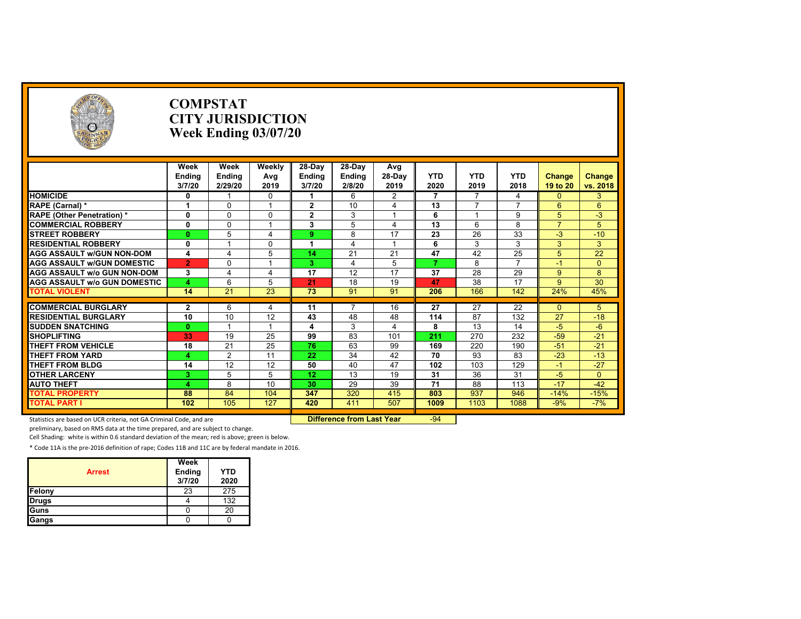| Week<br>Week<br>Weekly<br>28-Day<br>28-Day<br>Avg<br><b>YTD</b><br>$28-Day$<br><b>YTD</b><br><b>YTD</b><br>Ending<br>Ending<br><b>Ending</b><br><b>Ending</b><br>Change<br>Change<br>Avg<br>2/29/20<br>2019<br>3/7/20<br>2020<br>2018<br>3/7/20<br>2/8/20<br>2019<br>2019<br>19 to 20<br>vs. 2018<br>$\overline{2}$<br>$\overline{7}$<br>3<br>6<br>$\overline{7}$<br>0<br>$\Omega$<br>4<br>$\Omega$<br>1<br>10<br>$\overline{4}$<br>13<br>$\Omega$<br>$\mathbf{2}$<br>$\overline{7}$<br>$\overline{7}$<br>6<br>6<br>$\overline{1}$<br>1<br>0<br>$\mathbf{2}$<br>3<br>$\Omega$<br>$\Omega$<br>6<br>9<br>5<br>$-3$<br>$\overline{13}$<br>5<br>8<br>$\overline{7}$<br>$\mathbf{0}$<br>$\Omega$<br>3<br>$\overline{4}$<br>6<br>5<br>17<br>23<br>26<br>33<br>5<br>$\overline{4}$<br>8<br>$-3$<br>$-10$<br>$\mathbf{0}$<br>9<br>3<br>3<br>3<br>3<br>$\mathbf{0}$<br>$\mathbf{0}$<br>6<br>1<br>$\overline{1}$<br>21<br>21<br>47<br>42<br>25<br>5<br>22<br>5<br>14<br>4<br>$\overline{a}$<br>5<br>$\overline{7}$<br>$\overline{7}$<br>$\overline{2}$<br>8<br>$\Omega$<br>3<br>$-1$<br>$\Omega$<br>17<br>17<br>12<br>37<br>28<br>3<br>29<br>9<br>8<br>4<br>18<br>19<br>47<br>38<br>17<br>30<br><b>AGG ASSAULT W/o GUN DOMESTIC</b><br>6<br>5<br>21<br>9<br>Δ<br>$\overline{14}$<br>23<br>45%<br>21<br>73<br>91<br>91<br>166<br>142<br>24%<br>206<br>$\overline{2}$<br>6<br>11<br>16<br>27<br>27<br>22<br>$\Omega$<br>5<br>4<br>10<br>87<br>27<br>10<br>12<br>43<br>48<br>48<br>114<br>132<br>$-18$<br>$-5$<br>3<br>$\overline{4}$<br>8<br>13<br>14<br>$-6$<br>$\mathbf{0}$<br>4<br>$\overline{1}$<br>$-59$<br>33<br>19<br>25<br>99<br>83<br>211<br>270<br>232<br>$-21$<br>101<br>63<br>21<br>25<br>76<br>99<br>169<br>220<br>$-21$<br>18<br>190<br>$-51$<br>$-23$<br>$\overline{2}$<br>22<br>34<br>42<br>70<br>93<br>$-13$<br>11<br>83<br>А<br>47<br>$-27$<br>$\overline{12}$<br>103<br>14<br>50<br>40<br>102<br>129<br>12<br>$-1$<br>13<br>19<br>31<br>36<br>$-5$<br>5<br>5<br>12<br>31<br>$\mathbf{0}$<br>3<br>29<br>71<br>$-42$<br>8<br>10<br>39<br>88<br>113<br>$-17$<br>30<br>Δ<br>320<br>88<br>84<br>347<br>415<br>937<br>$-15%$<br>104<br>803<br>946<br>$-14%$<br>105<br>$-7%$<br>102<br>127<br>420<br>411<br>507<br>1009<br>1103<br>1088<br>$-9%$ | <b>O</b> | <b>COMPSTAT</b><br><b>CITY JURISDICTION</b><br>Week Ending $03/07/20$ |  |  |  |  |  |
|--------------------------------------------------------------------------------------------------------------------------------------------------------------------------------------------------------------------------------------------------------------------------------------------------------------------------------------------------------------------------------------------------------------------------------------------------------------------------------------------------------------------------------------------------------------------------------------------------------------------------------------------------------------------------------------------------------------------------------------------------------------------------------------------------------------------------------------------------------------------------------------------------------------------------------------------------------------------------------------------------------------------------------------------------------------------------------------------------------------------------------------------------------------------------------------------------------------------------------------------------------------------------------------------------------------------------------------------------------------------------------------------------------------------------------------------------------------------------------------------------------------------------------------------------------------------------------------------------------------------------------------------------------------------------------------------------------------------------------------------------------------------------------------------------------------------------------------------------------------------------------------------------------------------------------------------------------------------------------------------------------------------------------------------------------------------------------------------------------------------------------------------------------------------------------------------------------------------------------------------------|----------|-----------------------------------------------------------------------|--|--|--|--|--|
| <b>HOMICIDE</b><br>RAPE (Carnal) *<br><b>RAPE (Other Penetration) *</b><br><b>COMMERCIAL ROBBERY</b><br><b>STREET ROBBERY</b><br><b>RESIDENTIAL ROBBERY</b><br><b>AGG ASSAULT w/GUN NON-DOM</b><br><b>AGG ASSAULT W/GUN DOMESTIC</b><br><b>AGG ASSAULT W/o GUN NON-DOM</b><br><b>TOTAL VIOLENT</b><br><b>COMMERCIAL BURGLARY</b><br><b>RESIDENTIAL BURGLARY</b><br><b>SUDDEN SNATCHING</b><br><b>SHOPLIFTING</b><br><b>THEFT FROM VEHICLE</b><br><b>THEFT FROM YARD</b><br><b>THEFT FROM BLDG</b><br><b>OTHER LARCENY</b><br><b>AUTO THEFT</b><br><b>TOTAL PROPERTY</b><br><b>TOTAL PART I</b>                                                                                                                                                                                                                                                                                                                                                                                                                                                                                                                                                                                                                                                                                                                                                                                                                                                                                                                                                                                                                                                                                                                                                                                                                                                                                                                                                                                                                                                                                                                                                                                                                                                   |          |                                                                       |  |  |  |  |  |
|                                                                                                                                                                                                                                                                                                                                                                                                                                                                                                                                                                                                                                                                                                                                                                                                                                                                                                                                                                                                                                                                                                                                                                                                                                                                                                                                                                                                                                                                                                                                                                                                                                                                                                                                                                                                                                                                                                                                                                                                                                                                                                                                                                                                                                                  |          |                                                                       |  |  |  |  |  |
|                                                                                                                                                                                                                                                                                                                                                                                                                                                                                                                                                                                                                                                                                                                                                                                                                                                                                                                                                                                                                                                                                                                                                                                                                                                                                                                                                                                                                                                                                                                                                                                                                                                                                                                                                                                                                                                                                                                                                                                                                                                                                                                                                                                                                                                  |          |                                                                       |  |  |  |  |  |
|                                                                                                                                                                                                                                                                                                                                                                                                                                                                                                                                                                                                                                                                                                                                                                                                                                                                                                                                                                                                                                                                                                                                                                                                                                                                                                                                                                                                                                                                                                                                                                                                                                                                                                                                                                                                                                                                                                                                                                                                                                                                                                                                                                                                                                                  |          |                                                                       |  |  |  |  |  |
|                                                                                                                                                                                                                                                                                                                                                                                                                                                                                                                                                                                                                                                                                                                                                                                                                                                                                                                                                                                                                                                                                                                                                                                                                                                                                                                                                                                                                                                                                                                                                                                                                                                                                                                                                                                                                                                                                                                                                                                                                                                                                                                                                                                                                                                  |          |                                                                       |  |  |  |  |  |
|                                                                                                                                                                                                                                                                                                                                                                                                                                                                                                                                                                                                                                                                                                                                                                                                                                                                                                                                                                                                                                                                                                                                                                                                                                                                                                                                                                                                                                                                                                                                                                                                                                                                                                                                                                                                                                                                                                                                                                                                                                                                                                                                                                                                                                                  |          |                                                                       |  |  |  |  |  |
|                                                                                                                                                                                                                                                                                                                                                                                                                                                                                                                                                                                                                                                                                                                                                                                                                                                                                                                                                                                                                                                                                                                                                                                                                                                                                                                                                                                                                                                                                                                                                                                                                                                                                                                                                                                                                                                                                                                                                                                                                                                                                                                                                                                                                                                  |          |                                                                       |  |  |  |  |  |
|                                                                                                                                                                                                                                                                                                                                                                                                                                                                                                                                                                                                                                                                                                                                                                                                                                                                                                                                                                                                                                                                                                                                                                                                                                                                                                                                                                                                                                                                                                                                                                                                                                                                                                                                                                                                                                                                                                                                                                                                                                                                                                                                                                                                                                                  |          |                                                                       |  |  |  |  |  |
|                                                                                                                                                                                                                                                                                                                                                                                                                                                                                                                                                                                                                                                                                                                                                                                                                                                                                                                                                                                                                                                                                                                                                                                                                                                                                                                                                                                                                                                                                                                                                                                                                                                                                                                                                                                                                                                                                                                                                                                                                                                                                                                                                                                                                                                  |          |                                                                       |  |  |  |  |  |
|                                                                                                                                                                                                                                                                                                                                                                                                                                                                                                                                                                                                                                                                                                                                                                                                                                                                                                                                                                                                                                                                                                                                                                                                                                                                                                                                                                                                                                                                                                                                                                                                                                                                                                                                                                                                                                                                                                                                                                                                                                                                                                                                                                                                                                                  |          |                                                                       |  |  |  |  |  |
|                                                                                                                                                                                                                                                                                                                                                                                                                                                                                                                                                                                                                                                                                                                                                                                                                                                                                                                                                                                                                                                                                                                                                                                                                                                                                                                                                                                                                                                                                                                                                                                                                                                                                                                                                                                                                                                                                                                                                                                                                                                                                                                                                                                                                                                  |          |                                                                       |  |  |  |  |  |
|                                                                                                                                                                                                                                                                                                                                                                                                                                                                                                                                                                                                                                                                                                                                                                                                                                                                                                                                                                                                                                                                                                                                                                                                                                                                                                                                                                                                                                                                                                                                                                                                                                                                                                                                                                                                                                                                                                                                                                                                                                                                                                                                                                                                                                                  |          |                                                                       |  |  |  |  |  |
|                                                                                                                                                                                                                                                                                                                                                                                                                                                                                                                                                                                                                                                                                                                                                                                                                                                                                                                                                                                                                                                                                                                                                                                                                                                                                                                                                                                                                                                                                                                                                                                                                                                                                                                                                                                                                                                                                                                                                                                                                                                                                                                                                                                                                                                  |          |                                                                       |  |  |  |  |  |
|                                                                                                                                                                                                                                                                                                                                                                                                                                                                                                                                                                                                                                                                                                                                                                                                                                                                                                                                                                                                                                                                                                                                                                                                                                                                                                                                                                                                                                                                                                                                                                                                                                                                                                                                                                                                                                                                                                                                                                                                                                                                                                                                                                                                                                                  |          |                                                                       |  |  |  |  |  |
|                                                                                                                                                                                                                                                                                                                                                                                                                                                                                                                                                                                                                                                                                                                                                                                                                                                                                                                                                                                                                                                                                                                                                                                                                                                                                                                                                                                                                                                                                                                                                                                                                                                                                                                                                                                                                                                                                                                                                                                                                                                                                                                                                                                                                                                  |          |                                                                       |  |  |  |  |  |
|                                                                                                                                                                                                                                                                                                                                                                                                                                                                                                                                                                                                                                                                                                                                                                                                                                                                                                                                                                                                                                                                                                                                                                                                                                                                                                                                                                                                                                                                                                                                                                                                                                                                                                                                                                                                                                                                                                                                                                                                                                                                                                                                                                                                                                                  |          |                                                                       |  |  |  |  |  |
|                                                                                                                                                                                                                                                                                                                                                                                                                                                                                                                                                                                                                                                                                                                                                                                                                                                                                                                                                                                                                                                                                                                                                                                                                                                                                                                                                                                                                                                                                                                                                                                                                                                                                                                                                                                                                                                                                                                                                                                                                                                                                                                                                                                                                                                  |          |                                                                       |  |  |  |  |  |
|                                                                                                                                                                                                                                                                                                                                                                                                                                                                                                                                                                                                                                                                                                                                                                                                                                                                                                                                                                                                                                                                                                                                                                                                                                                                                                                                                                                                                                                                                                                                                                                                                                                                                                                                                                                                                                                                                                                                                                                                                                                                                                                                                                                                                                                  |          |                                                                       |  |  |  |  |  |
|                                                                                                                                                                                                                                                                                                                                                                                                                                                                                                                                                                                                                                                                                                                                                                                                                                                                                                                                                                                                                                                                                                                                                                                                                                                                                                                                                                                                                                                                                                                                                                                                                                                                                                                                                                                                                                                                                                                                                                                                                                                                                                                                                                                                                                                  |          |                                                                       |  |  |  |  |  |
|                                                                                                                                                                                                                                                                                                                                                                                                                                                                                                                                                                                                                                                                                                                                                                                                                                                                                                                                                                                                                                                                                                                                                                                                                                                                                                                                                                                                                                                                                                                                                                                                                                                                                                                                                                                                                                                                                                                                                                                                                                                                                                                                                                                                                                                  |          |                                                                       |  |  |  |  |  |
|                                                                                                                                                                                                                                                                                                                                                                                                                                                                                                                                                                                                                                                                                                                                                                                                                                                                                                                                                                                                                                                                                                                                                                                                                                                                                                                                                                                                                                                                                                                                                                                                                                                                                                                                                                                                                                                                                                                                                                                                                                                                                                                                                                                                                                                  |          |                                                                       |  |  |  |  |  |
|                                                                                                                                                                                                                                                                                                                                                                                                                                                                                                                                                                                                                                                                                                                                                                                                                                                                                                                                                                                                                                                                                                                                                                                                                                                                                                                                                                                                                                                                                                                                                                                                                                                                                                                                                                                                                                                                                                                                                                                                                                                                                                                                                                                                                                                  |          |                                                                       |  |  |  |  |  |
|                                                                                                                                                                                                                                                                                                                                                                                                                                                                                                                                                                                                                                                                                                                                                                                                                                                                                                                                                                                                                                                                                                                                                                                                                                                                                                                                                                                                                                                                                                                                                                                                                                                                                                                                                                                                                                                                                                                                                                                                                                                                                                                                                                                                                                                  |          |                                                                       |  |  |  |  |  |
|                                                                                                                                                                                                                                                                                                                                                                                                                                                                                                                                                                                                                                                                                                                                                                                                                                                                                                                                                                                                                                                                                                                                                                                                                                                                                                                                                                                                                                                                                                                                                                                                                                                                                                                                                                                                                                                                                                                                                                                                                                                                                                                                                                                                                                                  |          |                                                                       |  |  |  |  |  |
|                                                                                                                                                                                                                                                                                                                                                                                                                                                                                                                                                                                                                                                                                                                                                                                                                                                                                                                                                                                                                                                                                                                                                                                                                                                                                                                                                                                                                                                                                                                                                                                                                                                                                                                                                                                                                                                                                                                                                                                                                                                                                                                                                                                                                                                  |          |                                                                       |  |  |  |  |  |

Statistics are based on UCR criteria, not GA Criminal Code, and are **Difference from Last Year** -94

preliminary, based on RMS data at the time prepared, and are subject to change.

Cell Shading: white is within 0.6 standard deviation of the mean; red is above; green is below.

| <b>Arrest</b> | Week<br>Ending<br>3/7/20 | <b>YTD</b><br>2020 |
|---------------|--------------------------|--------------------|
| Felony        | 23                       | 275                |
| <b>Drugs</b>  |                          | 132                |
| Guns          |                          | 20                 |
| Gangs         |                          |                    |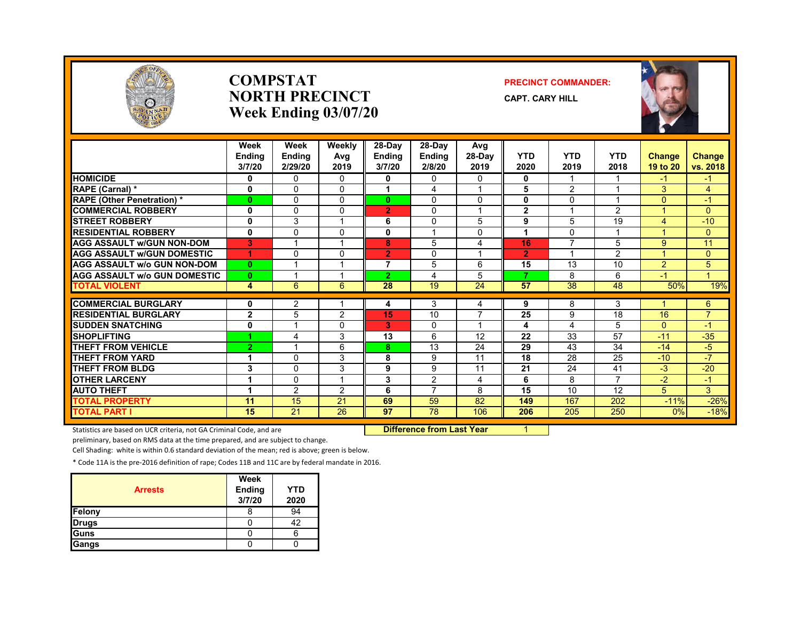

#### **COMPSTATNORTH PRECINCTWeek Ending 03/07/20**

#### **PRECINCT COMMANDER:**

**CAPT. CARY HILL**



|                                     | Week<br><b>Endina</b><br>3/7/20 | Week<br><b>Ending</b><br>2/29/20 | Weekly<br>Avg<br>2019 | 28-Day<br><b>Ending</b><br>3/7/20 | 28-Day<br><b>Endina</b><br>2/8/20 | Avg<br>$28-Dav$<br>2019 | <b>YTD</b><br>2020 | <b>YTD</b><br>2019       | <b>YTD</b><br>2018 | <b>Change</b><br>19 to 20 | <b>Change</b><br>vs. 2018 |
|-------------------------------------|---------------------------------|----------------------------------|-----------------------|-----------------------------------|-----------------------------------|-------------------------|--------------------|--------------------------|--------------------|---------------------------|---------------------------|
| <b>HOMICIDE</b>                     | 0                               | 0                                | $\Omega$              | 0                                 | 0                                 | $\Omega$                | 0                  |                          |                    | -1                        | $-1$                      |
| RAPE (Carnal) *                     | $\mathbf 0$                     | $\Omega$                         | $\Omega$              |                                   | 4                                 |                         | 5                  | 2                        |                    | 3                         | $\overline{4}$            |
| <b>RAPE (Other Penetration) *</b>   | $\mathbf{0}$                    | $\Omega$                         | $\Omega$              | $\bf{0}$                          | $\Omega$                          | $\Omega$                | 0                  | $\Omega$                 |                    | $\Omega$                  | $-1$                      |
| <b>COMMERCIAL ROBBERY</b>           | 0                               | $\Omega$                         | 0                     | $\overline{2}$                    | $\Omega$                          |                         | $\mathbf{2}$       |                          | $\overline{2}$     |                           | $\Omega$                  |
| <b>STREET ROBBERY</b>               | $\mathbf 0$                     | 3                                |                       | 6                                 | 0                                 | 5                       | 9                  | 5                        | 19                 | 4                         | $-10$                     |
| <b>RESIDENTIAL ROBBERY</b>          | $\mathbf{0}$                    | $\Omega$                         | <sup>0</sup>          | 0                                 |                                   | 0                       | 1                  | $\Omega$                 |                    |                           | $\overline{0}$            |
| <b>AGG ASSAULT w/GUN NON-DOM</b>    | 3                               |                                  |                       | 8                                 | 5                                 | 4                       | 16                 | $\overline{ }$           | 5                  | 9                         | 11                        |
| <b>AGG ASSAULT W/GUN DOMESTIC</b>   | 4                               | $\Omega$                         | 0                     | $\overline{2}$                    | 0                                 |                         | $\overline{2}$     | $\overline{\phantom{a}}$ | $\overline{2}$     |                           | $\overline{0}$            |
| <b>AGG ASSAULT w/o GUN NON-DOM</b>  | $\mathbf{0}$                    |                                  |                       | 7                                 | 5                                 | 6                       | 15                 | 13                       | 10                 | $\overline{2}$            | 5                         |
| <b>AGG ASSAULT w/o GUN DOMESTIC</b> | $\mathbf{0}$                    |                                  |                       | $\overline{2}$                    | 4                                 | 5                       | 7                  | 8                        | 6                  | $-1$                      | $\mathbf{1}$              |
| <b>TOTAL VIOLENT</b>                | 4                               | 6                                | 6                     | 28                                | 19                                | 24                      | 57                 | 38                       | 48                 | 50%                       | 19%                       |
|                                     |                                 |                                  |                       |                                   |                                   |                         |                    |                          |                    |                           |                           |
| <b>COMMERCIAL BURGLARY</b>          | 0                               | 2                                |                       | 4                                 | 3                                 | 4                       | 9                  | 8                        | 3                  |                           | 6                         |
| <b>RESIDENTIAL BURGLARY</b>         | $\overline{2}$                  | 5                                | 2                     | 15                                | 10                                | 7                       | 25                 | 9                        | 18                 | 16                        | $\overline{7}$            |
| <b>SUDDEN SNATCHING</b>             | 0                               |                                  | 0                     | 3                                 | $\Omega$                          | $\overline{\mathbf{A}}$ | 4                  | 4                        | 5                  | $\Omega$                  | $-1$                      |
| <b>SHOPLIFTING</b>                  | 1                               | $\overline{4}$                   | 3                     | 13                                | 6                                 | 12                      | 22                 | 33                       | 57                 | $-11$                     | $-35$                     |
| <b>THEFT FROM VEHICLE</b>           | $\overline{2}$                  |                                  | 6                     | 8.                                | 13                                | 24                      | 29                 | 43                       | 34                 | $-14$                     | $-5$                      |
| <b>THEFT FROM YARD</b>              | 1                               | $\Omega$                         | 3                     | 8                                 | 9                                 | 11                      | 18                 | 28                       | 25                 | $-10$                     | $-7$                      |
| <b>THEFT FROM BLDG</b>              | 3                               | $\Omega$                         | 3                     | 9                                 | 9                                 | 11                      | 21                 | 24                       | 41                 | $-3$                      | $-20$                     |
| <b>OTHER LARCENY</b>                | 1                               | $\Omega$                         |                       | 3                                 | $\overline{2}$                    | $\overline{4}$          | 6                  | 8                        | $\overline{ }$     | $-2$                      | $-1$                      |
| <b>AUTO THEFT</b>                   | 1                               | $\overline{2}$                   | $\overline{2}$        | 6                                 | $\overline{7}$                    | 8                       | 15                 | 10                       | 12                 | 5                         | 3                         |
| TOTAL PROPERTY                      | 11                              | 15                               | 21                    | 69                                | 59                                | 82                      | 149                | 167                      | 202                | $-11%$                    | $-26%$                    |
| <b>TOTAL PART I</b>                 | 15                              | $\overline{21}$                  | 26                    | 97                                | 78                                | 106                     | 206                | 205                      | 250                | $0\%$                     | $-18%$                    |

Statistics are based on UCR criteria, not GA Criminal Code, and are **Difference from Last Year** 1

preliminary, based on RMS data at the time prepared, and are subject to change.

Cell Shading: white is within 0.6 standard deviation of the mean; red is above; green is below.

| <b>Arrests</b> | Week<br>Ending<br>3/7/20 | <b>YTD</b><br>2020 |
|----------------|--------------------------|--------------------|
| Felony         |                          | 94                 |
| <b>Drugs</b>   |                          | 42                 |
| Guns           |                          |                    |
| Gangs          |                          |                    |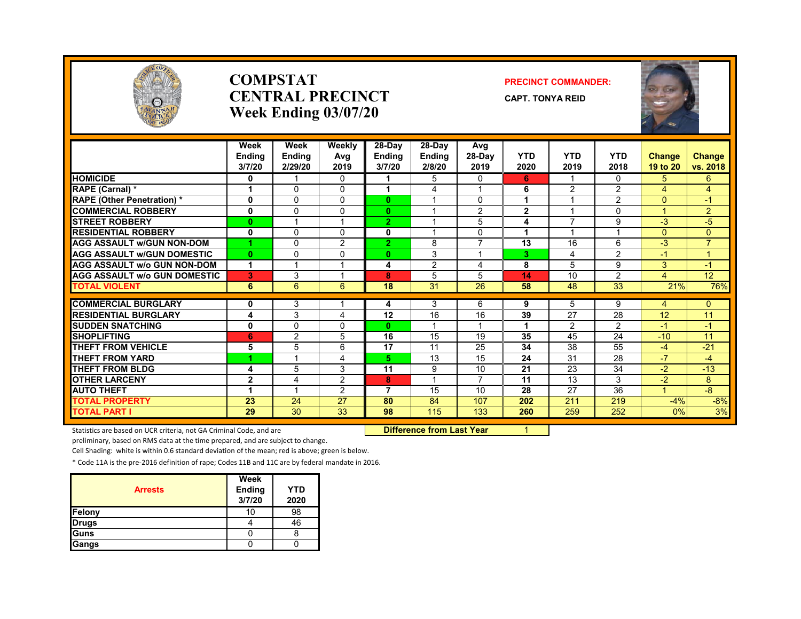

#### **COMPSTATCENTRAL PRECINCTWeek Ending 03/07/20**

#### **PRECINCT COMMANDER:**

**CAPT. TONYA REID**



|                                     | Week<br><b>Ending</b><br>3/7/20 | Week<br><b>Ending</b><br>2/29/20 | Weekly<br>Avg<br>2019 | 28-Day<br><b>Ending</b><br>3/7/20 | 28-Day<br><b>Ending</b><br>2/8/20 | Avg<br>$28-Dav$<br>2019 | <b>YTD</b><br>2020 | <b>YTD</b><br>2019       | <b>YTD</b><br>2018 | Change<br>19 to 20 | Change<br>vs. 2018 |
|-------------------------------------|---------------------------------|----------------------------------|-----------------------|-----------------------------------|-----------------------------------|-------------------------|--------------------|--------------------------|--------------------|--------------------|--------------------|
| <b>HOMICIDE</b>                     | 0                               |                                  | 0                     | 1                                 | 5                                 | 0                       | 6                  | -1                       | $\Omega$           | 5                  | $6^{\circ}$        |
| RAPE (Carnal) *                     | 1                               | $\Omega$                         | 0                     | 1                                 | 4                                 | $\overline{ }$          | 6                  | 2                        | 2                  | 4                  | $\overline{4}$     |
| <b>RAPE (Other Penetration) *</b>   | 0                               | $\Omega$                         | 0                     | $\mathbf{0}$                      |                                   | $\mathbf{0}$            | 1                  |                          | 2                  | $\Omega$           | $-1$               |
| <b>COMMERCIAL ROBBERY</b>           | 0                               | $\mathbf{0}$                     | 0                     | $\mathbf{0}$                      |                                   | 2                       | $\mathbf{2}$       |                          | $\Omega$           | 1                  | $\overline{2}$     |
| <b>STREET ROBBERY</b>               | $\mathbf{0}$                    |                                  |                       | $\mathbf{2}$                      |                                   | 5                       | 4                  | $\overline{\phantom{a}}$ | 9                  | $-3$               | $-5$               |
| <b>RESIDENTIAL ROBBERY</b>          | 0                               | $\Omega$                         | 0                     | 0                                 | и                                 | $\Omega$                | 1                  | ×,                       |                    | $\mathbf{0}$       | $\Omega$           |
| <b>AGG ASSAULT W/GUN NON-DOM</b>    | 4                               | $\Omega$                         | $\overline{2}$        | $\overline{2}$                    | 8                                 | $\overline{7}$          | 13                 | 16                       | 6                  | $-3$               | $\overline{7}$     |
| <b>AGG ASSAULT W/GUN DOMESTIC</b>   | $\mathbf{0}$                    | $\Omega$                         | 0                     | $\mathbf{0}$                      | 3                                 | $\overline{\mathbf{A}}$ | 3                  | 4                        | 2                  | $-1$               | $\mathbf{1}$       |
| <b>AGG ASSAULT W/o GUN NON-DOM</b>  | 1                               |                                  |                       | 4                                 | 2                                 | 4                       | 8                  | 5                        | 9                  | 3                  | $-1$               |
| <b>AGG ASSAULT W/o GUN DOMESTIC</b> | 3                               | 3                                |                       | 8                                 | 5                                 | 5                       | 14                 | 10                       | $\overline{2}$     | 4                  | 12                 |
| <b>TOTAL VIOLENT</b>                | 6                               | 6                                | 6                     | 18                                | 31                                | 26                      | 58                 | 48                       | 33                 | 21%                | 76%                |
|                                     |                                 |                                  |                       |                                   |                                   |                         |                    |                          |                    |                    |                    |
| <b>COMMERCIAL BURGLARY</b>          | 0                               | 3                                |                       | 4                                 | 3                                 | 6                       | 9                  | 5                        | 9                  | 4                  | $\mathbf{0}$       |
| <b>RESIDENTIAL BURGLARY</b>         | 4                               | 3                                | 4                     | 12                                | 16                                | 16                      | 39                 | 27                       | 28                 | 12                 | 11                 |
| <b>SUDDEN SNATCHING</b>             | 0                               | $\Omega$                         | 0                     | $\mathbf{0}$                      |                                   |                         | 1                  | 2                        | $\overline{2}$     | $-1$               | $-1$               |
| <b>SHOPLIFTING</b>                  | 6                               | $\overline{2}$                   | 5                     | 16                                | 15                                | 19                      | 35                 | 45                       | 24                 | $-10$              | 11                 |
| <b>THEFT FROM VEHICLE</b>           | 5                               | 5                                | 6                     | 17                                | 11                                | 25                      | 34                 | 38                       | 55                 | $-4$               | $-21$              |
| THEFT FROM YARD                     | 4                               | $\overline{A}$                   | 4                     | 5.                                | 13                                | 15                      | 24                 | 31                       | 28                 | $-7$               | $-4$               |
| <b>THEFT FROM BLDG</b>              | 4                               | 5                                | 3                     | 11                                | 9                                 | 10                      | 21                 | 23                       | 34                 | $-2$               | $-13$              |
| <b>OTHER LARCENY</b>                | $\mathbf{2}$                    | 4                                | $\overline{2}$        | 8                                 |                                   | $\overline{7}$          | 11                 | 13                       | 3                  | $-2$               | 8                  |
| <b>AUTO THEFT</b>                   | 1                               |                                  | $\overline{2}$        | 7                                 | 15                                | 10                      | 28                 | 27                       | 36                 | 1                  | $-8$               |
| <b>TOTAL PROPERTY</b>               | $\overline{23}$                 | 24                               | 27                    | 80                                | 84                                | 107                     | 202                | 211                      | 219                | $-4%$              | $-8%$              |
| <b>TOTAL PART I</b>                 | 29                              | 30                               | 33                    | 98                                | 115                               | 133                     | 260                | 259                      | 252                | 0%                 | 3%                 |

Statistics are based on UCR criteria, not GA Criminal Code, and are **Difference from Last Year** 1

preliminary, based on RMS data at the time prepared, and are subject to change.

Cell Shading: white is within 0.6 standard deviation of the mean; red is above; green is below.

|                | Week             |                    |
|----------------|------------------|--------------------|
| <b>Arrests</b> | Ending<br>3/7/20 | <b>YTD</b><br>2020 |
| Felony         | 10               | 98                 |
| <b>Drugs</b>   |                  | 46                 |
| Guns           |                  |                    |
| Gangs          |                  |                    |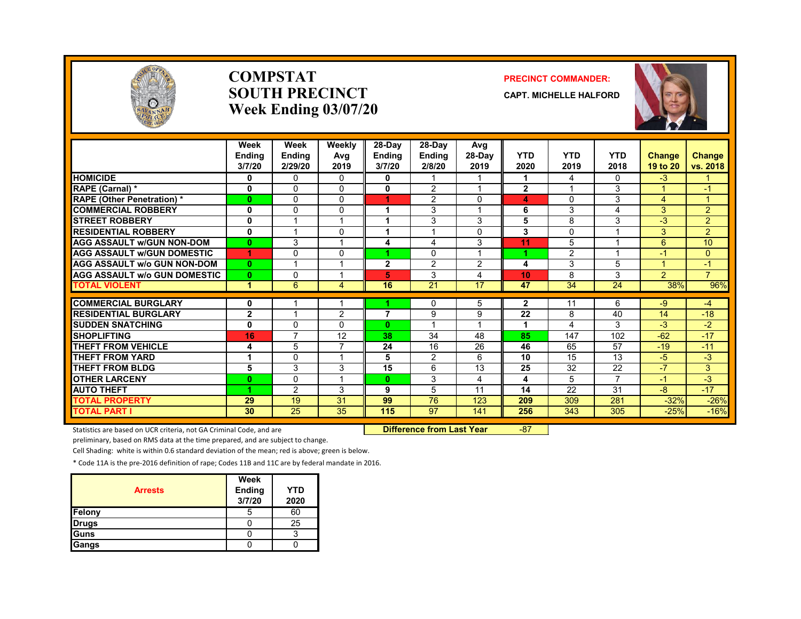

#### **COMPSTATSOUTH PRECINCTWeek Ending 03/07/20**

#### **PRECINCT COMMANDER:**

**CAPT. MICHELLE HALFORD**



|                                     | Week<br><b>Endina</b><br>3/7/20 | Week<br><b>Ending</b><br>2/29/20 | Weekly<br>Avg<br>2019 | $28-Day$<br><b>Ending</b><br>3/7/20 | 28-Day<br><b>Ending</b><br>2/8/20 | Avg<br>28-Day<br>2019 | <b>YTD</b><br>2020 | <b>YTD</b><br>2019 | <b>YTD</b><br>2018 | Change<br>19 to 20 | <b>Change</b><br>vs. 2018 |
|-------------------------------------|---------------------------------|----------------------------------|-----------------------|-------------------------------------|-----------------------------------|-----------------------|--------------------|--------------------|--------------------|--------------------|---------------------------|
| <b>HOMICIDE</b>                     | 0                               | $\mathbf{0}$                     | $\mathbf{0}$          | 0                                   |                                   |                       | 1                  | 4                  | 0                  | $-3$               |                           |
| RAPE (Carnal) *                     | $\mathbf 0$                     | $\Omega$                         | 0                     | $\mathbf{0}$                        | $\overline{2}$                    | $\overline{ }$        | $\overline{2}$     |                    | 3                  | $\overline{A}$     | $-1$                      |
| <b>RAPE</b> (Other Penetration) *   | $\bf{0}$                        | $\mathbf{0}$                     | 0                     | 4.                                  | 2                                 | $\mathbf{0}$          | 4                  | $\Omega$           | 3                  | 4                  | -1                        |
| <b>COMMERCIAL ROBBERY</b>           | 0                               | $\Omega$                         | 0                     | 1                                   | 3                                 |                       | 6                  | 3                  | 4                  | 3                  | $\overline{2}$            |
| <b>STREET ROBBERY</b>               | 0                               |                                  |                       | 1                                   | 3                                 | 3                     | 5                  | 8                  | 3                  | $-3$               | $\overline{2}$            |
| <b>RESIDENTIAL ROBBERY</b>          | $\mathbf{0}$                    |                                  | 0                     | 1                                   |                                   | $\Omega$              | 3                  | 0                  | -4                 | 3                  | $\overline{2}$            |
| <b>AGG ASSAULT w/GUN NON-DOM</b>    | $\mathbf{0}$                    | 3                                |                       | 4                                   | 4                                 | 3                     | 11                 | 5                  |                    | 6                  | 10                        |
| <b>AGG ASSAULT W/GUN DOMESTIC</b>   | 1                               | $\Omega$                         | 0                     |                                     | $\Omega$                          | $\overline{ }$        | и                  | 2                  | 4                  | $-1$               | $\mathbf{0}$              |
| <b>AGG ASSAULT w/o GUN NON-DOM</b>  | $\mathbf{0}$                    |                                  |                       | $\mathbf{2}$                        | 2                                 | 2                     | 4                  | 3                  | 5                  | $\overline{A}$     | $-1$                      |
| <b>AGG ASSAULT w/o GUN DOMESTIC</b> | $\mathbf{0}$                    | $\Omega$                         |                       | 5                                   | 3                                 | 4                     | 10                 | 8                  | 3                  | 2                  | $\overline{7}$            |
| <b>TOTAL VIOLENT</b>                | и                               | 6                                | 4                     | 16                                  | 21                                | 17                    | 47                 | 34                 | 24                 | 38%                | 96%                       |
|                                     |                                 |                                  |                       |                                     |                                   |                       |                    |                    |                    |                    |                           |
| <b>COMMERCIAL BURGLARY</b>          | 0                               |                                  |                       | 7                                   | 0                                 | 5                     | $\mathbf{2}$       | 11                 | 6                  | -9                 | $-4$                      |
| <b>RESIDENTIAL BURGLARY</b>         | $\mathbf 2$                     |                                  | 2                     |                                     | 9<br>$\overline{ }$               | 9<br>$\overline{ }$   | $\overline{22}$    | 8                  | 40                 | 14                 | $-18$                     |
| <b>SUDDEN SNATCHING</b>             | 0                               | $\mathbf{0}$                     | 0                     | $\bf{0}$                            |                                   |                       | 4                  | 4                  | 3                  | $-3$               | $-2$                      |
| <b>SHOPLIFTING</b>                  | 16                              | $\overline{7}$                   | 12                    | 38                                  | 34                                | 48                    | 85                 | 147                | 102                | $-62$              | $-17$                     |
| <b>THEFT FROM VEHICLE</b>           | 4                               | 5                                |                       | 24                                  | 16                                | 26                    | 46                 | 65                 | 57                 | $-19$              | $-11$                     |
| <b>THEFT FROM YARD</b>              |                                 | $\Omega$                         |                       | 5                                   | $\overline{2}$                    | 6                     | 10                 | 15                 | 13                 | -5                 | $-3$                      |
| <b>THEFT FROM BLDG</b>              | 5                               | 3                                | 3                     | 15                                  | 6                                 | 13                    | 25                 | 32                 | 22                 | $-7$               | 3                         |
| <b>OTHER LARCENY</b>                | $\bf{0}$                        | $\mathbf 0$                      |                       | $\mathbf{0}$                        | 3                                 | $\overline{4}$        | 4                  | 5                  | $\overline{7}$     | $-1$               | $-3$                      |
| <b>AUTO THEFT</b>                   | 4                               | 2                                | 3                     | 9                                   | 5                                 | 11                    | 14                 | 22                 | 31                 | -8                 | $-17$                     |
| <b>TOTAL PROPERTY</b>               | 29                              | 19                               | 31                    | 99                                  | 76                                | 123                   | 209                | 309                | 281                | $-32%$             | $-26%$                    |
| <b>TOTAL PART I</b>                 | 30                              | 25                               | 35                    | 115                                 | 97                                | 141                   | 256                | 343                | 305                | $-25%$             | $-16%$                    |

Statistics are based on UCR criteria, not GA Criminal Code, and are **Difference from Last Year** -87

preliminary, based on RMS data at the time prepared, and are subject to change.

Cell Shading: white is within 0.6 standard deviation of the mean; red is above; green is below.

| <b>Arrests</b> | Week<br><b>Ending</b><br>3/7/20 | <b>YTD</b><br>2020 |
|----------------|---------------------------------|--------------------|
| Felony         | 5                               | 60                 |
| <b>Drugs</b>   |                                 | 25                 |
| Guns           |                                 |                    |
| Gangs          |                                 |                    |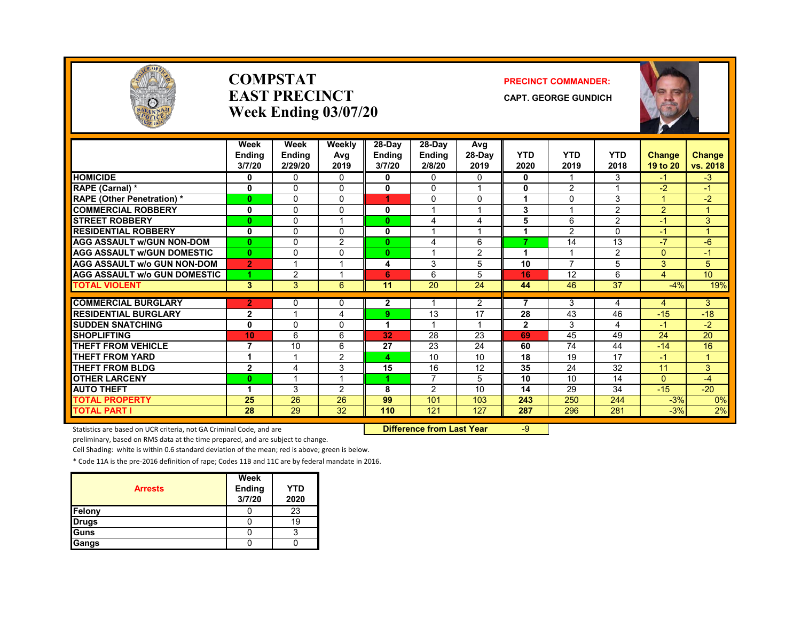

#### **COMPSTATEAST PRECINCTWeek Ending 03/07/20**

#### **PRECINCT COMMANDER:**

**CAPT. GEORGE GUNDICH**



|                                     | Week<br>Endina<br>3/7/20 | Week<br><b>Ending</b><br>2/29/20 | Weekly<br>Ava<br>2019 | $28-Day$<br><b>Ending</b><br>3/7/20 | 28-Day<br><b>Endina</b><br>2/8/20 | Avg<br>28-Day<br>2019 | <b>YTD</b><br>2020 | <b>YTD</b><br>2019 | <b>YTD</b><br>2018 | <b>Change</b><br>19 to 20 | <b>Change</b><br>vs. 2018 |
|-------------------------------------|--------------------------|----------------------------------|-----------------------|-------------------------------------|-----------------------------------|-----------------------|--------------------|--------------------|--------------------|---------------------------|---------------------------|
| <b>HOMICIDE</b>                     | 0                        | $\Omega$                         | $\Omega$              | 0                                   | 0                                 | $\Omega$              | $\bf{0}$           | -1                 | 3                  | -1                        | $-3$                      |
| RAPE (Carnal) *                     | 0                        | $\Omega$                         | $\Omega$              | 0                                   | 0                                 | 1                     | 0                  | 2                  |                    | $-2$                      | $-1$                      |
| <b>RAPE (Other Penetration)</b> *   | $\mathbf{0}$             | $\Omega$                         | $\Omega$              | 4                                   | 0                                 | 0                     | 1                  | $\Omega$           | 3                  | $\blacktriangleleft$      | $-2$                      |
| <b>COMMERCIAL ROBBERY</b>           | $\mathbf 0$              | $\Omega$                         | 0                     | 0                                   |                                   |                       | 3                  |                    | $\overline{2}$     | 2                         | 1                         |
| <b>STREET ROBBERY</b>               | $\mathbf{0}$             | $\Omega$                         | 1                     | $\bf{0}$                            | 4                                 | 4                     | 5                  | 6                  | $\overline{2}$     | $-1$                      | 3                         |
| <b>RESIDENTIAL ROBBERY</b>          | 0                        | $\Omega$                         | 0                     | 0                                   |                                   |                       |                    | 2                  | U                  | $\blacktriangle$ 1        | 1                         |
| <b>AGG ASSAULT W/GUN NON-DOM</b>    | $\mathbf{0}$             | $\Omega$                         | 2                     | $\mathbf{0}$                        | 4                                 | 6                     | 7                  | 14                 | 13                 | $-7$                      | $-6$                      |
| <b>AGG ASSAULT W/GUN DOMESTIC</b>   | $\mathbf{0}$             | $\Omega$                         | $\Omega$              | $\mathbf{0}$                        | $\overline{A}$                    | 2                     | 1                  |                    | $\overline{2}$     | $\Omega$                  | $-1$                      |
| <b>AGG ASSAULT w/o GUN NON-DOM</b>  | $\overline{2}$           | $\overline{\phantom{a}}$         | 1                     | 4                                   | 3                                 | 5                     | 10                 | $\overline{7}$     | 5                  | 3                         | 5                         |
| <b>AGG ASSAULT w/o GUN DOMESTIC</b> | 4                        | 2                                | 4                     | 6                                   | 6                                 | 5                     | 16                 | 12                 | 6                  | 4                         | 10 <sup>1</sup>           |
| <b>TOTAL VIOLENT</b>                | $\mathbf{3}$             | 3                                | 6                     | 11                                  | 20                                | 24                    | 44                 | 46                 | 37                 | $-4%$                     | 19%                       |
|                                     |                          |                                  |                       |                                     |                                   |                       |                    |                    |                    |                           |                           |
| <b>COMMERCIAL BURGLARY</b>          | $\overline{2}$           | $\Omega$                         | 0                     | $\mathbf{2}$                        |                                   | 2                     | 7                  | 3                  | 4                  | 4                         | 3                         |
| <b>RESIDENTIAL BURGLARY</b>         | $\overline{2}$           | 1                                | 4                     | 9.                                  | 13                                | 17                    | 28                 | 43                 | 46                 | $-15$                     | $-18$                     |
| <b>SUDDEN SNATCHING</b>             | 0                        | $\Omega$                         | 0                     |                                     |                                   | 1                     | $\mathbf{2}$       | 3                  | 4                  | $-1$                      | $-2$                      |
| <b>SHOPLIFTING</b>                  | 10                       | 6                                | 6                     | 32                                  | 28                                | 23                    | 69                 | 45                 | 49                 | 24                        | 20                        |
| <b>THEFT FROM VEHICLE</b>           | $\overline{7}$           | 10                               | 6                     | 27                                  | 23                                | 24                    | 60                 | 74                 | 44                 | $-14$                     | 16                        |
| <b>THEFT FROM YARD</b>              | $\mathbf{1}$             |                                  | 2                     | 4                                   | 10                                | 10                    | 18                 | 19                 | 17                 | $\blacktriangleleft$      | $\mathbf{1}$              |
| <b>THEFT FROM BLDG</b>              | $\overline{2}$           | 4                                | 3                     | 15                                  | 16                                | 12                    | 35                 | 24                 | 32                 | 11                        | 3                         |
| <b>OTHER LARCENY</b>                | $\mathbf{0}$             |                                  | 1                     | 4.                                  | 7                                 | 5                     | 10                 | 10                 | 14                 | $\Omega$                  | $-4$                      |
| <b>AUTO THEFT</b>                   | 1                        | 3                                | $\overline{2}$        | 8                                   | 2                                 | 10                    | 14                 | 29                 | 34                 | $-15$                     | $-20$                     |
| <b>TOTAL PROPERTY</b>               | 25                       | 26                               | 26                    | 99                                  | 101                               | 103                   | 243                | 250                | 244                | $-3%$                     | 0%                        |
| <b>TOTAL PART I</b>                 | 28                       | 29                               | 32                    | 110                                 | 121                               | 127                   | 287                | 296                | 281                | $-3%$                     | 2%                        |

Statistics are based on UCR criteria, not GA Criminal Code, and are **Difference from Last Year** -9

preliminary, based on RMS data at the time prepared, and are subject to change.

Cell Shading: white is within 0.6 standard deviation of the mean; red is above; green is below.

| <b>Arrests</b> | Week<br>Ending<br>3/7/20 | <b>YTD</b><br>2020 |
|----------------|--------------------------|--------------------|
| Felony         |                          | 23                 |
| <b>Drugs</b>   |                          | 19                 |
| <b>Guns</b>    |                          | я                  |
| Gangs          |                          |                    |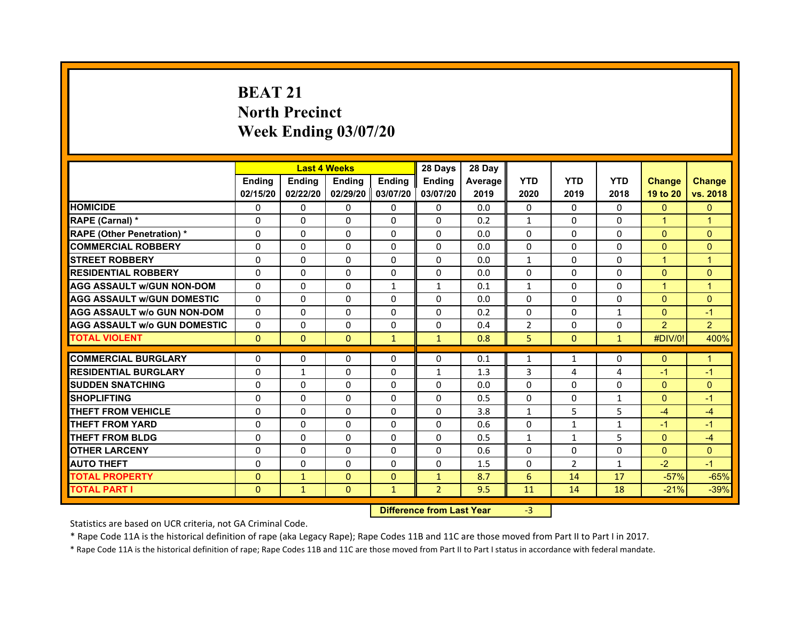# **BEAT 21North PrecinctWeek Ending 03/07/20**

|                                     |               | <b>Last 4 Weeks</b> |               |                   | 28 Days        | 28 Day  |                |                |                |                |                |
|-------------------------------------|---------------|---------------------|---------------|-------------------|----------------|---------|----------------|----------------|----------------|----------------|----------------|
|                                     | <b>Endina</b> | <b>Ending</b>       | <b>Endina</b> | <b>Endina</b>     | <b>Endina</b>  | Average | <b>YTD</b>     | <b>YTD</b>     | <b>YTD</b>     | <b>Change</b>  | <b>Change</b>  |
|                                     | 02/15/20      | 02/22/20            |               | 02/29/20 03/07/20 | 03/07/20       | 2019    | 2020           | 2019           | 2018           | 19 to 20       | vs. 2018       |
| <b>HOMICIDE</b>                     | $\Omega$      | $\mathbf{0}$        | $\Omega$      | $\mathbf{0}$      | $\mathbf{0}$   | 0.0     | $\mathbf{0}$   | $\Omega$       | $\Omega$       | $\mathbf{0}$   | $\mathbf{0}$   |
| RAPE (Carnal) *                     | $\Omega$      | $\Omega$            | $\Omega$      | $\Omega$          | $\Omega$       | 0.2     | $\mathbf{1}$   | $\Omega$       | $\Omega$       | $\overline{1}$ | $\overline{1}$ |
| <b>RAPE (Other Penetration)*</b>    | $\Omega$      | $\Omega$            | $\Omega$      | $\Omega$          | $\Omega$       | 0.0     | $\Omega$       | $\Omega$       | $\Omega$       | $\Omega$       | $\Omega$       |
| <b>COMMERCIAL ROBBERY</b>           | 0             | 0                   | 0             | $\mathbf{0}$      | 0              | 0.0     | 0              | 0              | 0              | $\mathbf{0}$   | $\Omega$       |
| <b>STREET ROBBERY</b>               | 0             | $\Omega$            | 0             | $\Omega$          | 0              | 0.0     | $\mathbf{1}$   | 0              | $\Omega$       | $\mathbf 1$    | 1              |
| <b>RESIDENTIAL ROBBERY</b>          | $\Omega$      | 0                   | $\Omega$      | $\Omega$          | $\Omega$       | 0.0     | 0              | $\Omega$       | $\Omega$       | $\Omega$       | $\Omega$       |
| <b>AGG ASSAULT W/GUN NON-DOM</b>    | $\Omega$      | $\Omega$            | $\Omega$      | $\mathbf{1}$      | $\mathbf{1}$   | 0.1     | $\mathbf{1}$   | $\Omega$       | $\Omega$       | $\overline{1}$ | $\overline{1}$ |
| <b>AGG ASSAULT W/GUN DOMESTIC</b>   | $\Omega$      | $\Omega$            | $\Omega$      | $\Omega$          | $\Omega$       | 0.0     | $\Omega$       | $\Omega$       | $\Omega$       | $\Omega$       | $\Omega$       |
| <b>AGG ASSAULT w/o GUN NON-DOM</b>  | 0             | 0                   | 0             | 0                 | 0              | 0.2     | 0              | 0              | $\mathbf{1}$   | $\mathbf{0}$   | $-1$           |
| <b>AGG ASSAULT W/o GUN DOMESTIC</b> | 0             | 0                   | 0             | 0                 | 0              | 0.4     | $\overline{2}$ | 0              | $\Omega$       | 2              | $\overline{2}$ |
| <b>TOTAL VIOLENT</b>                | $\mathbf{0}$  | $\mathbf{0}$        | $\mathbf{0}$  | $\mathbf{1}$      | $\mathbf{1}$   | 0.8     | 5              | $\mathbf{0}$   | $\mathbf{1}$   | #DIV/0!        | 400%           |
|                                     |               |                     |               |                   |                |         |                |                |                |                |                |
| <b>COMMERCIAL BURGLARY</b>          | 0             | 0                   | 0             | 0                 | 0              | 0.1     | 1              | $\mathbf{1}$   | 0              | $\mathbf{0}$   | 1              |
| <b>RESIDENTIAL BURGLARY</b>         | 0             | 1                   | 0             | 0                 | $\mathbf{1}$   | 1.3     | 3              | $\overline{4}$ | $\overline{4}$ | $-1$           | $-1$           |
| <b>SUDDEN SNATCHING</b>             | 0             | $\mathbf 0$         | $\Omega$      | $\Omega$          | $\Omega$       | 0.0     | $\mathbf 0$    | $\Omega$       | $\mathbf 0$    | $\Omega$       | $\mathbf{0}$   |
| <b>SHOPLIFTING</b>                  | $\Omega$      | $\Omega$            | $\Omega$      | $\Omega$          | $\Omega$       | 0.5     | $\Omega$       | $\Omega$       | $\mathbf{1}$   | $\Omega$       | $-1$           |
| THEFT FROM VEHICLE                  | 0             | $\Omega$            | $\Omega$      | $\Omega$          | $\Omega$       | 3.8     | $\mathbf{1}$   | 5              | 5              | $-4$           | $-4$           |
| <b>THEFT FROM YARD</b>              | 0             | 0                   | $\Omega$      | $\Omega$          | 0              | 0.6     | 0              | 1              | 1              | $-1$           | $-1$           |
| <b>THEFT FROM BLDG</b>              | 0             | 0                   | $\Omega$      | 0                 | $\Omega$       | 0.5     | $\mathbf{1}$   | $\mathbf{1}$   | 5              | $\Omega$       | $-4$           |
| <b>OTHER LARCENY</b>                | 0             | $\Omega$            | 0             | $\mathbf{0}$      | $\Omega$       | 0.6     | $\Omega$       | 0              | 0              | $\Omega$       | $\Omega$       |
| <b>AUTO THEFT</b>                   | 0             | $\Omega$            | $\Omega$      | 0                 | $\Omega$       | 1.5     | $\Omega$       | $\overline{2}$ | $\mathbf{1}$   | $-2$           | $-1$           |
| <b>TOTAL PROPERTY</b>               | $\Omega$      | $\mathbf{1}$        | $\Omega$      | $\Omega$          | $\mathbf{1}$   | 8.7     | 6              | 14             | 17             | $-57%$         | $-65%$         |
| <b>TOTAL PART I</b>                 | $\Omega$      | $\mathbf{1}$        | $\mathbf{0}$  | $\mathbf{1}$      | $\overline{2}$ | 9.5     | 11             | 14             | 18             | $-21%$         | $-39%$         |

 **Difference from Last Year**r -3

Statistics are based on UCR criteria, not GA Criminal Code.

\* Rape Code 11A is the historical definition of rape (aka Legacy Rape); Rape Codes 11B and 11C are those moved from Part II to Part I in 2017.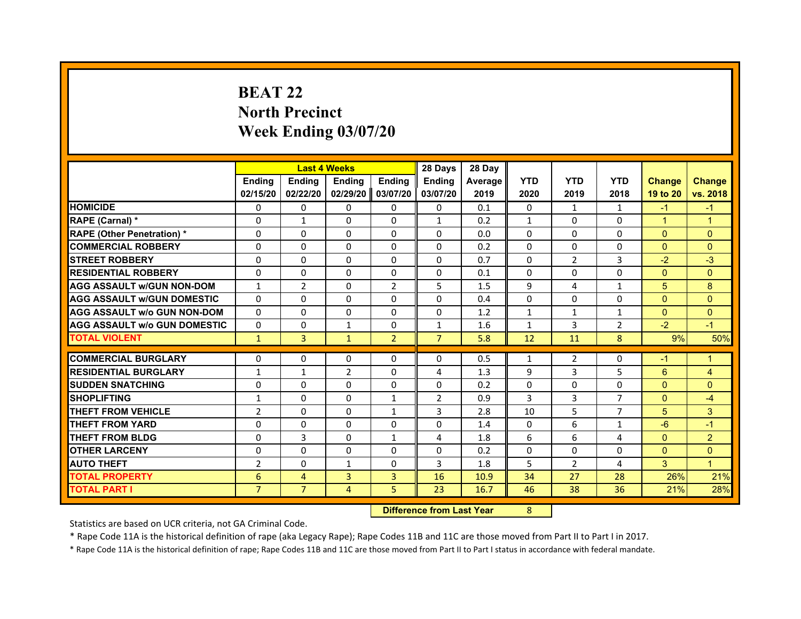# **BEAT 22North Precinct Week Ending 03/07/20**

|                                     |                | <b>Last 4 Weeks</b> |                |                | 28 Days        | 28 Day  |                |                |                |               |                |
|-------------------------------------|----------------|---------------------|----------------|----------------|----------------|---------|----------------|----------------|----------------|---------------|----------------|
|                                     | <b>Endina</b>  | <b>Ending</b>       | <b>Endina</b>  | <b>Endina</b>  | <b>Endina</b>  | Average | <b>YTD</b>     | <b>YTD</b>     | <b>YTD</b>     | <b>Change</b> | <b>Change</b>  |
|                                     | 02/15/20       | 02/22/20            | 02/29/20       | 03/07/20       | 03/07/20       | 2019    | 2020           | 2019           | 2018           | 19 to 20      | vs. 2018       |
| <b>HOMICIDE</b>                     | 0              | $\Omega$            | $\Omega$       | 0              | 0              | 0.1     | 0              | $\mathbf{1}$   | $\mathbf{1}$   | $-1$          | $-1$           |
| RAPE (Carnal) *                     | $\Omega$       | $\mathbf{1}$        | $\Omega$       | $\Omega$       | $\mathbf{1}$   | 0.2     | $\mathbf{1}$   | $\Omega$       | $\Omega$       | $\mathbf{1}$  | $\overline{1}$ |
| <b>RAPE (Other Penetration) *</b>   | $\Omega$       | $\Omega$            | $\Omega$       | 0              | $\Omega$       | 0.0     | $\Omega$       | 0              | $\Omega$       | $\Omega$      | $\Omega$       |
| <b>COMMERCIAL ROBBERY</b>           | $\Omega$       | $\Omega$            | 0              | $\Omega$       | $\Omega$       | 0.2     | $\Omega$       | $\Omega$       | 0              | $\Omega$      | $\Omega$       |
| <b>STREET ROBBERY</b>               | $\Omega$       | $\Omega$            | $\Omega$       | $\Omega$       | $\Omega$       | 0.7     | $\Omega$       | $\overline{2}$ | 3              | $-2$          | $-3$           |
| <b>RESIDENTIAL ROBBERY</b>          | 0              | 0                   | 0              | 0              | 0              | 0.1     | 0              | 0              | 0              | $\Omega$      | $\Omega$       |
| <b>AGG ASSAULT W/GUN NON-DOM</b>    | $\mathbf{1}$   | $\overline{2}$      | $\Omega$       | $\overline{2}$ | 5              | 1.5     | 9              | 4              | $\mathbf{1}$   | 5             | 8              |
| <b>AGG ASSAULT W/GUN DOMESTIC</b>   | $\Omega$       | $\Omega$            | $\Omega$       | $\Omega$       | $\Omega$       | 0.4     | $\Omega$       | $\Omega$       | $\Omega$       | $\Omega$      | $\Omega$       |
| <b>AGG ASSAULT w/o GUN NON-DOM</b>  | $\Omega$       | $\Omega$            | $\Omega$       | 0              | 0              | 1.2     | $\mathbf{1}$   | $\mathbf{1}$   | $\mathbf{1}$   | $\Omega$      | $\Omega$       |
| <b>AGG ASSAULT W/o GUN DOMESTIC</b> | $\Omega$       | $\Omega$            | $\mathbf{1}$   | $\Omega$       | $\mathbf{1}$   | 1.6     | $\mathbf{1}$   | 3              | $\overline{2}$ | $-2$          | $-1$           |
| <b>TOTAL VIOLENT</b>                | $\mathbf{1}$   | $\overline{3}$      | $\mathbf{1}$   | $\overline{2}$ | $\overline{7}$ | 5.8     | 12             | 11             | 8              | 9%            | 50%            |
|                                     |                |                     |                |                |                |         |                |                |                |               |                |
| <b>COMMERCIAL BURGLARY</b>          | 0              | 0                   | 0              | 0              | 0              | 0.5     | $\mathbf{1}$   | 2              | 0              | $-1$          | $\mathbf{1}$   |
| <b>RESIDENTIAL BURGLARY</b>         | $\mathbf{1}$   | $\mathbf{1}$        | $\overline{2}$ | 0              | 4              | 1.3     | 9              | 3              | 5              | 6             | $\overline{4}$ |
| <b>SUDDEN SNATCHING</b>             | $\Omega$       | $\Omega$            | $\Omega$       | $\Omega$       | $\Omega$       | 0.2     | $\Omega$       | $\Omega$       | $\Omega$       | $\Omega$      | $\Omega$       |
| <b>SHOPLIFTING</b>                  | $\mathbf{1}$   | $\Omega$            | $\Omega$       | $\mathbf{1}$   | $\overline{2}$ | 0.9     | $\overline{3}$ | 3              | $\overline{7}$ | $\Omega$      | $-4$           |
| <b>THEFT FROM VEHICLE</b>           | $\overline{2}$ | $\Omega$            | $\Omega$       | $\mathbf{1}$   | 3              | 2.8     | 10             | 5              | $\overline{7}$ | 5             | 3              |
| <b>THEFT FROM YARD</b>              | $\Omega$       | $\Omega$            | $\Omega$       | 0              | $\Omega$       | 1.4     | 0              | 6              | 1              | $-6$          | $-1$           |
| <b>THEFT FROM BLDG</b>              | $\Omega$       | 3                   | $\Omega$       | $\mathbf{1}$   | 4              | 1.8     | 6              | 6              | 4              | $\mathbf{0}$  | $\overline{2}$ |
| <b>OTHER LARCENY</b>                | $\Omega$       | $\Omega$            | $\Omega$       | $\Omega$       | $\Omega$       | 0.2     | $\Omega$       | $\Omega$       | $\Omega$       | $\Omega$      | $\Omega$       |
| <b>AUTO THEFT</b>                   | $\overline{2}$ | $\Omega$            | $\mathbf{1}$   | $\Omega$       | 3              | 1.8     | 5              | $\overline{2}$ | 4              | 3             | $\mathbf{1}$   |
| <b>TOTAL PROPERTY</b>               | 6              | 4                   | 3              | 3              | 16             | 10.9    | 34             | 27             | 28             | 26%           | 21%            |
| <b>TOTAL PART I</b>                 | $\overline{7}$ | $\overline{7}$      | 4              | 5              | 23             | 16.7    | 46             | 38             | 36             | 21%           | 28%            |

 **Difference from Last Year**r 8

Statistics are based on UCR criteria, not GA Criminal Code.

\* Rape Code 11A is the historical definition of rape (aka Legacy Rape); Rape Codes 11B and 11C are those moved from Part II to Part I in 2017.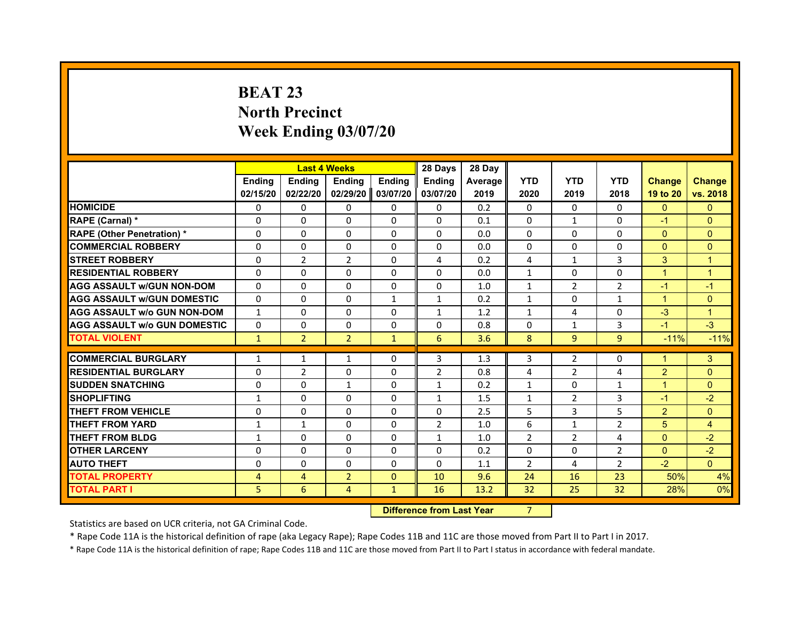# **BEAT 23North Precinct Week Ending 03/07/20**

|                                     |               | <b>Last 4 Weeks</b> |                |               | 28 Days        | 28 Day  |                |                |                |                      |                |
|-------------------------------------|---------------|---------------------|----------------|---------------|----------------|---------|----------------|----------------|----------------|----------------------|----------------|
|                                     | <b>Endina</b> | <b>Endina</b>       | <b>Endina</b>  | <b>Ending</b> | <b>Endina</b>  | Average | <b>YTD</b>     | <b>YTD</b>     | <b>YTD</b>     | <b>Change</b>        | <b>Change</b>  |
|                                     | 02/15/20      | 02/22/20            | 02/29/20 ll    | 03/07/20      | 03/07/20       | 2019    | 2020           | 2019           | 2018           | 19 to 20             | vs. 2018       |
| <b>HOMICIDE</b>                     | 0             | 0                   | 0              | 0             | $\mathbf{0}$   | 0.2     | $\mathbf{0}$   | 0              | $\mathbf{0}$   | $\mathbf{0}$         | $\mathbf{0}$   |
| RAPE (Carnal) *                     | $\Omega$      | $\Omega$            | $\Omega$       | $\mathbf{0}$  | $\mathbf{0}$   | 0.1     | $\Omega$       | $\mathbf{1}$   | $\Omega$       | $-1$                 | $\mathbf{0}$   |
| <b>RAPE (Other Penetration) *</b>   | $\Omega$      | $\Omega$            | $\Omega$       | $\mathbf{0}$  | $\Omega$       | 0.0     | $\Omega$       | $\Omega$       | $\Omega$       | $\Omega$             | $\mathbf{0}$   |
| <b>COMMERCIAL ROBBERY</b>           | 0             | 0                   | $\Omega$       | 0             | 0              | 0.0     | 0              | 0              | 0              | $\Omega$             | $\Omega$       |
| <b>STREET ROBBERY</b>               | $\Omega$      | $\overline{2}$      | $\overline{2}$ | $\mathbf{0}$  | 4              | 0.2     | 4              | $\mathbf{1}$   | 3              | 3                    | $\overline{1}$ |
| <b>RESIDENTIAL ROBBERY</b>          | $\Omega$      | $\Omega$            | 0              | $\mathbf{0}$  | $\Omega$       | 0.0     | $\mathbf{1}$   | $\mathbf{0}$   | 0              | $\overline{1}$       | $\overline{1}$ |
| <b>AGG ASSAULT w/GUN NON-DOM</b>    | $\Omega$      | $\Omega$            | $\Omega$       | 0             | $\mathbf 0$    | 1.0     | $\mathbf{1}$   | $\overline{2}$ | $\overline{2}$ | $-1$                 | $-1$           |
| <b>AGG ASSAULT W/GUN DOMESTIC</b>   | $\Omega$      | $\Omega$            | $\Omega$       | $\mathbf{1}$  | $\mathbf{1}$   | 0.2     | $\mathbf{1}$   | $\mathbf{0}$   | $\mathbf{1}$   | $\blacktriangleleft$ | $\mathbf{0}$   |
| <b>AGG ASSAULT w/o GUN NON-DOM</b>  | $\mathbf{1}$  | $\Omega$            | $\Omega$       | $\Omega$      | $\mathbf{1}$   | 1.2     | $\mathbf{1}$   | 4              | $\Omega$       | $-3$                 | $\overline{1}$ |
| <b>AGG ASSAULT W/o GUN DOMESTIC</b> | $\Omega$      | 0                   | 0              | $\mathbf{0}$  | $\Omega$       | 0.8     | $\Omega$       | 1              | 3              | $-1$                 | $-3$           |
| <b>TOTAL VIOLENT</b>                | $\mathbf{1}$  | $\overline{2}$      | $\overline{2}$ | $\mathbf{1}$  | 6              | 3.6     | 8              | 9              | $\overline{9}$ | $-11%$               | $-11%$         |
|                                     |               |                     |                |               |                |         |                |                |                |                      |                |
| <b>COMMERCIAL BURGLARY</b>          | $\mathbf{1}$  | $\mathbf{1}$        | $\mathbf{1}$   | 0             | 3              | 1.3     | 3              | $\overline{2}$ | $\Omega$       | $\overline{1}$       | 3              |
| <b>RESIDENTIAL BURGLARY</b>         | 0             | $\overline{2}$      | $\Omega$       | 0             | $\overline{2}$ | 0.8     | 4              | $\overline{2}$ | 4              | $\overline{2}$       | $\mathbf{0}$   |
| <b>SUDDEN SNATCHING</b>             | $\Omega$      | $\Omega$            | $\mathbf{1}$   | 0             | $\mathbf{1}$   | 0.2     | $\mathbf{1}$   | 0              | $\mathbf{1}$   | $\blacktriangleleft$ | $\Omega$       |
| <b>SHOPLIFTING</b>                  | $\mathbf{1}$  | $\Omega$            | 0              | $\mathbf{0}$  | $\mathbf{1}$   | 1.5     | $\mathbf{1}$   | $\overline{2}$ | 3              | $-1$                 | $-2$           |
| <b>THEFT FROM VEHICLE</b>           | $\Omega$      | $\Omega$            | $\Omega$       | $\mathbf{0}$  | $\Omega$       | 2.5     | 5              | 3              | 5              | $\overline{2}$       | $\mathbf{0}$   |
| <b>THEFT FROM YARD</b>              | $\mathbf{1}$  | $\mathbf{1}$        | $\Omega$       | $\Omega$      | $\overline{2}$ | 1.0     | 6              | $\mathbf{1}$   | $\overline{2}$ | 5                    | $\overline{4}$ |
| <b>THEFT FROM BLDG</b>              | 1             | $\Omega$            | 0              | 0             | 1              | 1.0     | $\overline{2}$ | 2              | 4              | $\mathbf{0}$         | $-2$           |
| <b>OTHER LARCENY</b>                | 0             | $\Omega$            | 0              | $\mathbf{0}$  | 0              | 0.2     | $\Omega$       | $\Omega$       | $\overline{2}$ | $\mathbf{0}$         | $-2$           |
| <b>AUTO THEFT</b>                   | $\Omega$      | $\Omega$            | $\Omega$       | $\mathbf{0}$  | $\Omega$       | 1.1     | $\overline{2}$ | 4              | $\overline{2}$ | $-2$                 | $\Omega$       |
| <b>TOTAL PROPERTY</b>               | 4             | $\overline{4}$      | $\overline{2}$ | $\mathbf{0}$  | 10             | 9.6     | 24             | 16             | 23             | 50%                  | 4%             |
| <b>TOTAL PART I</b>                 | 5             | 6                   | 4              | $\mathbf{1}$  | 16             | 13.2    | 32             | 25             | 32             | 28%                  | 0%             |

 **Difference from Last Year**r 7

Statistics are based on UCR criteria, not GA Criminal Code.

\* Rape Code 11A is the historical definition of rape (aka Legacy Rape); Rape Codes 11B and 11C are those moved from Part II to Part I in 2017.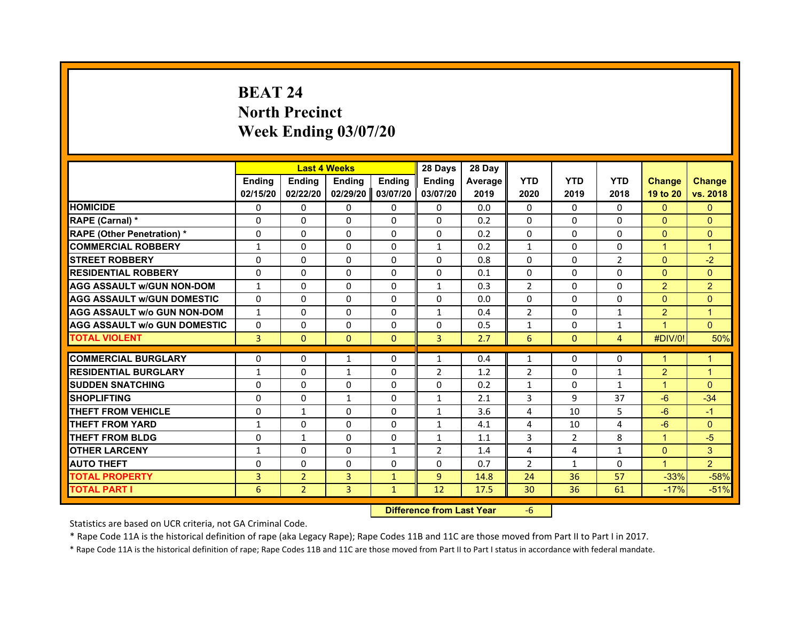# **BEAT 24North Precinct Week Ending 03/07/20**

|                                     |               |                | <b>Last 4 Weeks</b> |               | 28 Days        | 28 Day  |                |              |                |                |                |
|-------------------------------------|---------------|----------------|---------------------|---------------|----------------|---------|----------------|--------------|----------------|----------------|----------------|
|                                     | <b>Endina</b> | <b>Endina</b>  | <b>Endina</b>       | <b>Endina</b> | <b>Endina</b>  | Average | <b>YTD</b>     | <b>YTD</b>   | <b>YTD</b>     | <b>Change</b>  | <b>Change</b>  |
|                                     | 02/15/20      | 02/22/20       | 02/29/20            | 03/07/20      | 03/07/20       | 2019    | 2020           | 2019         | 2018           | 19 to 20       | vs. 2018       |
| <b>HOMICIDE</b>                     | 0             | 0              | 0                   | 0             | 0              | 0.0     | 0              | 0            | 0              | $\mathbf{0}$   | $\Omega$       |
| RAPE (Carnal) *                     | $\Omega$      | $\Omega$       | $\Omega$            | $\Omega$      | $\Omega$       | 0.2     | $\Omega$       | $\Omega$     | $\Omega$       | $\Omega$       | $\Omega$       |
| <b>RAPE (Other Penetration) *</b>   | $\Omega$      | $\Omega$       | $\Omega$            | $\Omega$      | $\Omega$       | 0.2     | $\Omega$       | $\Omega$     | $\Omega$       | $\Omega$       | $\Omega$       |
| <b>COMMERCIAL ROBBERY</b>           | $\mathbf{1}$  | $\Omega$       | $\Omega$            | 0             | $\mathbf{1}$   | 0.2     | $\mathbf{1}$   | $\Omega$     | 0              | $\mathbf{1}$   | 1              |
| <b>STREET ROBBERY</b>               | $\Omega$      | $\Omega$       | $\Omega$            | $\Omega$      | $\Omega$       | 0.8     | $\Omega$       | $\Omega$     | $\overline{2}$ | $\Omega$       | $-2$           |
| <b>RESIDENTIAL ROBBERY</b>          | 0             | 0              | 0                   | $\Omega$      | 0              | 0.1     | $\Omega$       | 0            | 0              | $\Omega$       | $\Omega$       |
| <b>AGG ASSAULT w/GUN NON-DOM</b>    | $\mathbf{1}$  | $\Omega$       | $\Omega$            | $\Omega$      | $\mathbf{1}$   | 0.3     | $\overline{2}$ | $\Omega$     | $\Omega$       | $\overline{2}$ | $\overline{2}$ |
| <b>AGG ASSAULT W/GUN DOMESTIC</b>   | $\Omega$      | $\Omega$       | $\Omega$            | $\Omega$      | $\Omega$       | 0.0     | $\Omega$       | $\Omega$     | $\Omega$       | $\Omega$       | $\Omega$       |
| <b>AGG ASSAULT W/o GUN NON-DOM</b>  | $\mathbf{1}$  | $\Omega$       | $\Omega$            | $\Omega$      | $\mathbf{1}$   | 0.4     | $\overline{2}$ | $\Omega$     | 1              | 2              | $\overline{1}$ |
| <b>AGG ASSAULT W/o GUN DOMESTIC</b> | $\Omega$      | $\Omega$       | $\Omega$            | $\Omega$      | $\Omega$       | 0.5     | 1              | $\Omega$     | 1              | 1              | $\Omega$       |
| <b>TOTAL VIOLENT</b>                | 3             | $\Omega$       | $\Omega$            | $\Omega$      | $\overline{3}$ | 2.7     | 6              | $\mathbf{0}$ | $\overline{4}$ | #DIV/0!        | 50%            |
|                                     |               |                |                     |               |                |         |                |              |                |                |                |
| <b>COMMERCIAL BURGLARY</b>          | $\Omega$      | $\Omega$       | 1                   | $\Omega$      | $\mathbf{1}$   | 0.4     | $\mathbf{1}$   | $\Omega$     | $\Omega$       | 1              | $\mathbf{1}$   |
| <b>RESIDENTIAL BURGLARY</b>         | 1             | 0              | 1                   | $\Omega$      | $\overline{2}$ | 1.2     | $\overline{2}$ | 0            | 1              | $\overline{2}$ | 1              |
| <b>SUDDEN SNATCHING</b>             | $\Omega$      | $\Omega$       | $\Omega$            | $\Omega$      | $\Omega$       | 0.2     | $\mathbf{1}$   | $\Omega$     | $\mathbf{1}$   | 1              | $\Omega$       |
| <b>SHOPLIFTING</b>                  | 0             | 0              | $\mathbf{1}$        | 0             | $\mathbf{1}$   | 2.1     | 3              | 9            | 37             | $-6$           | $-34$          |
| <b>THEFT FROM VEHICLE</b>           | $\Omega$      | $\mathbf{1}$   | $\Omega$            | $\Omega$      | $\mathbf{1}$   | 3.6     | $\overline{4}$ | 10           | 5              | $-6$           | $-1$           |
| <b>THEFT FROM YARD</b>              | $\mathbf{1}$  | $\Omega$       | $\Omega$            | $\Omega$      | $\mathbf{1}$   | 4.1     | $\overline{a}$ | 10           | 4              | $-6$           | $\Omega$       |
| <b>THEFT FROM BLDG</b>              | 0             | 1              | 0                   | 0             | 1              | 1.1     | 3              | 2            | 8              | 1              | $-5$           |
| <b>OTHER LARCENY</b>                | $\mathbf{1}$  | $\Omega$       | 0                   | $\mathbf{1}$  | $\overline{2}$ | 1.4     | $\overline{4}$ | 4            | $\mathbf{1}$   | $\Omega$       | 3              |
| <b>AUTO THEFT</b>                   | $\Omega$      | $\Omega$       | $\Omega$            | $\Omega$      | $\Omega$       | 0.7     | $\overline{2}$ | $\mathbf{1}$ | $\Omega$       | $\mathbf{1}$   | $\overline{2}$ |
| <b>TOTAL PROPERTY</b>               | 3             | $\overline{2}$ | 3                   | $\mathbf{1}$  | 9              | 14.8    | 24             | 36           | 57             | $-33%$         | $-58%$         |
| <b>TOTAL PART I</b>                 | 6             | $\overline{2}$ | 3                   | $\mathbf{1}$  | 12             | 17.5    | 30             | 36           | 61             | $-17%$         | $-51%$         |

 **Difference from Last Year**‐6

Statistics are based on UCR criteria, not GA Criminal Code.

\* Rape Code 11A is the historical definition of rape (aka Legacy Rape); Rape Codes 11B and 11C are those moved from Part II to Part I in 2017.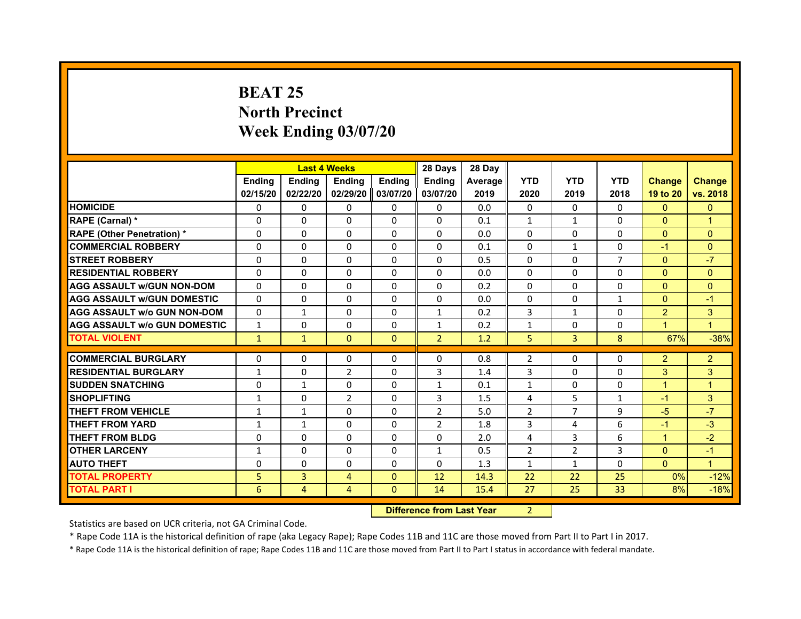# **BEAT 25North Precinct Week Ending 03/07/20**

|                                     |               |                | <b>Last 4 Weeks</b> |              | 28 Days        | 28 Day  |                |                |                |                      |                      |
|-------------------------------------|---------------|----------------|---------------------|--------------|----------------|---------|----------------|----------------|----------------|----------------------|----------------------|
|                                     | <b>Ending</b> | Ending         | <b>Ending</b>       | Ending       | Ending         | Average | <b>YTD</b>     | <b>YTD</b>     | <b>YTD</b>     | <b>Change</b>        | Change               |
|                                     | 02/15/20      | 02/22/20       | 02/29/20            | 03/07/20     | 03/07/20       | 2019    | 2020           | 2019           | 2018           | 19 to 20             | vs. 2018             |
| <b>HOMICIDE</b>                     | 0             | $\Omega$       | 0                   | $\mathbf{0}$ | $\mathbf{0}$   | 0.0     | $\Omega$       | 0              | 0              | $\mathbf{0}$         | $\mathbf{0}$         |
| RAPE (Carnal) *                     | $\Omega$      | $\Omega$       | $\Omega$            | $\Omega$     | $\Omega$       | 0.1     | $\mathbf{1}$   | $\mathbf{1}$   | $\Omega$       | $\Omega$             | $\overline{1}$       |
| <b>RAPE (Other Penetration)*</b>    | $\Omega$      | $\Omega$       | $\Omega$            | $\Omega$     | $\Omega$       | 0.0     | $\Omega$       | $\Omega$       | $\Omega$       | $\Omega$             | $\Omega$             |
| <b>COMMERCIAL ROBBERY</b>           | $\Omega$      | $\Omega$       | $\Omega$            | $\Omega$     | 0              | 0.1     | 0              | $\mathbf{1}$   | $\Omega$       | $-1$                 | $\Omega$             |
| <b>STREET ROBBERY</b>               | $\Omega$      | $\Omega$       | 0                   | $\Omega$     | 0              | 0.5     | 0              | $\Omega$       | $\overline{7}$ | $\Omega$             | $-7$                 |
| <b>RESIDENTIAL ROBBERY</b>          | $\Omega$      | $\Omega$       | 0                   | $\Omega$     | $\Omega$       | 0.0     | $\Omega$       | $\Omega$       | $\Omega$       | $\Omega$             | $\Omega$             |
| <b>AGG ASSAULT W/GUN NON-DOM</b>    | $\Omega$      | $\Omega$       | 0                   | $\Omega$     | $\Omega$       | 0.2     | $\Omega$       | $\Omega$       | $\Omega$       | $\Omega$             | $\mathbf{0}$         |
| <b>AGG ASSAULT w/GUN DOMESTIC</b>   | $\Omega$      | 0              | $\Omega$            | $\Omega$     | $\Omega$       | 0.0     | $\Omega$       | $\Omega$       | $\mathbf{1}$   | $\Omega$             | $-1$                 |
| <b>AGG ASSAULT W/o GUN NON-DOM</b>  | $\Omega$      | $\mathbf{1}$   | 0                   | $\Omega$     | $\mathbf{1}$   | 0.2     | 3              | $\mathbf{1}$   | $\Omega$       | 2                    | 3                    |
| <b>AGG ASSAULT W/o GUN DOMESTIC</b> | $\mathbf{1}$  | $\Omega$       | 0                   | $\Omega$     | $\mathbf{1}$   | 0.2     | $\mathbf{1}$   | $\Omega$       | $\Omega$       | $\blacktriangleleft$ | $\blacktriangleleft$ |
| <b>TOTAL VIOLENT</b>                | $\mathbf{1}$  | $\mathbf{1}$   | $\mathbf{0}$        | $\mathbf{0}$ | $\overline{2}$ | 1.2     | 5              | 3              | 8              | 67%                  | $-38%$               |
| <b>COMMERCIAL BURGLARY</b>          | $\Omega$      | $\Omega$       | 0                   | $\Omega$     | $\Omega$       | 0.8     | $\overline{2}$ | 0              | $\Omega$       | $\overline{2}$       | $\overline{c}$       |
| <b>RESIDENTIAL BURGLARY</b>         | $\mathbf{1}$  | 0              | 2                   | $\mathbf{0}$ | 3              | 1.4     | 3              | 0              | 0              | 3                    | 3                    |
| <b>SUDDEN SNATCHING</b>             | $\mathbf 0$   | $\mathbf{1}$   | 0                   | $\Omega$     | $\mathbf{1}$   | 0.1     | $\mathbf{1}$   | 0              | 0              | $\blacktriangleleft$ | 1                    |
| <b>SHOPLIFTING</b>                  | $\mathbf{1}$  | 0              | $\overline{2}$      | $\Omega$     | 3              | 1.5     | 4              | 5              | $\mathbf{1}$   | $-1$                 | 3                    |
| <b>THEFT FROM VEHICLE</b>           | $\mathbf{1}$  | $\mathbf{1}$   | $\Omega$            | $\Omega$     | $\overline{2}$ | 5.0     | $\overline{2}$ | $\overline{7}$ | 9              | $-5$                 | $-7$                 |
| <b>THEFT FROM YARD</b>              | $\mathbf{1}$  | $\mathbf{1}$   | $\Omega$            | $\Omega$     | $\overline{2}$ | 1.8     | 3              | 4              | 6              | $-1$                 | $-3$                 |
| <b>THEFT FROM BLDG</b>              | 0             | 0              | 0                   | $\mathbf{0}$ | 0              | 2.0     | 4              | 3              | 6              | $\blacktriangleleft$ | $-2$                 |
| <b>OTHER LARCENY</b>                | $\mathbf{1}$  | $\Omega$       | 0                   | $\Omega$     | $\mathbf{1}$   | 0.5     | $\overline{2}$ | $\overline{2}$ | 3              | $\Omega$             | $-1$                 |
| <b>AUTO THEFT</b>                   | 0             | 0              | $\Omega$            | $\Omega$     | 0              | 1.3     | $\mathbf{1}$   | $\mathbf{1}$   | $\Omega$       | $\Omega$             | $\mathbf{1}$         |
| <b>TOTAL PROPERTY</b>               | 5             | 3              | 4                   | $\mathbf{0}$ | 12             | 14.3    | 22             | 22             | 25             | 0%                   | $-12%$               |
| <b>TOTAL PART I</b>                 | 6             | $\overline{4}$ | 4                   | $\mathbf{0}$ | 14             | 15.4    | 27             | 25             | 33             | 8%                   | $-18%$               |

 **Difference from Last Year**r 2

Statistics are based on UCR criteria, not GA Criminal Code.

\* Rape Code 11A is the historical definition of rape (aka Legacy Rape); Rape Codes 11B and 11C are those moved from Part II to Part I in 2017.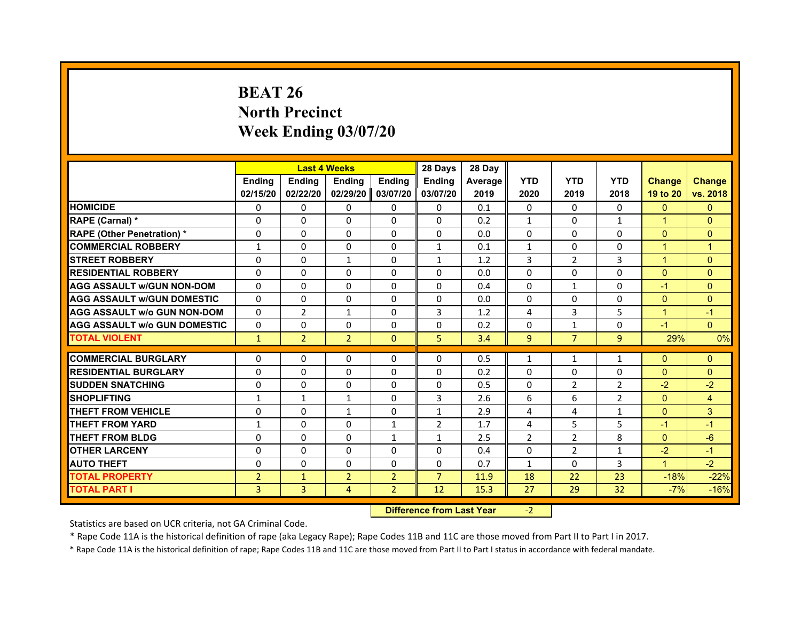# **BEAT 26North Precinct Week Ending 03/07/20**

|                                     |                | <b>Last 4 Weeks</b> |                |                | 28 Days        | 28 Day  |                |                |                |                      |                |
|-------------------------------------|----------------|---------------------|----------------|----------------|----------------|---------|----------------|----------------|----------------|----------------------|----------------|
|                                     | <b>Endina</b>  | <b>Endina</b>       | <b>Endina</b>  | <b>Ending</b>  | <b>Endina</b>  | Average | <b>YTD</b>     | <b>YTD</b>     | <b>YTD</b>     | <b>Change</b>        | <b>Change</b>  |
|                                     | 02/15/20       | 02/22/20            | 02/29/20 ll    | 03/07/20       | 03/07/20       | 2019    | 2020           | 2019           | 2018           | 19 to 20             | vs. 2018       |
| <b>HOMICIDE</b>                     | 0              | 0                   | 0              | 0              | 0              | 0.1     | $\mathbf{0}$   | 0              | $\mathbf{0}$   | $\mathbf{0}$         | $\mathbf{0}$   |
| RAPE (Carnal) *                     | $\Omega$       | $\Omega$            | $\Omega$       | $\mathbf{0}$   | $\mathbf{0}$   | 0.2     | $\mathbf{1}$   | $\mathbf{0}$   | $\mathbf{1}$   | $\mathbf{1}$         | $\mathbf{0}$   |
| <b>RAPE (Other Penetration) *</b>   | $\Omega$       | $\Omega$            | $\Omega$       | $\mathbf{0}$   | $\Omega$       | 0.0     | $\Omega$       | $\Omega$       | $\Omega$       | $\Omega$             | $\mathbf{0}$   |
| <b>COMMERCIAL ROBBERY</b>           | $\mathbf{1}$   | 0                   | $\Omega$       | 0              | $\mathbf{1}$   | 0.1     | $\mathbf{1}$   | 0              | 0              | $\overline{1}$       | $\overline{1}$ |
| <b>STREET ROBBERY</b>               | $\Omega$       | $\Omega$            | $\mathbf{1}$   | $\mathbf{0}$   | $\mathbf{1}$   | 1.2     | 3              | $\overline{2}$ | 3              | $\overline{1}$       | $\Omega$       |
| <b>RESIDENTIAL ROBBERY</b>          | $\Omega$       | $\Omega$            | 0              | $\mathbf{0}$   | $\Omega$       | 0.0     | $\Omega$       | $\mathbf{0}$   | 0              | $\mathbf{0}$         | $\mathbf{0}$   |
| <b>AGG ASSAULT w/GUN NON-DOM</b>    | $\Omega$       | $\Omega$            | $\Omega$       | $\Omega$       | $\Omega$       | 0.4     | 0              | $\mathbf{1}$   | $\Omega$       | $-1$                 | $\mathbf{0}$   |
| <b>AGG ASSAULT W/GUN DOMESTIC</b>   | $\Omega$       | $\Omega$            | $\Omega$       | $\Omega$       | $\Omega$       | 0.0     | $\Omega$       | $\Omega$       | 0              | $\mathbf{0}$         | $\Omega$       |
| <b>AGG ASSAULT w/o GUN NON-DOM</b>  | $\Omega$       | $\overline{2}$      | $\mathbf{1}$   | $\Omega$       | 3              | 1.2     | 4              | 3              | 5              | $\blacktriangleleft$ | $-1$           |
| <b>AGG ASSAULT W/o GUN DOMESTIC</b> | $\Omega$       | 0                   | 0              | $\Omega$       | $\Omega$       | 0.2     | $\Omega$       | $\mathbf{1}$   | 0              | $-1$                 | $\Omega$       |
| <b>TOTAL VIOLENT</b>                | $\mathbf{1}$   | $\overline{2}$      | $\overline{2}$ | $\mathbf{0}$   | 5              | 3.4     | 9              | $\overline{7}$ | 9              | 29%                  | 0%             |
|                                     |                |                     |                |                |                |         |                |                |                |                      |                |
| <b>COMMERCIAL BURGLARY</b>          | $\Omega$       | $\Omega$            | $\Omega$       | 0              | $\Omega$       | 0.5     | $\mathbf{1}$   | $\mathbf{1}$   | $\mathbf{1}$   | $\Omega$             | $\mathbf{0}$   |
| <b>RESIDENTIAL BURGLARY</b>         | 0              | $\Omega$            | $\Omega$       | $\Omega$       | $\Omega$       | 0.2     | $\Omega$       | 0              | $\Omega$       | $\mathbf{0}$         | $\mathbf{0}$   |
| <b>SUDDEN SNATCHING</b>             | $\Omega$       | $\Omega$            | 0              | 0              | 0              | 0.5     | 0              | $\overline{2}$ | $\overline{2}$ | $-2$                 | $-2$           |
| <b>SHOPLIFTING</b>                  | $\mathbf{1}$   | $\mathbf{1}$        | $\mathbf{1}$   | $\Omega$       | 3              | 2.6     | 6              | 6              | $\overline{2}$ | $\mathbf{0}$         | $\overline{4}$ |
| <b>THEFT FROM VEHICLE</b>           | $\Omega$       | $\Omega$            | $\mathbf{1}$   | $\Omega$       | $\mathbf{1}$   | 2.9     | 4              | 4              | $\mathbf{1}$   | $\mathbf{0}$         | 3              |
| <b>THEFT FROM YARD</b>              | $\mathbf{1}$   | $\Omega$            | $\Omega$       | 1              | $\overline{2}$ | 1.7     | 4              | 5              | 5              | $-1$                 | $-1$           |
| <b>THEFT FROM BLDG</b>              | 0              | $\Omega$            | 0              | 1              | 1              | 2.5     | $\overline{2}$ | 2              | 8              | $\mathbf{0}$         | $-6$           |
| <b>OTHER LARCENY</b>                | 0              | $\Omega$            | 0              | 0              | 0              | 0.4     | 0              | $\overline{2}$ | $\mathbf{1}$   | $-2$                 | $-1$           |
| <b>AUTO THEFT</b>                   | $\Omega$       | $\Omega$            | $\Omega$       | $\Omega$       | $\Omega$       | 0.7     | $\mathbf{1}$   | 0              | $\overline{3}$ | $\mathbf{1}$         | $-2$           |
| <b>TOTAL PROPERTY</b>               | $\overline{2}$ | $\mathbf{1}$        | $\overline{2}$ | $\overline{2}$ | $\overline{7}$ | 11.9    | 18             | 22             | 23             | $-18%$               | $-22%$         |
| <b>TOTAL PART I</b>                 | 3              | 3                   | 4              | $\overline{2}$ | 12             | 15.3    | 27             | 29             | 32             | $-7%$                | $-16%$         |

#### **Difference from Last Year**‐2

Statistics are based on UCR criteria, not GA Criminal Code.

\* Rape Code 11A is the historical definition of rape (aka Legacy Rape); Rape Codes 11B and 11C are those moved from Part II to Part I in 2017.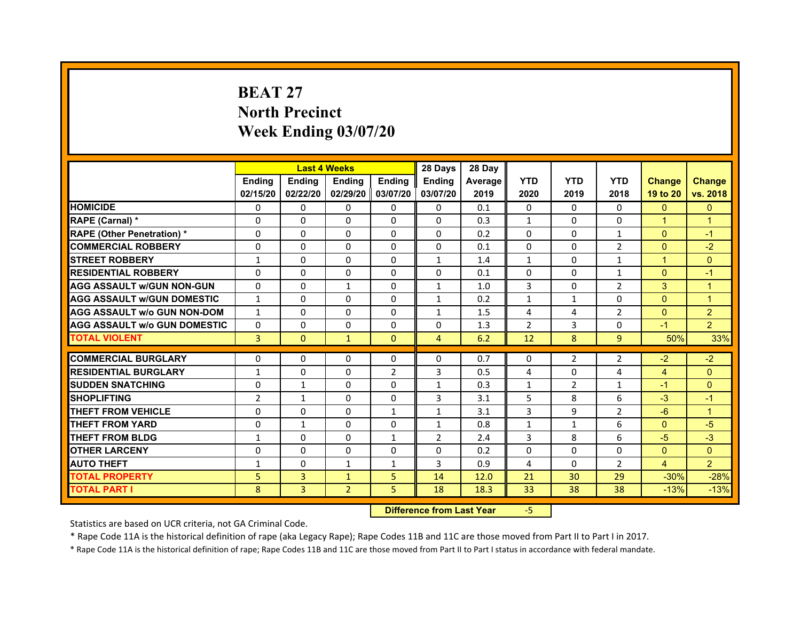# **BEAT 27North PrecinctWeek Ending 03/07/20**

|                                     |                | <b>Last 4 Weeks</b> |                |                   | 28 Days        | 28 Day  |                |                |                |                |                |
|-------------------------------------|----------------|---------------------|----------------|-------------------|----------------|---------|----------------|----------------|----------------|----------------|----------------|
|                                     | <b>Endina</b>  | <b>Ending</b>       | <b>Endina</b>  | <b>Endina</b>     | <b>Endina</b>  | Average | <b>YTD</b>     | <b>YTD</b>     | <b>YTD</b>     | <b>Change</b>  | <b>Change</b>  |
|                                     | 02/15/20       | 02/22/20            |                | 02/29/20 03/07/20 | 03/07/20       | 2019    | 2020           | 2019           | 2018           | 19 to 20       | vs. 2018       |
| <b>HOMICIDE</b>                     | $\Omega$       | $\mathbf{0}$        | $\Omega$       | $\mathbf{0}$      | $\mathbf{0}$   | 0.1     | $\mathbf{0}$   | $\Omega$       | $\Omega$       | $\mathbf{0}$   | $\mathbf{0}$   |
| RAPE (Carnal) *                     | $\Omega$       | $\Omega$            | $\Omega$       | $\Omega$          | $\Omega$       | 0.3     | $\mathbf{1}$   | $\Omega$       | $\Omega$       | $\mathbf{1}$   | $\overline{1}$ |
| <b>RAPE (Other Penetration)*</b>    | $\Omega$       | $\Omega$            | $\Omega$       | $\Omega$          | $\Omega$       | 0.2     | $\Omega$       | $\Omega$       | $\mathbf{1}$   | $\Omega$       | $-1$           |
| <b>COMMERCIAL ROBBERY</b>           | 0              | 0                   | 0              | $\mathbf{0}$      | 0              | 0.1     | 0              | 0              | 2              | $\mathbf{0}$   | $-2$           |
| <b>STREET ROBBERY</b>               | $\mathbf{1}$   | $\Omega$            | 0              | $\Omega$          | $\mathbf{1}$   | 1.4     | $\mathbf{1}$   | 0              | $\mathbf{1}$   | $\mathbf 1$    | $\Omega$       |
| <b>RESIDENTIAL ROBBERY</b>          | 0              | 0                   | $\Omega$       | $\Omega$          | $\Omega$       | 0.1     | $\Omega$       | $\Omega$       | $\mathbf{1}$   | $\Omega$       | $-1$           |
| <b>AGG ASSAULT W/GUN NON-GUN</b>    | $\Omega$       | $\Omega$            | $\mathbf{1}$   | $\mathbf{0}$      | $\mathbf{1}$   | 1.0     | 3              | $\Omega$       | $\overline{2}$ | 3              | $\overline{1}$ |
| <b>AGG ASSAULT W/GUN DOMESTIC</b>   | $\mathbf{1}$   | $\Omega$            | $\Omega$       | $\Omega$          | $\mathbf{1}$   | 0.2     | $\mathbf{1}$   | $\mathbf{1}$   | $\Omega$       | $\Omega$       | $\overline{1}$ |
| <b>AGG ASSAULT w/o GUN NON-DOM</b>  | $\mathbf{1}$   | 0                   | 0              | 0                 | $\mathbf{1}$   | 1.5     | 4              | 4              | 2              | $\mathbf{0}$   | $\overline{2}$ |
| <b>AGG ASSAULT W/o GUN DOMESTIC</b> | 0              | 0                   | 0              | 0                 | 0              | 1.3     | $\overline{2}$ | 3              | 0              | $-1$           | $\overline{2}$ |
| <b>TOTAL VIOLENT</b>                | 3              | $\mathbf{0}$        | $\mathbf{1}$   | $\mathbf{0}$      | 4              | 6.2     | 12             | 8              | 9              | 50%            | 33%            |
|                                     |                |                     |                |                   |                |         |                |                |                |                |                |
| <b>COMMERCIAL BURGLARY</b>          | 0              | 0                   | 0              | 0                 | 0              | 0.7     | 0              | 2              | 2              | $-2$           | $-2$           |
| <b>RESIDENTIAL BURGLARY</b>         | $\mathbf{1}$   | 0                   | 0              | $\overline{2}$    | 3              | 0.5     | 4              | 0              | 4              | $\overline{4}$ | $\Omega$       |
| <b>SUDDEN SNATCHING</b>             | 0              | 1                   | $\Omega$       | 0                 | $\mathbf{1}$   | 0.3     | $\mathbf{1}$   | $\overline{2}$ | $\mathbf{1}$   | $-1$           | $\mathbf{0}$   |
| <b>SHOPLIFTING</b>                  | $\overline{2}$ | $\mathbf{1}$        | $\Omega$       | $\mathbf{0}$      | 3              | 3.1     | 5              | 8              | 6              | $-3$           | $-1$           |
| THEFT FROM VEHICLE                  | 0              | $\Omega$            | $\Omega$       | $\mathbf{1}$      | $\mathbf{1}$   | 3.1     | 3              | 9              | 2              | $-6$           | $\overline{1}$ |
| <b>THEFT FROM YARD</b>              | 0              | 1                   | $\Omega$       | 0                 | $\mathbf{1}$   | 0.8     | 1              | 1              | 6              | $\Omega$       | $-5$           |
| <b>THEFT FROM BLDG</b>              | 1              | $\Omega$            | $\Omega$       | 1                 | $\overline{2}$ | 2.4     | 3              | 8              | 6              | $-5$           | $-3$           |
| <b>OTHER LARCENY</b>                | 0              | $\Omega$            | 0              | $\mathbf{0}$      | $\Omega$       | 0.2     | 0              | 0              | 0              | $\Omega$       | $\Omega$       |
| <b>AUTO THEFT</b>                   | $\mathbf{1}$   | $\Omega$            | $\mathbf{1}$   | $\mathbf{1}$      | 3              | 0.9     | 4              | 0              | $\overline{2}$ | $\overline{4}$ | $\overline{2}$ |
| <b>TOTAL PROPERTY</b>               | 5              | 3                   | $\mathbf{1}$   | 5                 | 14             | 12.0    | 21             | 30             | 29             | $-30%$         | $-28%$         |
| <b>TOTAL PART I</b>                 | 8              | 3                   | $\overline{2}$ | 5                 | 18             | 18.3    | 33             | 38             | 38             | $-13%$         | $-13%$         |

 **Difference from Last Year**‐5

Statistics are based on UCR criteria, not GA Criminal Code.

\* Rape Code 11A is the historical definition of rape (aka Legacy Rape); Rape Codes 11B and 11C are those moved from Part II to Part I in 2017.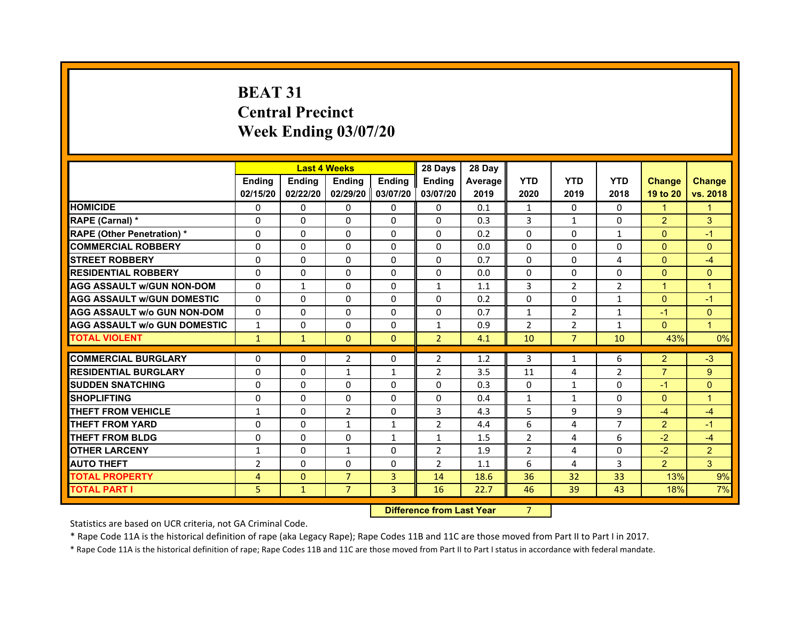# **BEAT 31Central PrecinctWeek Ending 03/07/20**

|                                     |                | <b>Last 4 Weeks</b> |                   |               | 28 Days        | 28 Day  |                |                |                |                |                      |
|-------------------------------------|----------------|---------------------|-------------------|---------------|----------------|---------|----------------|----------------|----------------|----------------|----------------------|
|                                     | <b>Endina</b>  | <b>Ending</b>       | <b>Endina</b>     | <b>Endina</b> | <b>Endina</b>  | Average | <b>YTD</b>     | <b>YTD</b>     | <b>YTD</b>     | <b>Change</b>  | <b>Change</b>        |
|                                     | 02/15/20       | 02/22/20            | 02/29/20 03/07/20 |               | 03/07/20       | 2019    | 2020           | 2019           | 2018           | 19 to 20       | vs. 2018             |
| <b>HOMICIDE</b>                     | 0              | 0                   | $\mathbf{0}$      | 0             | 0              | 0.1     | $\mathbf{1}$   | 0              | 0              | 1              | 1                    |
| RAPE (Carnal) *                     | $\Omega$       | $\Omega$            | $\Omega$          | $\Omega$      | $\Omega$       | 0.3     | 3              | $\mathbf{1}$   | $\Omega$       | $\overline{2}$ | 3                    |
| <b>RAPE (Other Penetration) *</b>   | 0              | $\Omega$            | $\Omega$          | $\Omega$      | $\Omega$       | 0.2     | $\Omega$       | $\Omega$       | $\mathbf{1}$   | $\Omega$       | $-1$                 |
| <b>COMMERCIAL ROBBERY</b>           | 0              | 0                   | $\Omega$          | 0             | $\Omega$       | 0.0     | $\Omega$       | $\Omega$       | $\Omega$       | $\Omega$       | $\Omega$             |
| <b>STREET ROBBERY</b>               | 0              | $\Omega$            | 0                 | $\Omega$      | 0              | 0.7     | $\Omega$       | 0              | $\overline{a}$ | $\Omega$       | $-4$                 |
| <b>RESIDENTIAL ROBBERY</b>          | 0              | $\Omega$            | 0                 | 0             | 0              | 0.0     | 0              | 0              | 0              | $\Omega$       | $\Omega$             |
| <b>AGG ASSAULT w/GUN NON-DOM</b>    | $\Omega$       | $\mathbf{1}$        | $\Omega$          | $\mathbf{0}$  | $\mathbf{1}$   | 1.1     | 3              | $\overline{2}$ | $\overline{2}$ | $\overline{1}$ | $\overline{1}$       |
| <b>AGG ASSAULT W/GUN DOMESTIC</b>   | $\Omega$       | $\Omega$            | $\Omega$          | $\mathbf{0}$  | $\Omega$       | 0.2     | $\Omega$       | $\Omega$       | $\mathbf{1}$   | $\Omega$       | $-1$                 |
| <b>AGG ASSAULT W/o GUN NON-DOM</b>  | $\Omega$       | 0                   | $\Omega$          | 0             | $\Omega$       | 0.7     | $\mathbf{1}$   | $\overline{2}$ | 1              | $-1$           | $\Omega$             |
| <b>AGG ASSAULT W/o GUN DOMESTIC</b> | $\mathbf{1}$   | 0                   | $\Omega$          | $\mathbf{0}$  | $\mathbf{1}$   | 0.9     | $\overline{2}$ | $\overline{2}$ | 1              | $\Omega$       | $\blacktriangleleft$ |
| <b>TOTAL VIOLENT</b>                | $\mathbf{1}$   | $\mathbf{1}$        | $\mathbf{0}$      | $\mathbf{0}$  | $\overline{2}$ | 4.1     | 10             | $\overline{7}$ | 10             | 43%            | 0%                   |
|                                     |                |                     |                   |               |                |         |                |                |                |                |                      |
| <b>COMMERCIAL BURGLARY</b>          | 0              | 0                   | $\overline{2}$    | 0             | $\overline{2}$ | 1.2     | 3              | $\mathbf{1}$   | 6              | 2              | $-3$                 |
| <b>RESIDENTIAL BURGLARY</b>         | 0              | 0                   | $\mathbf{1}$      | $\mathbf{1}$  | $\overline{2}$ | 3.5     | 11             | 4              | $\overline{2}$ | $\overline{7}$ | 9                    |
| <b>SUDDEN SNATCHING</b>             | 0              | 0                   | $\Omega$          | $\Omega$      | $\Omega$       | 0.3     | $\Omega$       | $\mathbf{1}$   | $\Omega$       | $-1$           | $\Omega$             |
| <b>SHOPLIFTING</b>                  | $\mathbf 0$    | 0                   | 0                 | $\Omega$      | 0              | 0.4     | $\mathbf{1}$   | $\mathbf{1}$   | $\Omega$       | $\Omega$       | $\overline{1}$       |
| <b>THEFT FROM VEHICLE</b>           | $\mathbf{1}$   | $\Omega$            | $\overline{2}$    | $\mathbf{0}$  | 3              | 4.3     | 5              | 9              | 9              | $-4$           | $-4$                 |
| <b>THEFT FROM YARD</b>              | 0              | 0                   | $\mathbf{1}$      | $\mathbf{1}$  | $\overline{2}$ | 4.4     | 6              | 4              | $\overline{7}$ | $\overline{2}$ | $-1$                 |
| <b>THEFT FROM BLDG</b>              | 0              | 0                   | 0                 | 1             | 1              | 1.5     | $\overline{2}$ | 4              | 6              | $-2$           | $-4$                 |
| <b>OTHER LARCENY</b>                | 1              | $\Omega$            | $\mathbf{1}$      | 0             | $\overline{2}$ | 1.9     | $\overline{2}$ | 4              | $\Omega$       | $-2$           | $\overline{2}$       |
| <b>AUTO THEFT</b>                   | $\overline{2}$ | 0                   | $\Omega$          | $\Omega$      | $\overline{2}$ | 1.1     | 6              | 4              | 3              | $\overline{2}$ | 3                    |
| <b>TOTAL PROPERTY</b>               | 4              | $\mathbf{0}$        | $\overline{7}$    | 3             | 14             | 18.6    | 36             | 32             | 33             | 13%            | 9%                   |
| <b>TOTAL PART I</b>                 | 5              | $\mathbf{1}$        | $\overline{7}$    | 3             | 16             | 22.7    | 46             | 39             | 43             | 18%            | 7%                   |

 **Difference from Last Year**r 7

Statistics are based on UCR criteria, not GA Criminal Code.

\* Rape Code 11A is the historical definition of rape (aka Legacy Rape); Rape Codes 11B and 11C are those moved from Part II to Part I in 2017.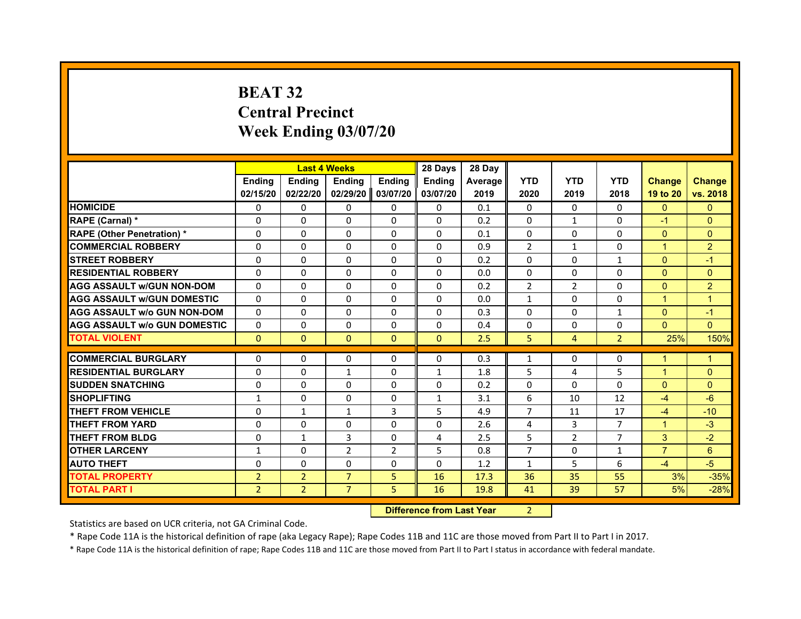# **BEAT 32Central Precinct Week Ending 03/07/20**

|                                     |                | <b>Last 4 Weeks</b> |                |                   | 28 Days       | 28 Day  |                |                |                |                |                |
|-------------------------------------|----------------|---------------------|----------------|-------------------|---------------|---------|----------------|----------------|----------------|----------------|----------------|
|                                     | <b>Endina</b>  | Ending              | <b>Endina</b>  | <b>Endina</b>     | <b>Endina</b> | Average | <b>YTD</b>     | <b>YTD</b>     | <b>YTD</b>     | <b>Change</b>  | <b>Change</b>  |
|                                     | 02/15/20       | 02/22/20            |                | 02/29/20 03/07/20 | 03/07/20      | 2019    | 2020           | 2019           | 2018           | 19 to 20       | vs. 2018       |
| <b>HOMICIDE</b>                     | 0              | $\Omega$            | $\Omega$       | 0                 | 0             | 0.1     | 0              | 0              | $\Omega$       | $\Omega$       | $\mathbf{0}$   |
| RAPE (Carnal) *                     | $\Omega$       | $\Omega$            | $\Omega$       | $\Omega$          | $\Omega$      | 0.2     | $\Omega$       | $\mathbf{1}$   | $\Omega$       | $-1$           | $\Omega$       |
| <b>RAPE (Other Penetration)*</b>    | $\Omega$       | 0                   | $\Omega$       | 0                 | $\Omega$      | 0.1     | $\Omega$       | 0              | $\Omega$       | $\mathbf{0}$   | $\Omega$       |
| <b>COMMERCIAL ROBBERY</b>           | 0              | 0                   | $\Omega$       | $\Omega$          | $\Omega$      | 0.9     | $\overline{2}$ | $\mathbf{1}$   | $\Omega$       | 1              | $\overline{2}$ |
| <b>STREET ROBBERY</b>               | $\Omega$       | 0                   | $\Omega$       | $\Omega$          | $\Omega$      | 0.2     | $\Omega$       | 0              | $\mathbf{1}$   | $\Omega$       | $-1$           |
| <b>RESIDENTIAL ROBBERY</b>          | 0              | $\Omega$            | $\Omega$       | 0                 | 0             | 0.0     | 0              | 0              | 0              | $\Omega$       | $\Omega$       |
| <b>AGG ASSAULT w/GUN NON-DOM</b>    | $\Omega$       | $\Omega$            | $\Omega$       | $\Omega$          | $\Omega$      | 0.2     | $\overline{2}$ | $\overline{2}$ | $\Omega$       | $\Omega$       | $\overline{2}$ |
| <b>AGG ASSAULT W/GUN DOMESTIC</b>   | $\Omega$       | $\Omega$            | $\Omega$       | $\Omega$          | $\Omega$      | 0.0     | $\mathbf{1}$   | $\Omega$       | $\Omega$       | $\mathbf{1}$   | $\overline{1}$ |
| <b>AGG ASSAULT W/o GUN NON-DOM</b>  | $\Omega$       | $\Omega$            | $\Omega$       | $\Omega$          | $\Omega$      | 0.3     | $\Omega$       | $\Omega$       | 1              | $\Omega$       | $-1$           |
| <b>AGG ASSAULT W/o GUN DOMESTIC</b> | $\Omega$       | 0                   | $\Omega$       | 0                 | $\Omega$      | 0.4     | $\Omega$       | 0              | $\Omega$       | $\Omega$       | $\Omega$       |
| <b>TOTAL VIOLENT</b>                | $\Omega$       | $\mathbf{0}$        | $\mathbf{0}$   | $\Omega$          | $\Omega$      | 2.5     | 5              | $\overline{4}$ | $\overline{2}$ | 25%            | 150%           |
|                                     |                |                     |                |                   |               |         |                |                |                |                |                |
| <b>COMMERCIAL BURGLARY</b>          | 0              | 0                   | 0              | 0                 | 0             | 0.3     | $\mathbf{1}$   | 0              | 0              | 1              | 1              |
| <b>RESIDENTIAL BURGLARY</b>         | $\Omega$       | 0                   | $\mathbf{1}$   | 0                 | $\mathbf{1}$  | 1.8     | 5              | 4              | 5              | 1              | $\Omega$       |
| <b>SUDDEN SNATCHING</b>             | $\Omega$       | $\Omega$            | $\Omega$       | $\Omega$          | $\Omega$      | 0.2     | $\Omega$       | $\Omega$       | $\Omega$       | $\Omega$       | $\Omega$       |
| <b>SHOPLIFTING</b>                  | $\mathbf{1}$   | $\Omega$            | $\Omega$       | $\Omega$          | $\mathbf{1}$  | 3.1     | 6              | 10             | 12             | $-4$           | $-6$           |
| <b>THEFT FROM VEHICLE</b>           | $\Omega$       | $\mathbf{1}$        | $\mathbf{1}$   | 3                 | 5             | 4.9     | $\overline{7}$ | 11             | 17             | $-4$           | $-10$          |
| <b>THEFT FROM YARD</b>              | $\Omega$       | $\Omega$            | $\Omega$       | $\Omega$          | $\Omega$      | 2.6     | 4              | 3              | $\overline{7}$ | $\mathbf 1$    | $-3$           |
| <b>THEFT FROM BLDG</b>              | 0              | $\mathbf{1}$        | 3              | 0                 | 4             | 2.5     | 5              | $\overline{2}$ | 7              | 3              | $-2$           |
| <b>OTHER LARCENY</b>                | $\mathbf{1}$   | $\Omega$            | $\overline{2}$ | 2                 | 5             | 0.8     | $\overline{7}$ | $\Omega$       | $\mathbf{1}$   | $\overline{7}$ | 6              |
| <b>AUTO THEFT</b>                   | $\Omega$       | $\Omega$            | $\Omega$       | $\Omega$          | $\Omega$      | 1.2     | $\mathbf{1}$   | 5              | 6              | $-4$           | $-5$           |
| <b>TOTAL PROPERTY</b>               | $\overline{2}$ | $\overline{2}$      | $\overline{7}$ | 5                 | 16            | 17.3    | 36             | 35             | 55             | 3%             | $-35%$         |
| <b>TOTAL PART I</b>                 | $\overline{2}$ | $\overline{2}$      | $\overline{7}$ | 5.                | 16            | 19.8    | 41             | 39             | 57             | 5%             | $-28%$         |

 **Difference from Last Year**r 2

Statistics are based on UCR criteria, not GA Criminal Code.

\* Rape Code 11A is the historical definition of rape (aka Legacy Rape); Rape Codes 11B and 11C are those moved from Part II to Part I in 2017.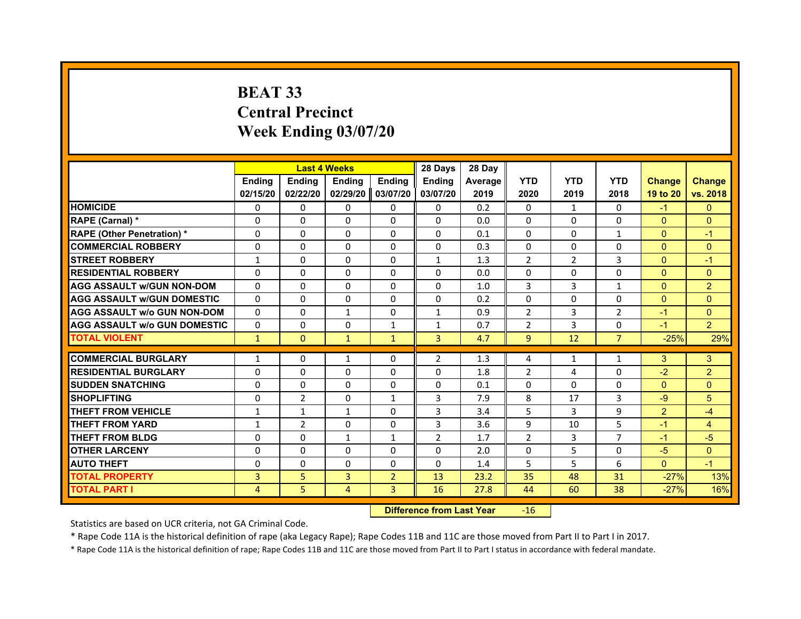# **BEAT 33Central PrecinctWeek Ending 03/07/20**

|                                                           |               | <b>Last 4 Weeks</b> |                     |                | 28 Days        | 28 Day  |                |              |                     |                |                |
|-----------------------------------------------------------|---------------|---------------------|---------------------|----------------|----------------|---------|----------------|--------------|---------------------|----------------|----------------|
|                                                           | <b>Ending</b> | <b>Ending</b>       | <b>Ending</b>       | Ending         | <b>Endina</b>  | Average | <b>YTD</b>     | <b>YTD</b>   | <b>YTD</b>          | <b>Change</b>  | <b>Change</b>  |
|                                                           | 02/15/20      | 02/22/20            | 02/29/20   03/07/20 |                | 03/07/20       | 2019    | 2020           | 2019         | 2018                | 19 to 20       | vs. 2018       |
| <b>HOMICIDE</b>                                           | $\Omega$      | $\Omega$            | $\Omega$            | 0              | 0              | 0.2     | $\Omega$       | $\mathbf{1}$ | $\Omega$            | $-1$           | $\mathbf{0}$   |
| RAPE (Carnal) *                                           | $\Omega$      | $\Omega$            | $\mathbf 0$         | $\Omega$       | $\Omega$       | 0.0     | $\Omega$       | $\Omega$     | $\Omega$            | $\Omega$       | $\mathbf{0}$   |
| <b>RAPE (Other Penetration) *</b>                         | $\Omega$      | $\Omega$            | $\Omega$            | $\Omega$       | $\Omega$       | 0.1     | $\Omega$       | $\Omega$     | $\mathbf{1}$        | $\Omega$       | $-1$           |
| <b>COMMERCIAL ROBBERY</b>                                 | 0             | 0                   | 0                   | 0              | $\Omega$       | 0.3     | $\Omega$       | $\Omega$     | $\Omega$            | $\Omega$       | $\mathbf{0}$   |
| <b>STREET ROBBERY</b>                                     | 1             | 0                   | 0                   | 0              | 1              | 1.3     | 2              | 2            | 3                   | $\Omega$       | $-1$           |
| <b>RESIDENTIAL ROBBERY</b>                                | 0             | $\Omega$            | 0                   | 0              | 0              | 0.0     | $\Omega$       | $\Omega$     | $\Omega$            | $\Omega$       | $\Omega$       |
| <b>AGG ASSAULT W/GUN NON-DOM</b>                          | $\Omega$      | 0                   | $\Omega$            | 0              | $\Omega$       | 1.0     | 3              | 3            | $\mathbf{1}$        | $\Omega$       | $\overline{2}$ |
| <b>AGG ASSAULT W/GUN DOMESTIC</b>                         | $\Omega$      | $\Omega$            | $\Omega$            | $\Omega$       | $\Omega$       | 0.2     | $\Omega$       | $\Omega$     | $\Omega$            | $\Omega$       | $\mathbf{0}$   |
| <b>AGG ASSAULT W/o GUN NON-DOM</b>                        | $\Omega$      | $\Omega$            | $\mathbf{1}$        | $\Omega$       | 1              | 0.9     | $\mathcal{P}$  | 3            | $\overline{2}$      | $-1$           | $\Omega$       |
| <b>AGG ASSAULT w/o GUN DOMESTIC</b>                       | 0             | $\Omega$            | 0                   | 1              | 1              | 0.7     | $\overline{2}$ | 3            | 0                   | $-1$           | $\overline{2}$ |
| <b>TOTAL VIOLENT</b>                                      | $\mathbf{1}$  | $\mathbf{0}$        | $\mathbf{1}$        | $\mathbf{1}$   | $\overline{3}$ | 4.7     | 9              | 12           | $\overline{7}$      | $-25%$         | 29%            |
|                                                           |               |                     |                     |                |                |         |                |              |                     |                |                |
| <b>COMMERCIAL BURGLARY</b><br><b>RESIDENTIAL BURGLARY</b> | 1             | 0                   | 1                   | 0              | $\overline{2}$ | 1.3     | $\overline{4}$ | 1            | $\mathbf{1}$        | 3              | 3              |
|                                                           | 0             | $\mathbf 0$         | 0                   | 0              | 0              | 1.8     | $\overline{2}$ | 4            | $\Omega$            | $-2$           | $\overline{2}$ |
| <b>SUDDEN SNATCHING</b>                                   | 0             | 0                   | 0                   | 0              | 0              | 0.1     | 0              | 0            | 0                   | $\Omega$       | $\mathbf{0}$   |
| <b>SHOPLIFTING</b>                                        | 0             | $\overline{2}$      | 0                   | $\mathbf{1}$   | 3              | 7.9     | 8              | 17           | 3                   | $-9$           | 5              |
| <b>THEFT FROM VEHICLE</b>                                 | 1             | $\mathbf{1}$        | $\mathbf{1}$        | $\Omega$       | 3              | 3.4     | 5              | 3            | 9                   | $\overline{2}$ | $-4$           |
| <b>THEFT FROM YARD</b>                                    | $\mathbf{1}$  | $\overline{2}$      | $\Omega$            | $\Omega$       | 3              | 3.6     | 9              | 10           | 5<br>$\overline{7}$ | $-1$           | $\overline{4}$ |
| <b>THEFT FROM BLDG</b>                                    | 0             | 0                   | $\mathbf{1}$        | 1              | $\overline{2}$ | 1.7     | $\overline{2}$ | 3            |                     | $-1$           | $-5$           |
| <b>OTHER LARCENY</b>                                      | 0             | $\Omega$            | 0                   | $\Omega$       | 0              | 2.0     | $\Omega$       | 5            | $\Omega$            | $-5$           | $\Omega$       |
| <b>AUTO THEFT</b>                                         | $\Omega$      | $\Omega$            | 0                   | 0              | 0              | 1.4     | 5              | 5            | 6                   | $\Omega$       | $-1$           |
| <b>TOTAL PROPERTY</b>                                     | 3             | 5                   | 3                   | $\overline{2}$ | 13             | 23.2    | 35             | 48           | 31                  | $-27%$         | 13%            |
| <b>TOTAL PART I</b>                                       | 4             | 5                   | 4                   | 3              | 16             | 27.8    | 44             | 60           | 38                  | $-27%$         | 16%            |

#### **Difference from Last Year**r -16

Statistics are based on UCR criteria, not GA Criminal Code.

\* Rape Code 11A is the historical definition of rape (aka Legacy Rape); Rape Codes 11B and 11C are those moved from Part II to Part I in 2017.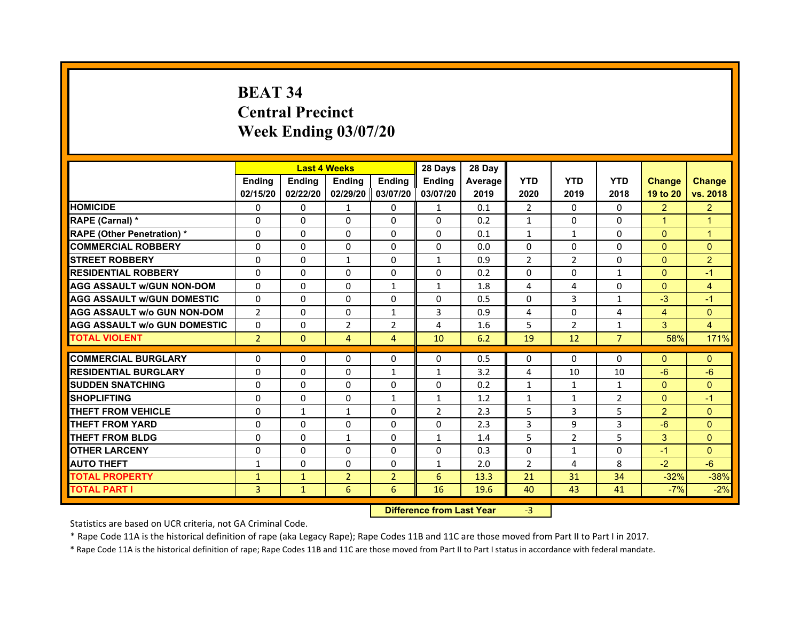# **BEAT 34Central Precinct Week Ending 03/07/20**

|                                     |                | <b>Last 4 Weeks</b> |                   |                | 28 Days        | 28 Day  |                |                |                |                |                |
|-------------------------------------|----------------|---------------------|-------------------|----------------|----------------|---------|----------------|----------------|----------------|----------------|----------------|
|                                     | <b>Endina</b>  | <b>Endina</b>       | <b>Endina</b>     | <b>Endina</b>  | <b>Endina</b>  | Average | <b>YTD</b>     | <b>YTD</b>     | <b>YTD</b>     | <b>Change</b>  | <b>Change</b>  |
|                                     | 02/15/20       | 02/22/20            | 02/29/20 03/07/20 |                | 03/07/20       | 2019    | 2020           | 2019           | 2018           | 19 to 20       | vs. 2018       |
| <b>HOMICIDE</b>                     | 0              | 0                   | 1                 | 0              | $\mathbf{1}$   | 0.1     | 2              | $\Omega$       | $\Omega$       | $\overline{2}$ | $\overline{2}$ |
| RAPE (Carnal) *                     | $\Omega$       | $\Omega$            | $\Omega$          | $\Omega$       | $\Omega$       | 0.2     | $\mathbf{1}$   | $\Omega$       | $\Omega$       | $\overline{1}$ | $\overline{1}$ |
| <b>RAPE (Other Penetration)*</b>    | $\Omega$       | $\Omega$            | $\Omega$          | $\Omega$       | $\Omega$       | 0.1     | $\mathbf{1}$   | $\mathbf{1}$   | $\Omega$       | $\Omega$       | $\overline{1}$ |
| <b>COMMERCIAL ROBBERY</b>           | 0              | 0                   | $\Omega$          | 0              | 0              | 0.0     | 0              | 0              | $\Omega$       | $\mathbf{0}$   | $\Omega$       |
| <b>STREET ROBBERY</b>               | 0              | $\Omega$            | $\mathbf{1}$      | $\Omega$       | $\mathbf{1}$   | 0.9     | $\overline{2}$ | 2              | 0              | $\mathbf{0}$   | $\overline{2}$ |
| <b>RESIDENTIAL ROBBERY</b>          | 0              | $\Omega$            | $\Omega$          | $\Omega$       | $\Omega$       | 0.2     | $\Omega$       | $\Omega$       | $\mathbf{1}$   | $\Omega$       | $\overline{1}$ |
| <b>AGG ASSAULT w/GUN NON-DOM</b>    | $\Omega$       | $\Omega$            | $\Omega$          | $\mathbf{1}$   | $\mathbf{1}$   | 1.8     | 4              | 4              | $\Omega$       | $\Omega$       | $\overline{4}$ |
| <b>AGG ASSAULT W/GUN DOMESTIC</b>   | $\Omega$       | $\Omega$            | $\Omega$          | $\Omega$       | $\Omega$       | 0.5     | $\Omega$       | 3              | $\mathbf{1}$   | $-3$           | $-1$           |
| <b>AGG ASSAULT W/o GUN NON-DOM</b>  | $\overline{2}$ | 0                   | $\Omega$          | $\mathbf{1}$   | 3              | 0.9     | 4              | $\Omega$       | 4              | $\overline{4}$ | $\Omega$       |
| <b>AGG ASSAULT W/o GUN DOMESTIC</b> | 0              | 0                   | 2                 | 2              | 4              | 1.6     | 5              | 2              | 1              | 3              | 4              |
| <b>TOTAL VIOLENT</b>                | $\overline{2}$ | $\Omega$            | $\overline{4}$    | $\overline{4}$ | 10             | 6.2     | 19             | 12             | $\overline{7}$ | 58%            | 171%           |
|                                     |                |                     |                   |                |                |         |                |                |                |                |                |
| <b>COMMERCIAL BURGLARY</b>          | 0              | 0                   | $\Omega$          | 0              | $\Omega$       | 0.5     | $\Omega$       | $\Omega$       | $\Omega$       | $\Omega$       | $\mathbf{0}$   |
| <b>RESIDENTIAL BURGLARY</b>         | 0              | $\Omega$            | 0                 | $\mathbf{1}$   | $\mathbf{1}$   | 3.2     | 4              | 10             | 10             | $-6$           | $-6$           |
| <b>SUDDEN SNATCHING</b>             | 0              | $\Omega$            | $\Omega$          | $\Omega$       | $\Omega$       | 0.2     | $\mathbf{1}$   | $\mathbf{1}$   | $\mathbf{1}$   | $\Omega$       | $\Omega$       |
| <b>SHOPLIFTING</b>                  | $\Omega$       | $\Omega$            | $\Omega$          | $\mathbf{1}$   | $\mathbf{1}$   | 1.2     | $\mathbf{1}$   | $\mathbf{1}$   | $\overline{2}$ | $\mathbf{0}$   | $-1$           |
| <b>THEFT FROM VEHICLE</b>           | 0              | $\mathbf{1}$        | $\mathbf{1}$      | 0              | $\overline{2}$ | 2.3     | 5              | 3              | 5              | $\overline{2}$ | $\Omega$       |
| <b>THEFT FROM YARD</b>              | $\Omega$       | 0                   | $\Omega$          | $\Omega$       | $\Omega$       | 2.3     | 3              | 9              | 3              | $-6$           | $\Omega$       |
| <b>THEFT FROM BLDG</b>              | $\Omega$       | $\Omega$            | 1                 | $\mathbf{0}$   | 1              | 1.4     | 5              | $\overline{2}$ | 5              | 3              | $\Omega$       |
| <b>OTHER LARCENY</b>                | 0              | 0                   | $\Omega$          | $\Omega$       | $\Omega$       | 0.3     | $\Omega$       | $\mathbf{1}$   | $\Omega$       | $-1$           | $\Omega$       |
| <b>AUTO THEFT</b>                   | $\mathbf{1}$   | $\mathbf 0$         | $\Omega$          | $\mathbf{0}$   | $\mathbf{1}$   | 2.0     | $\overline{2}$ | 4              | 8              | $-2$           | $-6$           |
| <b>TOTAL PROPERTY</b>               | $\mathbf{1}$   | $\mathbf{1}$        | $\overline{2}$    | $\overline{2}$ | 6              | 13.3    | 21             | 31             | 34             | $-32%$         | $-38%$         |
| <b>TOTAL PART I</b>                 | 3              | $\mathbf{1}$        | 6                 | 6              | 16             | 19.6    | 40             | 43             | 41             | $-7%$          | $-2%$          |

 **Difference from Last Year**r -3

Statistics are based on UCR criteria, not GA Criminal Code.

\* Rape Code 11A is the historical definition of rape (aka Legacy Rape); Rape Codes 11B and 11C are those moved from Part II to Part I in 2017.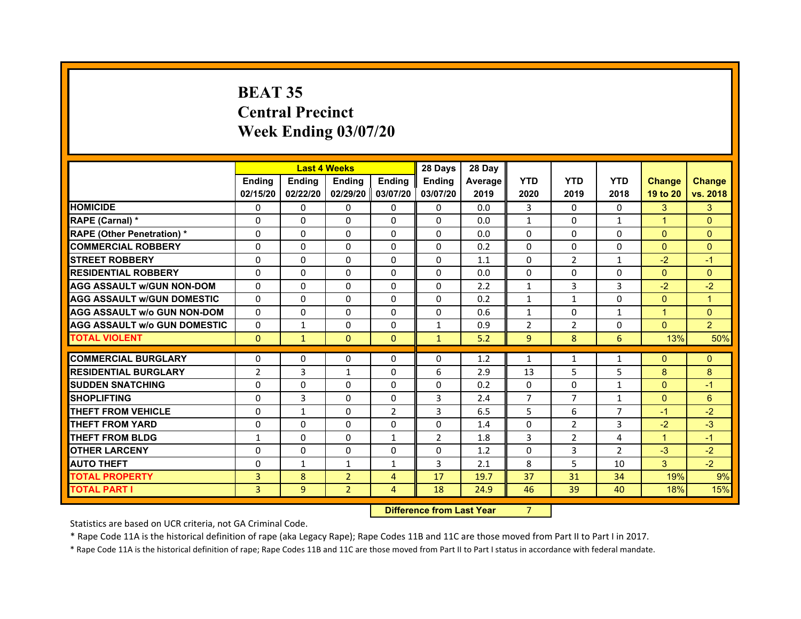# **BEAT 35Central PrecinctWeek Ending 03/07/20**

|                                     |                | <b>Last 4 Weeks</b> |                   |                | 28 Days        | 28 Day  |                |                |                |                |                |
|-------------------------------------|----------------|---------------------|-------------------|----------------|----------------|---------|----------------|----------------|----------------|----------------|----------------|
|                                     | <b>Endina</b>  | <b>Endina</b>       | <b>Endina</b>     | <b>Endina</b>  | <b>Endina</b>  | Average | <b>YTD</b>     | <b>YTD</b>     | <b>YTD</b>     | <b>Change</b>  | <b>Change</b>  |
|                                     | 02/15/20       | 02/22/20            | 02/29/20 03/07/20 |                | 03/07/20       | 2019    | 2020           | 2019           | 2018           | 19 to 20       | vs. 2018       |
| <b>HOMICIDE</b>                     | 0              | 0                   | $\mathbf{0}$      | 0              | 0              | 0.0     | 3              | 0              | $\Omega$       | 3              | 3              |
| RAPE (Carnal) *                     | $\Omega$       | $\Omega$            | $\Omega$          | $\Omega$       | $\Omega$       | 0.0     | $\mathbf{1}$   | $\Omega$       | $\mathbf{1}$   | $\overline{1}$ | $\Omega$       |
| <b>RAPE (Other Penetration) *</b>   | 0              | $\Omega$            | $\Omega$          | $\Omega$       | $\Omega$       | 0.0     | $\Omega$       | $\Omega$       | $\Omega$       | $\Omega$       | $\Omega$       |
| <b>COMMERCIAL ROBBERY</b>           | 0              | 0                   | $\Omega$          | $\Omega$       | $\Omega$       | 0.2     | $\Omega$       | $\Omega$       | $\Omega$       | $\Omega$       | $\Omega$       |
| <b>STREET ROBBERY</b>               | 0              | $\Omega$            | 0                 | $\Omega$       | 0              | 1.1     | $\Omega$       | 2              | $\mathbf{1}$   | $-2$           | $-1$           |
| <b>RESIDENTIAL ROBBERY</b>          | 0              | $\Omega$            | 0                 | $\Omega$       | $\Omega$       | 0.0     | 0              | 0              | 0              | $\mathbf{0}$   | $\Omega$       |
| <b>AGG ASSAULT w/GUN NON-DOM</b>    | $\Omega$       | $\mathbf 0$         | $\Omega$          | $\Omega$       | $\Omega$       | 2.2     | $\mathbf{1}$   | 3              | 3              | $-2$           | $-2$           |
| <b>AGG ASSAULT W/GUN DOMESTIC</b>   | $\Omega$       | $\Omega$            | $\Omega$          | $\mathbf{0}$   | $\Omega$       | 0.2     | $\mathbf{1}$   | $\mathbf{1}$   | $\Omega$       | $\Omega$       | $\overline{1}$ |
| <b>AGG ASSAULT W/o GUN NON-DOM</b>  | $\Omega$       | 0                   | $\Omega$          | 0              | $\Omega$       | 0.6     | $\mathbf{1}$   | $\Omega$       | 1              | 1              | $\Omega$       |
| <b>AGG ASSAULT W/o GUN DOMESTIC</b> | $\Omega$       | $\mathbf{1}$        | $\Omega$          | $\Omega$       | $\mathbf{1}$   | 0.9     | $\overline{2}$ | $\overline{2}$ | $\Omega$       | $\Omega$       | $\overline{2}$ |
| <b>TOTAL VIOLENT</b>                | $\Omega$       | $\mathbf{1}$        | $\mathbf{0}$      | $\mathbf{0}$   | $\mathbf{1}$   | 5.2     | 9              | 8              | 6              | 13%            | 50%            |
|                                     |                |                     |                   |                |                |         |                |                |                |                |                |
| <b>COMMERCIAL BURGLARY</b>          | 0              | 0                   | $\Omega$          | 0              | $\Omega$       | 1.2     | $\mathbf{1}$   | $\mathbf{1}$   | $\mathbf{1}$   | $\Omega$       | $\Omega$       |
| <b>RESIDENTIAL BURGLARY</b>         | $\overline{2}$ | 3                   | $\mathbf{1}$      | $\mathbf{0}$   | 6              | 2.9     | 13             | 5              | 5              | 8              | 8              |
| <b>SUDDEN SNATCHING</b>             | 0              | 0                   | $\Omega$          | $\Omega$       | $\Omega$       | 0.2     | $\Omega$       | $\Omega$       | $\mathbf{1}$   | $\Omega$       | $-1$           |
| <b>SHOPLIFTING</b>                  | $\mathbf 0$    | 3                   | 0                 | $\Omega$       | 3              | 2.4     | $\overline{7}$ | $\overline{7}$ | $\mathbf{1}$   | $\Omega$       | 6              |
| <b>THEFT FROM VEHICLE</b>           | $\Omega$       | $\mathbf{1}$        | $\Omega$          | $\overline{2}$ | 3              | 6.5     | 5              | 6              | $\overline{7}$ | $-1$           | $-2$           |
| <b>THEFT FROM YARD</b>              | 0              | 0                   | $\Omega$          | $\Omega$       | $\Omega$       | 1.4     | $\Omega$       | $\overline{2}$ | 3              | $-2$           | $-3$           |
| <b>THEFT FROM BLDG</b>              | 1              | 0                   | 0                 | 1              | $\overline{2}$ | 1.8     | 3              | 2              | 4              | 1              | $-1$           |
| <b>OTHER LARCENY</b>                | 0              | 0                   | $\Omega$          | 0              | $\Omega$       | 1.2     | $\Omega$       | 3              | $\overline{2}$ | $-3$           | $-2$           |
| <b>AUTO THEFT</b>                   | $\mathbf 0$    | 1                   | $\mathbf{1}$      | $\mathbf{1}$   | 3              | 2.1     | 8              | 5              | 10             | 3              | $-2$           |
| <b>TOTAL PROPERTY</b>               | 3              | 8                   | $\overline{2}$    | 4              | 17             | 19.7    | 37             | 31             | 34             | 19%            | 9%             |
| <b>TOTAL PART I</b>                 | 3              | 9                   | $\overline{2}$    | 4              | 18             | 24.9    | 46             | 39             | 40             | 18%            | 15%            |

#### **Difference from Last Year**r 7

Statistics are based on UCR criteria, not GA Criminal Code.

\* Rape Code 11A is the historical definition of rape (aka Legacy Rape); Rape Codes 11B and 11C are those moved from Part II to Part I in 2017.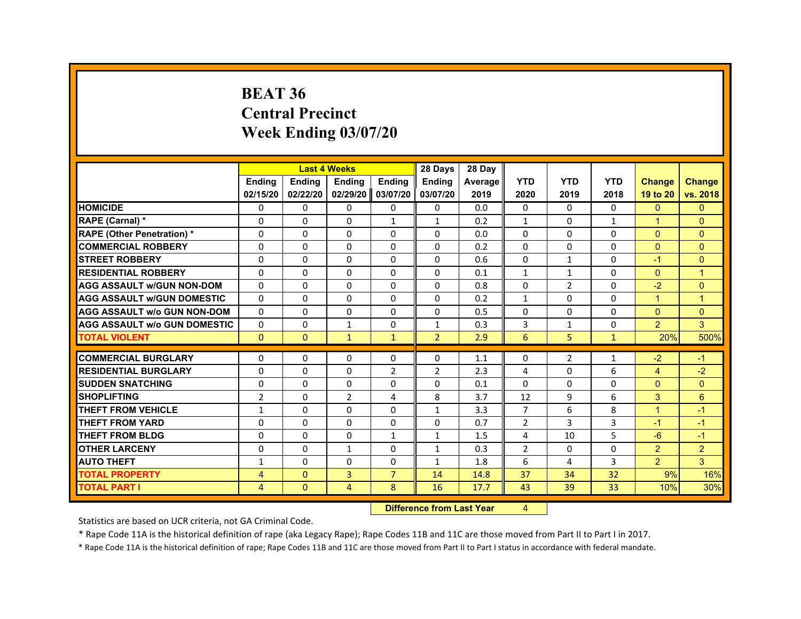#### **BEAT 36Central PrecinctWeek Ending 03/07/20**

|                                     |                |               | <b>Last 4 Weeks</b> |                | 28 Days        | 28 Day  |                |                |              |                      |                |
|-------------------------------------|----------------|---------------|---------------------|----------------|----------------|---------|----------------|----------------|--------------|----------------------|----------------|
|                                     | <b>Ending</b>  | <b>Ending</b> | <b>Endina</b>       | <b>Endina</b>  | <b>Ending</b>  | Average | <b>YTD</b>     | <b>YTD</b>     | <b>YTD</b>   | <b>Change</b>        | <b>Change</b>  |
|                                     | 02/15/20       | 02/22/20      | 02/29/20 03/07/20   |                | 03/07/20       | 2019    | 2020           | 2019           | 2018         | 19 to 20             | vs. 2018       |
| <b>HOMICIDE</b>                     | 0              | $\Omega$      | $\mathbf{0}$        | 0              | 0              | 0.0     | $\Omega$       | $\Omega$       | 0            | $\mathbf{0}$         | $\mathbf{0}$   |
| RAPE (Carnal) *                     | $\Omega$       | $\Omega$      | $\Omega$            | $\mathbf{1}$   | $\mathbf{1}$   | 0.2     | $\mathbf{1}$   | $\Omega$       | $\mathbf{1}$ | $\blacktriangleleft$ | $\Omega$       |
| <b>RAPE (Other Penetration) *</b>   | 0              | $\mathbf{0}$  | 0                   | $\Omega$       | 0              | 0.0     | 0              | 0              | 0            | $\mathbf{0}$         | $\Omega$       |
| <b>COMMERCIAL ROBBERY</b>           | $\Omega$       | $\Omega$      | 0                   | $\mathbf 0$    | 0              | 0.2     | $\Omega$       | $\Omega$       | 0            | $\Omega$             | $\Omega$       |
| <b>STREET ROBBERY</b>               | $\Omega$       | $\Omega$      | $\Omega$            | $\mathbf{0}$   | 0              | 0.6     | $\Omega$       | 1              | $\Omega$     | $-1$                 | $\Omega$       |
| <b>RESIDENTIAL ROBBERY</b>          | $\Omega$       | $\Omega$      | $\Omega$            | $\Omega$       | $\Omega$       | 0.1     | $\mathbf{1}$   | $\mathbf{1}$   | $\Omega$     | $\Omega$             | $\overline{1}$ |
| <b>AGG ASSAULT W/GUN NON-DOM</b>    | $\Omega$       | $\Omega$      | $\Omega$            | 0              | 0              | 0.8     | $\Omega$       | $\overline{2}$ | $\Omega$     | $-2$                 | $\Omega$       |
| <b>AGG ASSAULT w/GUN DOMESTIC</b>   | $\Omega$       | $\Omega$      | 0                   | $\mathbf 0$    | 0              | 0.2     | $\mathbf{1}$   | 0              | $\Omega$     | $\blacktriangleleft$ | 1              |
| <b>AGG ASSAULT w/o GUN NON-DOM</b>  | $\Omega$       | $\mathbf{0}$  | $\Omega$            | 0              | 0              | 0.5     | $\Omega$       | $\Omega$       | $\Omega$     | $\Omega$             | $\Omega$       |
| <b>AGG ASSAULT w/o GUN DOMESTIC</b> | $\Omega$       | 0             | $\mathbf{1}$        | $\mathbf 0$    | 1              | 0.3     | 3              | 1              | 0            | $\overline{2}$       | 3              |
| <b>TOTAL VIOLENT</b>                | $\mathbf{0}$   | $\mathbf{0}$  | $\mathbf{1}$        | $\mathbf{1}$   | $\overline{2}$ | 2.9     | 6              | 5              | $\mathbf{1}$ | 20%                  | 500%           |
|                                     |                |               |                     |                |                |         |                |                |              |                      |                |
| <b>COMMERCIAL BURGLARY</b>          | 0              | 0             | 0                   | $\Omega$       | 0              | 1.1     | 0              | $\overline{2}$ | 1            | $-2$                 | $-1$           |
| <b>RESIDENTIAL BURGLARY</b>         | 0              | 0             | $\Omega$            | $\overline{2}$ | $\overline{2}$ | 2.3     | $\overline{4}$ | 0              | 6            | $\overline{4}$       | $-2$           |
| <b>SUDDEN SNATCHING</b>             | 0              | $\Omega$      | $\Omega$            | $\Omega$       | $\Omega$       | 0.1     | $\Omega$       | $\Omega$       | $\Omega$     | $\Omega$             | $\Omega$       |
| <b>SHOPLIFTING</b>                  | $\overline{2}$ | $\Omega$      | $\overline{2}$      | 4              | 8              | 3.7     | 12             | 9              | 6            | 3                    | 6              |
| <b>THEFT FROM VEHICLE</b>           | $\mathbf{1}$   | $\Omega$      | $\Omega$            | 0              | 1              | 3.3     | $\overline{7}$ | 6              | 8            | $\blacktriangleleft$ | $-1$           |
| <b>THEFT FROM YARD</b>              | $\Omega$       | $\Omega$      | 0                   | $\Omega$       | 0              | 0.7     | $\overline{2}$ | 3              | 3            | $-1$                 | $-1$           |
| <b>THEFT FROM BLDG</b>              | $\Omega$       | $\Omega$      | $\Omega$            | $\mathbf{1}$   | $\mathbf{1}$   | 1.5     | $\overline{4}$ | 10             | 5            | $-6$                 | $-1$           |
| <b>OTHER LARCENY</b>                | 0              | $\mathbf{0}$  | $\mathbf{1}$        | $\Omega$       | $\mathbf{1}$   | 0.3     | $\overline{2}$ | 0              | $\Omega$     | $\overline{2}$       | $\overline{2}$ |
| <b>AUTO THEFT</b>                   | $\mathbf{1}$   | $\Omega$      | $\Omega$            | $\Omega$       | $\mathbf{1}$   | 1.8     | 6              | 4              | 3            | $\overline{2}$       | 3              |
| <b>TOTAL PROPERTY</b>               | 4              | $\mathbf{0}$  | 3                   | $\overline{7}$ | 14             | 14.8    | 37             | 34             | 32           | 9%                   | 16%            |
| <b>TOTAL PART I</b>                 | 4              | $\mathbf{0}$  | 4                   | 8              | 16             | 17.7    | 43             | 39             | 33           | 10%                  | 30%            |

 **Difference from Last Yearr** 4

Statistics are based on UCR criteria, not GA Criminal Code.

\* Rape Code 11A is the historical definition of rape (aka Legacy Rape); Rape Codes 11B and 11C are those moved from Part II to Part I in 2017.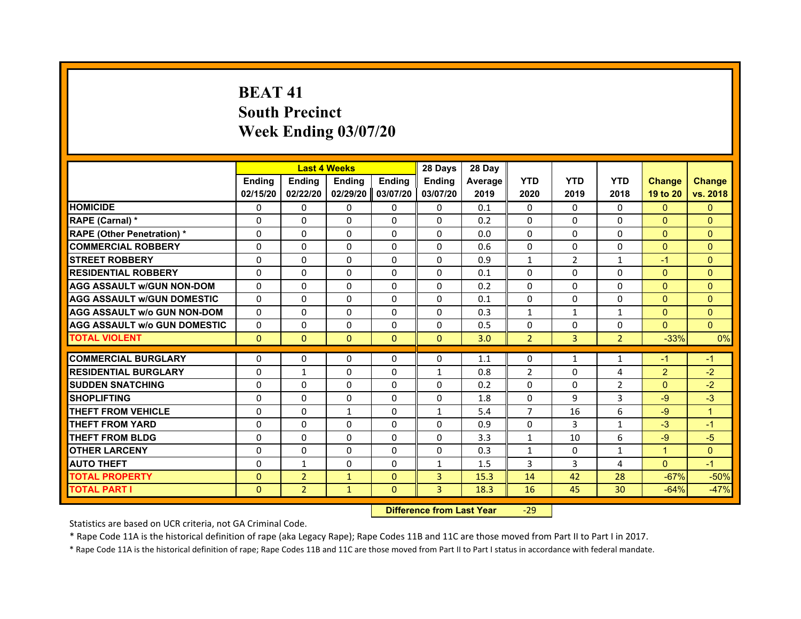# **BEAT 41South Precinct Week Ending 03/07/20**

|                                     |               | <b>Last 4 Weeks</b> |               |               | 28 Days        | 28 Day  |                |              |                |                |               |
|-------------------------------------|---------------|---------------------|---------------|---------------|----------------|---------|----------------|--------------|----------------|----------------|---------------|
|                                     | <b>Endina</b> | Ending              | <b>Endina</b> | <b>Endina</b> | <b>Endina</b>  | Average | <b>YTD</b>     | <b>YTD</b>   | <b>YTD</b>     | <b>Change</b>  | <b>Change</b> |
|                                     | 02/15/20      | 02/22/20            | 02/29/20      | 03/07/20      | 03/07/20       | 2019    | 2020           | 2019         | 2018           | 19 to 20       | vs. 2018      |
| <b>HOMICIDE</b>                     | $\Omega$      | $\Omega$            | $\Omega$      | 0             | 0              | 0.1     | $\mathbf{0}$   | $\Omega$     | $\Omega$       | $\Omega$       | $\mathbf{0}$  |
| RAPE (Carnal) *                     | $\Omega$      | $\Omega$            | $\mathbf{0}$  | $\Omega$      | $\Omega$       | 0.2     | $\Omega$       | $\Omega$     | $\Omega$       | $\Omega$       | $\Omega$      |
| <b>RAPE (Other Penetration)*</b>    | $\Omega$      | $\Omega$            | $\Omega$      | 0             | $\Omega$       | 0.0     | $\Omega$       | $\mathbf{0}$ | $\Omega$       | $\Omega$       | $\Omega$      |
| <b>COMMERCIAL ROBBERY</b>           | $\Omega$      | $\Omega$            | $\Omega$      | $\Omega$      | $\Omega$       | 0.6     | 0              | $\Omega$     | $\Omega$       | $\Omega$       | $\Omega$      |
| <b>STREET ROBBERY</b>               | $\Omega$      | $\Omega$            | $\Omega$      | $\Omega$      | $\Omega$       | 0.9     | $\mathbf{1}$   | 2            | 1              | $-1$           | $\Omega$      |
| <b>RESIDENTIAL ROBBERY</b>          | 0             | 0                   | 0             | 0             | 0              | 0.1     | $\Omega$       | $\mathbf{0}$ | 0              | $\Omega$       | $\Omega$      |
| <b>AGG ASSAULT w/GUN NON-DOM</b>    | $\Omega$      | $\Omega$            | $\Omega$      | $\Omega$      | $\Omega$       | 0.2     | $\Omega$       | $\Omega$     | $\Omega$       | $\Omega$       | $\Omega$      |
| <b>AGG ASSAULT W/GUN DOMESTIC</b>   | $\Omega$      | $\Omega$            | $\Omega$      | $\Omega$      | $\Omega$       | 0.1     | $\Omega$       | $\mathbf{0}$ | $\Omega$       | $\Omega$       | $\Omega$      |
| <b>AGG ASSAULT W/o GUN NON-DOM</b>  | $\Omega$      | $\Omega$            | $\Omega$      | $\Omega$      | $\Omega$       | 0.3     | $\mathbf{1}$   | $\mathbf{1}$ | $\mathbf{1}$   | $\Omega$       | $\Omega$      |
| <b>AGG ASSAULT W/o GUN DOMESTIC</b> | $\Omega$      | $\Omega$            | $\Omega$      | $\Omega$      | $\Omega$       | 0.5     | $\Omega$       | $\Omega$     | $\Omega$       | $\Omega$       | $\Omega$      |
| <b>TOTAL VIOLENT</b>                | $\Omega$      | $\Omega$            | $\mathbf{0}$  | $\Omega$      | $\mathbf{0}$   | 3.0     | $\overline{2}$ | 3            | $\overline{2}$ | $-33%$         | 0%            |
|                                     |               |                     |               |               |                |         |                |              |                |                |               |
| <b>COMMERCIAL BURGLARY</b>          | 0             | 0                   | 0             | 0             | 0              | 1.1     | 0              | $\mathbf{1}$ | $\mathbf{1}$   | $-1$           | $-1$          |
| <b>RESIDENTIAL BURGLARY</b>         | $\Omega$      | $\mathbf{1}$        | $\Omega$      | 0             | $\mathbf{1}$   | 0.8     | $\overline{2}$ | 0            | 4              | $\overline{2}$ | $-2$          |
| <b>SUDDEN SNATCHING</b>             | $\Omega$      | $\Omega$            | $\Omega$      | $\Omega$      | $\Omega$       | 0.2     | $\Omega$       | $\Omega$     | $\overline{2}$ | $\Omega$       | $-2$          |
| <b>SHOPLIFTING</b>                  | $\Omega$      | $\Omega$            | $\Omega$      | $\Omega$      | $\Omega$       | 1.8     | $\Omega$       | 9            | 3              | $-9$           | $-3$          |
| <b>THEFT FROM VEHICLE</b>           | $\Omega$      | $\Omega$            | $\mathbf{1}$  | $\Omega$      | $\mathbf{1}$   | 5.4     | $\overline{7}$ | 16           | 6              | $-9$           | $\mathbf{1}$  |
| <b>THEFT FROM YARD</b>              | 0             | 0                   | $\Omega$      | 0             | 0              | 0.9     | 0              | 3            | $\mathbf{1}$   | $-3$           | $-1$          |
| <b>THEFT FROM BLDG</b>              | $\Omega$      | $\Omega$            | $\Omega$      | 0             | $\mathbf 0$    | 3.3     | $\mathbf{1}$   | 10           | 6              | $-9$           | $-5$          |
| <b>OTHER LARCENY</b>                | $\Omega$      | $\Omega$            | $\Omega$      | $\Omega$      | $\Omega$       | 0.3     | $\mathbf{1}$   | $\Omega$     | $\mathbf{1}$   | $\mathbf{1}$   | $\Omega$      |
| <b>AUTO THEFT</b>                   | $\Omega$      | $\mathbf{1}$        | $\Omega$      | $\Omega$      | $\mathbf{1}$   | 1.5     | 3              | 3            | 4              | $\Omega$       | $-1$          |
| <b>TOTAL PROPERTY</b>               | $\mathbf{0}$  | $\overline{2}$      | $\mathbf{1}$  | $\mathbf{0}$  | $\overline{3}$ | 15.3    | 14             | 42           | 28             | $-67%$         | $-50%$        |
| <b>TOTAL PART I</b>                 | $\Omega$      | $\overline{2}$      | $\mathbf{1}$  | $\Omega$      | 3              | 18.3    | 16             | 45           | 30             | $-64%$         | $-47%$        |

 **Difference from Last Year**‐29

Statistics are based on UCR criteria, not GA Criminal Code.

\* Rape Code 11A is the historical definition of rape (aka Legacy Rape); Rape Codes 11B and 11C are those moved from Part II to Part I in 2017.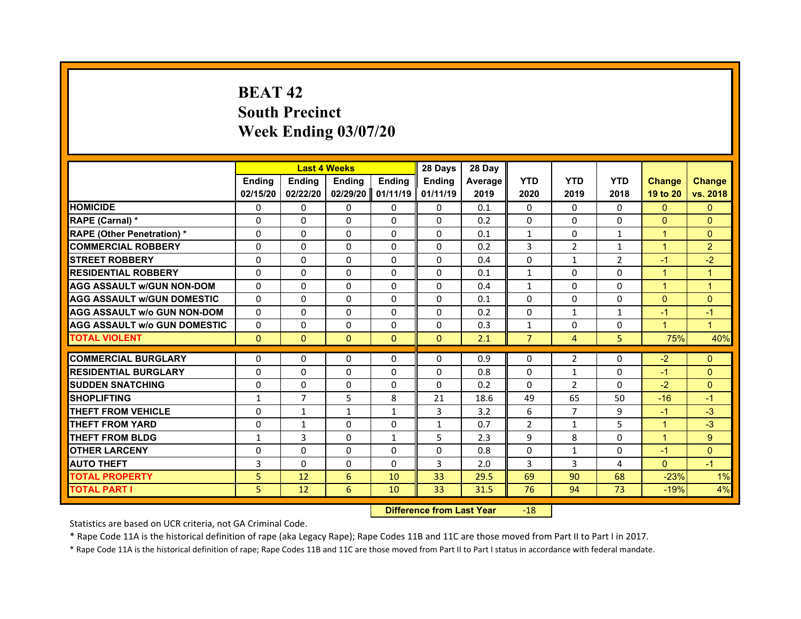# **BEAT 42South Precinct Week Ending 03/07/20**

|                                     |               |                | <b>Last 4 Weeks</b> |               | 28 Days       | 28 Day         |                |                |                |                      |                      |
|-------------------------------------|---------------|----------------|---------------------|---------------|---------------|----------------|----------------|----------------|----------------|----------------------|----------------------|
|                                     | <b>Endina</b> | <b>Ending</b>  | <b>Endina</b>       | <b>Endina</b> | <b>Endina</b> | <b>Average</b> | <b>YTD</b>     | <b>YTD</b>     | <b>YTD</b>     | <b>Change</b>        | <b>Change</b>        |
|                                     | 02/15/20      | 02/22/20       | 02/29/20            | 01/11/19      | 01/11/19      | 2019           | 2020           | 2019           | 2018           | 19 to 20             | vs. 2018             |
| <b>HOMICIDE</b>                     | 0             | 0              | 0                   | 0             | 0             | 0.1            | 0              | 0              | 0              | $\mathbf{0}$         | $\Omega$             |
| RAPE (Carnal) *                     | $\Omega$      | $\Omega$       | $\Omega$            | $\Omega$      | $\Omega$      | 0.2            | $\Omega$       | $\Omega$       | $\Omega$       | $\Omega$             | $\Omega$             |
| <b>RAPE (Other Penetration) *</b>   | $\Omega$      | $\Omega$       | $\Omega$            | $\Omega$      | $\Omega$      | 0.1            | $\mathbf{1}$   | $\Omega$       | $\mathbf{1}$   | $\overline{1}$       | $\Omega$             |
| <b>COMMERCIAL ROBBERY</b>           | $\Omega$      | $\Omega$       | $\Omega$            | $\Omega$      | $\Omega$      | 0.2            | 3              | 2              | $\mathbf{1}$   | $\blacktriangleleft$ | $\overline{2}$       |
| <b>STREET ROBBERY</b>               | $\Omega$      | $\Omega$       | $\Omega$            | $\Omega$      | $\Omega$      | 0.4            | $\Omega$       | $\mathbf{1}$   | $\overline{2}$ | $-1$                 | $-2$                 |
| <b>RESIDENTIAL ROBBERY</b>          | $\Omega$      | $\Omega$       | $\Omega$            | $\Omega$      | $\Omega$      | 0.1            | $\mathbf{1}$   | 0              | $\Omega$       | 1                    | 1                    |
| <b>AGG ASSAULT W/GUN NON-DOM</b>    | $\Omega$      | 0              | $\Omega$            | 0             | $\Omega$      | 0.4            | $\mathbf{1}$   | $\Omega$       | 0              | 1                    | 1                    |
| <b>AGG ASSAULT W/GUN DOMESTIC</b>   | $\Omega$      | $\Omega$       | $\Omega$            | $\Omega$      | $\Omega$      | 0.1            | $\Omega$       | $\Omega$       | $\Omega$       | $\Omega$             | $\Omega$             |
| <b>AGG ASSAULT W/o GUN NON-DOM</b>  | $\Omega$      | $\Omega$       | $\Omega$            | $\Omega$      | $\Omega$      | 0.2            | $\Omega$       | $\mathbf{1}$   | $\mathbf{1}$   | $-1$                 | $-1$                 |
| <b>AGG ASSAULT W/o GUN DOMESTIC</b> | 0             | 0              | 0                   | 0             | 0             | 0.3            | $\mathbf{1}$   | 0              | 0              | $\blacktriangleleft$ | $\blacktriangleleft$ |
| <b>TOTAL VIOLENT</b>                | $\mathbf{0}$  | $\mathbf{0}$   | $\mathbf{0}$        | $\mathbf{0}$  | $\mathbf{0}$  | 2.1            | $\overline{7}$ | $\overline{4}$ | 5              | 75%                  | 40%                  |
|                                     |               |                |                     |               |               |                |                |                |                |                      |                      |
| <b>COMMERCIAL BURGLARY</b>          | $\Omega$      | $\Omega$       | $\Omega$            | $\Omega$      | $\Omega$      | 0.9            | $\Omega$       | $\overline{2}$ | 0              | $-2$                 | $\mathbf{0}$         |
| <b>RESIDENTIAL BURGLARY</b>         | 0             | 0              | 0                   | 0             | 0             | 0.8            | $\Omega$       | 1              | 0              | $-1$                 | $\Omega$             |
| <b>SUDDEN SNATCHING</b>             | 0             | 0              | 0                   | 0             | $\Omega$      | 0.2            | $\Omega$       | 2              | 0              | $-2$                 | $\Omega$             |
| <b>SHOPLIFTING</b>                  | $\mathbf{1}$  | $\overline{7}$ | 5                   | 8             | 21            | 18.6           | 49             | 65             | 50             | $-16$                | $-1$                 |
| <b>THEFT FROM VEHICLE</b>           | $\Omega$      | $\mathbf{1}$   | $\mathbf{1}$        | $\mathbf{1}$  | 3             | 3.2            | 6              | $\overline{7}$ | 9              | $-1$                 | $-3$                 |
| <b>THEFT FROM YARD</b>              | $\Omega$      | $\mathbf{1}$   | $\Omega$            | $\Omega$      | $\mathbf{1}$  | 0.7            | $\overline{2}$ | $\mathbf{1}$   | 5              | $\mathbf{1}$         | $-3$                 |
| <b>THEFT FROM BLDG</b>              | 1             | 3              | 0                   | 1             | 5             | 2.3            | 9              | 8              | 0              | $\blacktriangleleft$ | 9                    |
| <b>OTHER LARCENY</b>                | $\Omega$      | $\Omega$       | 0                   | 0             | 0             | 0.8            | $\Omega$       | $\mathbf{1}$   | 0              | $-1$                 | $\Omega$             |
| <b>AUTO THEFT</b>                   | 3             | $\Omega$       | $\Omega$            | $\Omega$      | 3             | 2.0            | $\overline{3}$ | 3              | 4              | $\Omega$             | $-1$                 |
| <b>TOTAL PROPERTY</b>               | 5             | 12             | 6                   | 10            | 33            | 29.5           | 69             | 90             | 68             | $-23%$               | 1%                   |
| <b>TOTAL PART I</b>                 | 5             | 12             | 6                   | 10            | 33            | 31.5           | 76             | 94             | 73             | $-19%$               | 4%                   |

#### **Difference from Last Year**r -18

Statistics are based on UCR criteria, not GA Criminal Code.

\* Rape Code 11A is the historical definition of rape (aka Legacy Rape); Rape Codes 11B and 11C are those moved from Part II to Part I in 2017.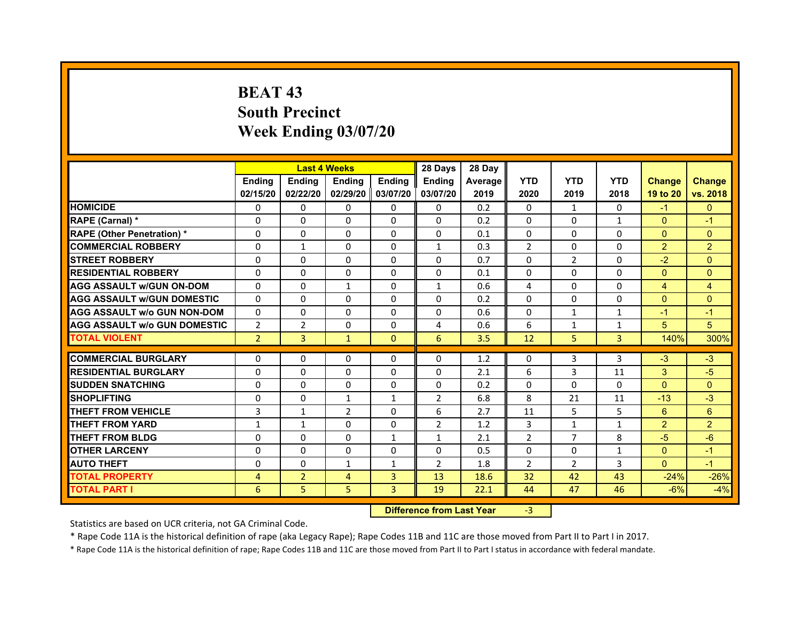# **BEAT 43South PrecinctWeek Ending 03/07/20**

|                                     |                | <b>Last 4 Weeks</b> |                |                   | 28 Days        | 28 Day  |                |                |              |                |                |
|-------------------------------------|----------------|---------------------|----------------|-------------------|----------------|---------|----------------|----------------|--------------|----------------|----------------|
|                                     | <b>Endina</b>  | <b>Ending</b>       | <b>Endina</b>  | <b>Endina</b>     | <b>Endina</b>  | Average | <b>YTD</b>     | <b>YTD</b>     | <b>YTD</b>   | <b>Change</b>  | <b>Change</b>  |
|                                     | 02/15/20       | 02/22/20            |                | 02/29/20 03/07/20 | 03/07/20       | 2019    | 2020           | 2019           | 2018         | 19 to 20       | vs. 2018       |
| <b>HOMICIDE</b>                     | $\Omega$       | $\mathbf{0}$        | $\Omega$       | 0                 | 0              | 0.2     | $\mathbf{0}$   | $\mathbf{1}$   | $\Omega$     | $-1$           | $\Omega$       |
| RAPE (Carnal) *                     | $\Omega$       | $\Omega$            | $\Omega$       | $\Omega$          | $\mathbf{0}$   | 0.2     | $\Omega$       | $\Omega$       | $\mathbf{1}$ | $\Omega$       | $-1$           |
| <b>RAPE (Other Penetration)*</b>    | 0              | $\Omega$            | $\Omega$       | $\mathbf{0}$      | $\Omega$       | 0.1     | $\Omega$       | $\Omega$       | $\Omega$     | $\Omega$       | $\Omega$       |
| <b>COMMERCIAL ROBBERY</b>           | 0              | 1                   | $\Omega$       | 0                 | $\mathbf{1}$   | 0.3     | $\overline{2}$ | 0              | $\Omega$     | $\overline{2}$ | $\overline{2}$ |
| <b>STREET ROBBERY</b>               | 0              | 0                   | 0              | $\mathbf{0}$      | 0              | 0.7     | 0              | $\overline{2}$ | $\Omega$     | $-2$           | $\Omega$       |
| <b>RESIDENTIAL ROBBERY</b>          | 0              | $\Omega$            | 0              | $\Omega$          | 0              | 0.1     | 0              | 0              | 0            | $\Omega$       | $\Omega$       |
| <b>AGG ASSAULT w/GUN ON-DOM</b>     | $\Omega$       | $\Omega$            | $\mathbf{1}$   | $\mathbf{0}$      | $\mathbf{1}$   | 0.6     | 4              | $\Omega$       | $\Omega$     | $\overline{4}$ | $\overline{4}$ |
| <b>AGG ASSAULT W/GUN DOMESTIC</b>   | 0              | 0                   | $\Omega$       | 0                 | $\Omega$       | 0.2     | $\Omega$       | $\Omega$       | $\Omega$     | $\Omega$       | $\Omega$       |
| AGG ASSAULT w/o GUN NON-DOM         | $\Omega$       | 0                   | $\Omega$       | $\Omega$          | $\Omega$       | 0.6     | $\Omega$       | $\mathbf{1}$   | 1            | $-1$           | $\overline{1}$ |
| <b>AGG ASSAULT W/o GUN DOMESTIC</b> | $\overline{2}$ | $\overline{2}$      | $\Omega$       | 0                 | 4              | 0.6     | 6              | $\mathbf{1}$   | $\mathbf{1}$ | 5              | 5              |
| <b>TOTAL VIOLENT</b>                | $\overline{2}$ | 3                   | $\mathbf{1}$   | $\mathbf{0}$      | 6              | 3.5     | 12             | 5              | 3            | 140%           | 300%           |
|                                     |                |                     |                |                   |                |         |                |                |              |                |                |
| <b>COMMERCIAL BURGLARY</b>          | 0              | 0                   | 0              | 0                 | 0              | 1.2     | 0              | 3              | 3            | $-3$           | $-3$           |
| <b>RESIDENTIAL BURGLARY</b>         | 0              | 0                   | 0              | 0                 | 0              | 2.1     | 6              | 3              | 11           | 3              | $-5$           |
| <b>SUDDEN SNATCHING</b>             | 0              | $\Omega$            | $\Omega$       | 0                 | $\Omega$       | 0.2     | $\Omega$       | $\Omega$       | $\Omega$     | $\Omega$       | $\Omega$       |
| <b>SHOPLIFTING</b>                  | $\Omega$       | $\Omega$            | $\mathbf{1}$   | $\mathbf{1}$      | $\overline{2}$ | 6.8     | 8              | 21             | 11           | $-13$          | $-3$           |
| <b>THEFT FROM VEHICLE</b>           | 3              | $\mathbf{1}$        | $\overline{2}$ | 0                 | 6              | 2.7     | 11             | 5              | 5            | 6              | 6              |
| <b>THEFT FROM YARD</b>              | 1              | 1                   | $\Omega$       | $\Omega$          | $\overline{2}$ | 1.2     | 3              | $\mathbf{1}$   | 1            | $\overline{2}$ | $\overline{2}$ |
| <b>THEFT FROM BLDG</b>              | 0              | $\Omega$            | 0              | $\mathbf{1}$      | $\mathbf{1}$   | 2.1     | $\overline{2}$ | 7              | 8            | $-5$           | $-6$           |
| <b>OTHER LARCENY</b>                | 0              | $\Omega$            | $\Omega$       | $\Omega$          | $\Omega$       | 0.5     | $\Omega$       | $\Omega$       | $\mathbf{1}$ | $\Omega$       | $-1$           |
| <b>AUTO THEFT</b>                   | $\Omega$       | $\Omega$            | $\mathbf{1}$   | $\mathbf{1}$      | $\overline{2}$ | 1.8     | $\overline{2}$ | $\overline{2}$ | 3            | $\Omega$       | $-1$           |
| <b>TOTAL PROPERTY</b>               | 4              | $\overline{2}$      | $\overline{4}$ | 3                 | 13             | 18.6    | 32             | 42             | 43           | $-24%$         | $-26%$         |
| <b>TOTAL PART I</b>                 | 6              | 5                   | 5              | 3                 | 19             | 22.1    | 44             | 47             | 46           | $-6%$          | $-4%$          |

 **Difference from Last Year**r -3

Statistics are based on UCR criteria, not GA Criminal Code.

\* Rape Code 11A is the historical definition of rape (aka Legacy Rape); Rape Codes 11B and 11C are those moved from Part II to Part I in 2017.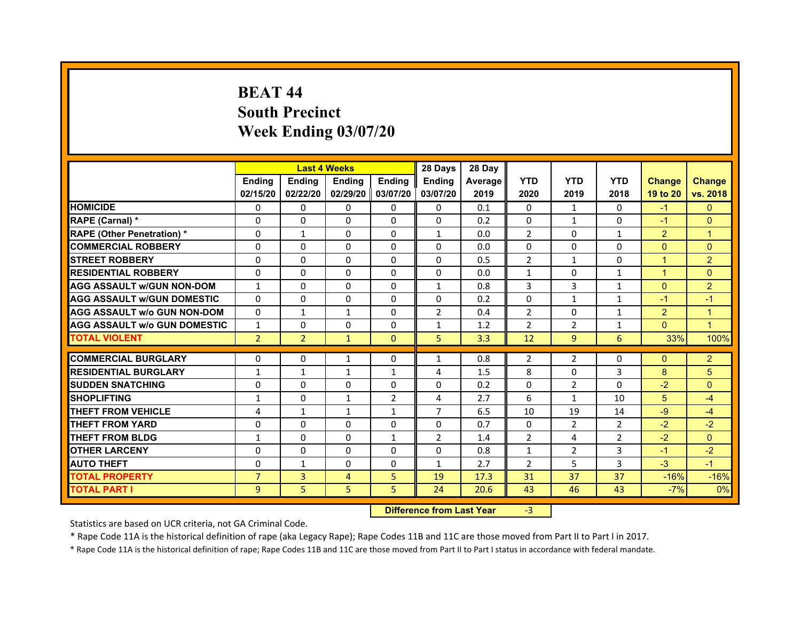# **BEAT 44South Precinct Week Ending 03/07/20**

|                                     |                | <b>Last 4 Weeks</b> |                |                   | 28 Days        | 28 Day  |                |                |                |                |                      |
|-------------------------------------|----------------|---------------------|----------------|-------------------|----------------|---------|----------------|----------------|----------------|----------------|----------------------|
|                                     | <b>Endina</b>  | <b>Ending</b>       | <b>Endina</b>  | <b>Endina</b>     | <b>Endina</b>  | Average | <b>YTD</b>     | <b>YTD</b>     | <b>YTD</b>     | <b>Change</b>  | <b>Change</b>        |
|                                     | 02/15/20       | 02/22/20            |                | 02/29/20 03/07/20 | 03/07/20       | 2019    | 2020           | 2019           | 2018           | 19 to 20       | vs. 2018             |
| <b>HOMICIDE</b>                     | $\Omega$       | $\mathbf{0}$        | $\Omega$       | $\mathbf{0}$      | 0              | 0.1     | $\Omega$       | $\mathbf{1}$   | $\Omega$       | $-1$           | $\mathbf{0}$         |
| RAPE (Carnal) *                     | $\Omega$       | $\Omega$            | $\Omega$       | $\Omega$          | $\Omega$       | 0.2     | $\Omega$       | $\mathbf{1}$   | $\Omega$       | $-1$           | $\Omega$             |
| <b>RAPE (Other Penetration) *</b>   | 0              | $\mathbf{1}$        | $\Omega$       | $\mathbf{0}$      | $\mathbf{1}$   | 0.0     | 2              | $\Omega$       | $\mathbf{1}$   | $\overline{2}$ | 1                    |
| <b>COMMERCIAL ROBBERY</b>           | 0              | 0                   | $\Omega$       | $\Omega$          | $\Omega$       | 0.0     | $\Omega$       | $\Omega$       | $\Omega$       | $\Omega$       | $\Omega$             |
| <b>STREET ROBBERY</b>               | 0              | $\Omega$            | $\Omega$       | $\Omega$          | $\Omega$       | 0.5     | $\overline{2}$ | $\mathbf{1}$   | $\Omega$       | $\mathbf{1}$   | $\overline{2}$       |
| <b>RESIDENTIAL ROBBERY</b>          | 0              | 0                   | 0              | $\Omega$          | 0              | 0.0     | $\mathbf{1}$   | $\mathbf{0}$   | $\mathbf{1}$   | $\mathbf{1}$   | $\Omega$             |
| <b>AGG ASSAULT w/GUN NON-DOM</b>    | $\mathbf{1}$   | $\Omega$            | $\Omega$       | $\mathbf{0}$      | $\mathbf{1}$   | 0.8     | 3              | $\overline{3}$ | $\mathbf{1}$   | $\Omega$       | $\overline{2}$       |
| <b>AGG ASSAULT W/GUN DOMESTIC</b>   | $\Omega$       | $\Omega$            | $\Omega$       | 0                 | $\Omega$       | 0.2     | $\Omega$       | $\mathbf{1}$   | $\mathbf{1}$   | $-1$           | $-1$                 |
| <b>AGG ASSAULT W/o GUN NON-DOM</b>  | 0              | $\mathbf{1}$        | $\mathbf{1}$   | 0                 | $\overline{2}$ | 0.4     | $\overline{2}$ | 0              | 1              | $\overline{2}$ | 1                    |
| <b>AGG ASSAULT W/o GUN DOMESTIC</b> | $\mathbf{1}$   | 0                   | 0              | 0                 | $\mathbf{1}$   | 1.2     | $\overline{2}$ | $\overline{2}$ | $\mathbf{1}$   | $\Omega$       | $\blacktriangleleft$ |
| <b>TOTAL VIOLENT</b>                | $\overline{2}$ | $\overline{2}$      | $\mathbf{1}$   | $\mathbf{0}$      | 5              | 3.3     | 12             | 9              | 6              | 33%            | 100%                 |
|                                     |                |                     |                |                   |                |         |                |                |                |                |                      |
| <b>COMMERCIAL BURGLARY</b>          | 0              | 0                   | $\mathbf{1}$   | 0                 | $\mathbf{1}$   | 0.8     | 2              | 2              | $\Omega$       | $\Omega$       | $\overline{c}$       |
| <b>RESIDENTIAL BURGLARY</b>         | $\mathbf{1}$   | $\mathbf{1}$        | $\mathbf{1}$   | $\mathbf{1}$      | 4              | 1.5     | 8              | $\Omega$       | 3              | 8              | 5                    |
| <b>SUDDEN SNATCHING</b>             | 0              | 0                   | 0              | $\Omega$          | 0              | 0.2     | $\Omega$       | $\overline{2}$ | $\Omega$       | $-2$           | $\Omega$             |
| <b>SHOPLIFTING</b>                  | $\mathbf{1}$   | $\Omega$            | $\mathbf{1}$   | $\overline{2}$    | 4              | 2.7     | 6              | $\mathbf{1}$   | 10             | 5              | $-4$                 |
| <b>THEFT FROM VEHICLE</b>           | 4              | $\mathbf{1}$        | $\mathbf{1}$   | $\mathbf{1}$      | $\overline{7}$ | 6.5     | 10             | 19             | 14             | $-9$           | $-4$                 |
| <b>THEFT FROM YARD</b>              | 0              | 0                   | $\Omega$       | 0                 | 0              | 0.7     | $\Omega$       | 2              | 2              | $-2$           | $-2$                 |
| <b>THEFT FROM BLDG</b>              | $\mathbf{1}$   | 0                   | 0              | 1                 | $\overline{2}$ | 1.4     | $\overline{2}$ | 4              | $\overline{2}$ | $-2$           | $\Omega$             |
| <b>OTHER LARCENY</b>                | 0              | 0                   | 0              | $\Omega$          | 0              | 0.8     | $\mathbf{1}$   | 2              | 3              | $-1$           | $-2$                 |
| <b>AUTO THEFT</b>                   | $\Omega$       | $\mathbf{1}$        | $\Omega$       | $\Omega$          | $\mathbf{1}$   | 2.7     | $\overline{2}$ | 5              | 3              | $-3$           | $-1$                 |
| <b>TOTAL PROPERTY</b>               | $\overline{7}$ | 3                   | $\overline{4}$ | 5                 | 19             | 17.3    | 31             | 37             | 37             | $-16%$         | $-16%$               |
| <b>TOTAL PART I</b>                 | 9              | 5                   | 5              | 5                 | 24             | 20.6    | 43             | 46             | 43             | $-7%$          | 0%                   |

 **Difference from Last Year**r -3

Statistics are based on UCR criteria, not GA Criminal Code.

\* Rape Code 11A is the historical definition of rape (aka Legacy Rape); Rape Codes 11B and 11C are those moved from Part II to Part I in 2017.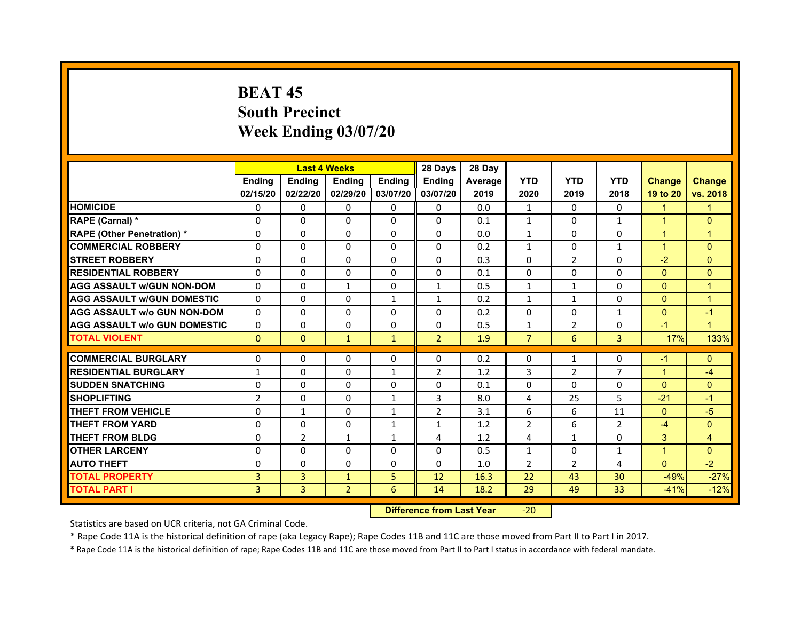# **BEAT 45South PrecinctWeek Ending 03/07/20**

|                                     |                | <b>Last 4 Weeks</b> |                     |               | 28 Days        | 28 Day  |                |                |                |                      |                |
|-------------------------------------|----------------|---------------------|---------------------|---------------|----------------|---------|----------------|----------------|----------------|----------------------|----------------|
|                                     | <b>Endina</b>  | <b>Endina</b>       | <b>Endina</b>       | <b>Endina</b> | <b>Endina</b>  | Average | <b>YTD</b>     | <b>YTD</b>     | <b>YTD</b>     | <b>Change</b>        | <b>Change</b>  |
|                                     | 02/15/20       | 02/22/20            | 02/29/20   03/07/20 |               | 03/07/20       | 2019    | 2020           | 2019           | 2018           | 19 to 20             | vs. 2018       |
| <b>HOMICIDE</b>                     | 0              | 0                   | 0                   | 0             | 0              | 0.0     | 1              | 0              | 0              | $\blacktriangleleft$ | 1              |
| RAPE (Carnal) *                     | $\Omega$       | $\Omega$            | $\Omega$            | $\Omega$      | $\Omega$       | 0.1     | $\mathbf{1}$   | $\Omega$       | $\mathbf{1}$   | $\mathbf{1}$         | $\mathbf{0}$   |
| <b>RAPE (Other Penetration)*</b>    | $\Omega$       | $\Omega$            | $\Omega$            | $\Omega$      | $\Omega$       | 0.0     | $\mathbf{1}$   | $\Omega$       | $\Omega$       | $\blacktriangleleft$ | $\overline{1}$ |
| <b>COMMERCIAL ROBBERY</b>           | 0              | 0                   | $\Omega$            | $\Omega$      | 0              | 0.2     | $\mathbf{1}$   | 0              | $\mathbf{1}$   | $\overline{1}$       | $\Omega$       |
| <b>STREET ROBBERY</b>               | $\mathbf 0$    | 0                   | $\Omega$            | 0             | $\Omega$       | 0.3     | $\Omega$       | $\overline{2}$ | 0              | $-2$                 | $\mathbf{0}$   |
| <b>RESIDENTIAL ROBBERY</b>          | $\mathbf 0$    | $\Omega$            | $\Omega$            | $\Omega$      | $\Omega$       | 0.1     | $\Omega$       | $\Omega$       | 0              | $\mathbf{0}$         | $\mathbf{0}$   |
| <b>AGG ASSAULT w/GUN NON-DOM</b>    | $\Omega$       | $\mathbf{0}$        | $\mathbf{1}$        | $\Omega$      | $\mathbf{1}$   | 0.5     | $\mathbf{1}$   | $\mathbf{1}$   | $\Omega$       | $\mathbf{0}$         | $\overline{1}$ |
| <b>AGG ASSAULT W/GUN DOMESTIC</b>   | $\Omega$       | 0                   | $\Omega$            | $\mathbf{1}$  | $\mathbf{1}$   | 0.2     | $\mathbf{1}$   | $\mathbf{1}$   | $\Omega$       | $\mathbf{0}$         | $\overline{1}$ |
| <b>AGG ASSAULT w/o GUN NON-DOM</b>  | $\Omega$       | $\Omega$            | $\Omega$            | $\Omega$      | $\Omega$       | 0.2     | $\Omega$       | $\Omega$       | 1              | $\Omega$             | $-1$           |
| <b>AGG ASSAULT w/o GUN DOMESTIC</b> | $\Omega$       | $\mathbf{0}$        | $\Omega$            | $\Omega$      | $\Omega$       | 0.5     | 1              | $\overline{2}$ | 0              | $-1$                 | $\overline{1}$ |
| <b>TOTAL VIOLENT</b>                | $\Omega$       | $\Omega$            | $\mathbf{1}$        | $\mathbf{1}$  | $\overline{2}$ | 1.9     | $\overline{7}$ | 6              | $\overline{3}$ | 17%                  | 133%           |
|                                     |                |                     |                     |               |                |         |                |                |                |                      |                |
| <b>COMMERCIAL BURGLARY</b>          | $\Omega$       | 0                   | $\Omega$            | $\Omega$      | $\Omega$       | 0.2     | $\Omega$       | $\mathbf{1}$   | $\Omega$       | $-1$                 | $\mathbf{0}$   |
| <b>RESIDENTIAL BURGLARY</b>         | 1              | 0                   | $\Omega$            | 1             | $\overline{2}$ | 1.2     | 3              | $\overline{2}$ | $\overline{7}$ | $\overline{1}$       | $-4$           |
| <b>SUDDEN SNATCHING</b>             | $\mathbf 0$    | $\Omega$            | $\Omega$            | $\Omega$      | $\Omega$       | 0.1     | $\Omega$       | $\Omega$       | 0              | $\Omega$             | $\Omega$       |
| <b>SHOPLIFTING</b>                  | $\overline{2}$ | 0                   | $\Omega$            | $\mathbf{1}$  | 3              | 8.0     | 4              | 25             | 5              | $-21$                | $-1$           |
| <b>THEFT FROM VEHICLE</b>           | $\mathbf 0$    | $\mathbf{1}$        | 0                   | $\mathbf{1}$  | $\overline{2}$ | 3.1     | 6              | 6              | 11             | $\mathbf{0}$         | $-5$           |
| <b>THEFT FROM YARD</b>              | $\Omega$       | $\Omega$            | $\Omega$            | $\mathbf{1}$  | $\mathbf{1}$   | 1.2     | $\overline{2}$ | 6              | $\overline{2}$ | $-4$                 | $\mathbf{0}$   |
| <b>THEFT FROM BLDG</b>              | 0              | $\overline{2}$      | 1                   | 1             | 4              | 1.2     | 4              | 1              | 0              | 3                    | 4              |
| <b>OTHER LARCENY</b>                | $\mathbf 0$    | $\Omega$            | $\Omega$            | $\Omega$      | $\Omega$       | 0.5     | $\mathbf{1}$   | 0              | $\mathbf{1}$   | $\overline{1}$       | $\Omega$       |
| <b>AUTO THEFT</b>                   | $\mathbf 0$    | 0                   | $\Omega$            | 0             | $\Omega$       | 1.0     | 2              | $\overline{2}$ | 4              | $\mathbf{0}$         | $-2$           |
| <b>TOTAL PROPERTY</b>               | 3              | 3                   | $\mathbf{1}$        | 5             | 12             | 16.3    | 22             | 43             | 30             | $-49%$               | $-27%$         |
| <b>TOTAL PART I</b>                 | 3              | 3                   | $\overline{2}$      | 6             | 14             | 18.2    | 29             | 49             | 33             | $-41%$               | $-12%$         |

#### **Difference from Last Year**‐20

Statistics are based on UCR criteria, not GA Criminal Code.

\* Rape Code 11A is the historical definition of rape (aka Legacy Rape); Rape Codes 11B and 11C are those moved from Part II to Part I in 2017.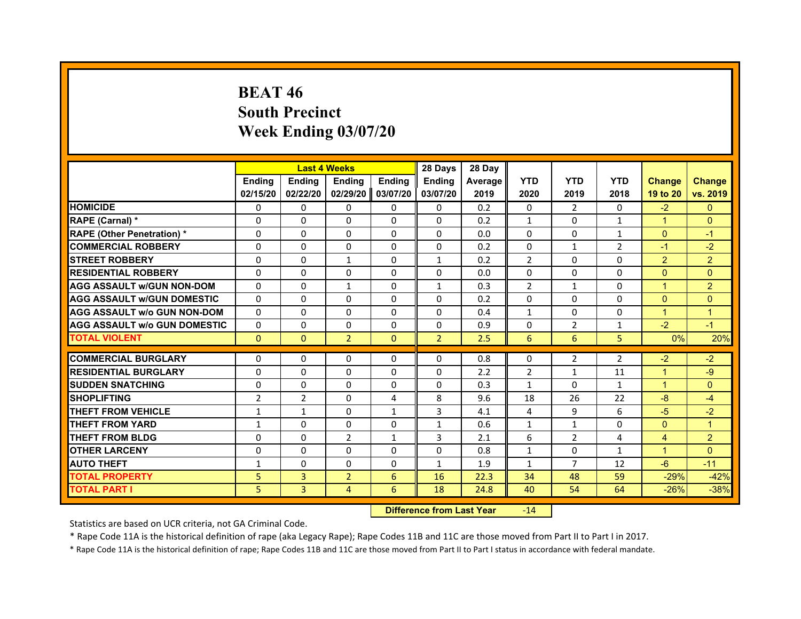# **BEAT 46South Precinct Week Ending 03/07/20**

|                                     |                                |                   | <b>Last 4 Weeks</b> |              | 28 Days        | 28 Day         |                    |                |                    |                      |                |
|-------------------------------------|--------------------------------|-------------------|---------------------|--------------|----------------|----------------|--------------------|----------------|--------------------|----------------------|----------------|
|                                     | <b>Endina</b>                  | <b>Ending</b>     | <b>Endina</b>       | Ending       | <b>Endina</b>  | <b>Average</b> | <b>YTD</b>         | <b>YTD</b>     | <b>YTD</b>         | <b>Change</b>        | <b>Change</b>  |
|                                     | 02/15/20                       | 02/22/20          | 02/29/20            | 03/07/20     | 03/07/20       | 2019           | 2020               | 2019           | 2018               | 19 to 20             | vs. 2019       |
| <b>HOMICIDE</b>                     | 0                              | 0                 | $\Omega$            | 0            | 0              | 0.2            | $\Omega$           | $\overline{2}$ | $\Omega$           | $-2$                 | $\mathbf{0}$   |
| RAPE (Carnal) *                     | $\Omega$                       | $\Omega$          | $\Omega$            | $\Omega$     | $\Omega$       | 0.2            | $\mathbf{1}$       | $\Omega$       | $\mathbf{1}$       | $\mathbf{1}$         | $\mathbf{0}$   |
| <b>RAPE (Other Penetration) *</b>   | $\Omega$                       | $\Omega$          | $\Omega$            | $\Omega$     | $\Omega$       | 0.0            | $\Omega$           | $\Omega$       | $\mathbf{1}$       | $\Omega$             | $-1$           |
| <b>COMMERCIAL ROBBERY</b>           | $\Omega$                       | $\Omega$          | $\Omega$            | $\Omega$     | $\Omega$       | 0.2            | $\Omega$           | $\mathbf{1}$   | $\overline{2}$     | $-1$                 | $-2$           |
| <b>STREET ROBBERY</b>               | $\Omega$                       | $\Omega$          | 1                   | $\Omega$     | $\mathbf{1}$   | 0.2            | $\overline{2}$     | $\Omega$       | $\Omega$           | 2                    | $\overline{c}$ |
| <b>RESIDENTIAL ROBBERY</b>          | $\Omega$                       | $\Omega$          | $\Omega$            | $\Omega$     | $\Omega$       | 0.0            | $\Omega$           | $\Omega$       | $\Omega$           | $\Omega$             | $\Omega$       |
| <b>AGG ASSAULT W/GUN NON-DOM</b>    | $\Omega$                       | $\Omega$          | 1                   | $\Omega$     | $\mathbf{1}$   | 0.3            | $\overline{2}$     | $\mathbf{1}$   | $\Omega$           | $\overline{1}$       | $\overline{a}$ |
| <b>AGG ASSAULT W/GUN DOMESTIC</b>   | $\Omega$                       | $\Omega$          | $\Omega$            | $\Omega$     | $\Omega$       | 0.2            | $\Omega$           | $\Omega$       | $\Omega$           | $\Omega$             | $\Omega$       |
| <b>AGG ASSAULT W/o GUN NON-DOM</b>  | $\Omega$                       | $\Omega$          | $\Omega$            | $\Omega$     | $\Omega$       | 0.4            | $\mathbf{1}$       | $\Omega$       | $\Omega$           | $\blacktriangleleft$ | $\mathbf{1}$   |
| <b>AGG ASSAULT W/o GUN DOMESTIC</b> | $\Omega$                       | $\Omega$          | $\Omega$            | $\Omega$     | $\Omega$       | 0.9            | $\Omega$           | $\overline{2}$ | 1                  | $-2$                 | $-1$           |
| <b>TOTAL VIOLENT</b>                | $\mathbf{0}$                   | $\mathbf{0}$      | $\overline{2}$      | $\mathbf{0}$ | $\overline{2}$ | 2.5            | 6                  | 6              | 5                  | 0%                   | 20%            |
| <b>COMMERCIAL BURGLARY</b>          | 0                              | 0                 | $\Omega$            | $\Omega$     | $\Omega$       | 0.8            | $\Omega$           | 2              | $\overline{2}$     | $-2$                 | $-2$           |
| <b>RESIDENTIAL BURGLARY</b>         | $\Omega$                       | 0                 | 0                   | 0            | 0              | 2.2            | $\overline{2}$     | $\mathbf{1}$   | 11                 | $\mathbf{1}$         | $-9$           |
| <b>SUDDEN SNATCHING</b>             | $\Omega$                       | $\Omega$          | $\Omega$            | $\Omega$     | 0              |                |                    | $\Omega$       |                    | 1                    | $\Omega$       |
| <b>SHOPLIFTING</b>                  |                                |                   | $\Omega$            | 4            |                | 0.3<br>9.6     | $\mathbf{1}$<br>18 | 26             | $\mathbf{1}$<br>22 | $-8$                 |                |
| <b>THEFT FROM VEHICLE</b>           | $\overline{2}$<br>$\mathbf{1}$ | 2<br>$\mathbf{1}$ | $\Omega$            | $\mathbf{1}$ | 8<br>3         | 4.1            | 4                  | 9              | 6                  | $-5$                 | $-4$<br>$-2$   |
| <b>THEFT FROM YARD</b>              |                                | $\Omega$          | $\Omega$            | $\Omega$     |                | 0.6            |                    |                | $\Omega$           |                      | $\overline{1}$ |
| <b>THEFT FROM BLDG</b>              | $\mathbf{1}$                   |                   |                     |              | $\mathbf{1}$   |                | $\mathbf{1}$       | $\mathbf{1}$   |                    | $\Omega$             |                |
|                                     | 0                              | 0                 | 2                   | $\mathbf{1}$ | 3              | 2.1            | 6                  | 2              | 4                  | 4                    | $\overline{a}$ |
| <b>OTHER LARCENY</b>                | $\Omega$                       | $\Omega$          | $\Omega$            | $\Omega$     | $\Omega$       | 0.8            | $\mathbf{1}$       | $\Omega$       | $\mathbf{1}$       | 1                    | $\Omega$       |
| <b>AUTO THEFT</b>                   | $\mathbf{1}$                   | 0                 | $\Omega$            | $\Omega$     | $\mathbf{1}$   | 1.9            | $\mathbf{1}$       | $\overline{7}$ | 12                 | $-6$                 | $-11$          |
| <b>TOTAL PROPERTY</b>               | 5                              | 3                 | $\overline{2}$      | 6            | 16             | 22.3           | 34                 | 48             | 59                 | $-29%$               | $-42%$         |
| <b>TOTAL PART I</b>                 | 5                              | 3                 | 4                   | 6            | 18             | 24.8           | 40                 | 54             | 64                 | $-26%$               | $-38%$         |

#### **Difference from Last Year**r -14

Statistics are based on UCR criteria, not GA Criminal Code.

\* Rape Code 11A is the historical definition of rape (aka Legacy Rape); Rape Codes 11B and 11C are those moved from Part II to Part I in 2017.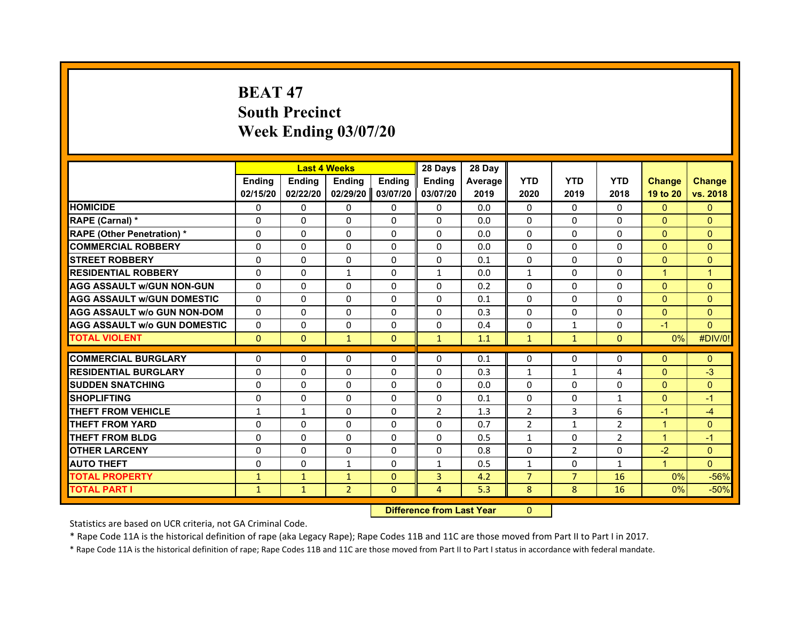# **BEAT 47South Precinct Week Ending 03/07/20**

|                                     |               | <b>Last 4 Weeks</b> |                |               | 28 Days        | 28 Day  |                |                |                |                |                |
|-------------------------------------|---------------|---------------------|----------------|---------------|----------------|---------|----------------|----------------|----------------|----------------|----------------|
|                                     | <b>Endina</b> | <b>Endina</b>       | <b>Endina</b>  | <b>Endina</b> | <b>Endina</b>  | Average | <b>YTD</b>     | <b>YTD</b>     | <b>YTD</b>     | <b>Change</b>  | <b>Change</b>  |
|                                     | 02/15/20      | 02/22/20            | 02/29/20       | 03/07/20      | 03/07/20       | 2019    | 2020           | 2019           | 2018           | 19 to 20       | vs. 2018       |
| <b>HOMICIDE</b>                     | $\Omega$      | $\Omega$            | $\Omega$       | $\Omega$      | $\Omega$       | 0.0     | $\Omega$       | $\Omega$       | $\Omega$       | $\Omega$       | $\mathbf{0}$   |
| RAPE (Carnal) *                     | $\Omega$      | $\Omega$            | $\Omega$       | $\Omega$      | $\Omega$       | 0.0     | $\mathbf 0$    | $\Omega$       | $\Omega$       | $\mathbf{0}$   | $\mathbf{0}$   |
| <b>RAPE (Other Penetration) *</b>   | $\Omega$      | $\Omega$            | $\Omega$       | $\Omega$      | $\Omega$       | 0.0     | $\Omega$       | $\Omega$       | $\Omega$       | $\Omega$       | $\mathbf{0}$   |
| <b>COMMERCIAL ROBBERY</b>           | 0             | 0                   | 0              | 0             | 0              | 0.0     | 0              | 0              | 0              | $\Omega$       | $\Omega$       |
| <b>STREET ROBBERY</b>               | $\Omega$      | $\Omega$            | $\Omega$       | $\Omega$      | $\Omega$       | 0.1     | $\Omega$       | $\Omega$       | 0              | $\mathbf{0}$   | $\mathbf{0}$   |
| <b>RESIDENTIAL ROBBERY</b>          | $\Omega$      | $\Omega$            | $\mathbf{1}$   | $\Omega$      | $\mathbf{1}$   | 0.0     | $\mathbf{1}$   | $\Omega$       | 0              | $\overline{1}$ | $\overline{1}$ |
| <b>AGG ASSAULT w/GUN NON-GUN</b>    | $\Omega$      | $\Omega$            | $\Omega$       | $\Omega$      | $\Omega$       | 0.2     | $\Omega$       | $\Omega$       | $\Omega$       | $\mathbf{0}$   | $\mathbf{0}$   |
| <b>AGG ASSAULT W/GUN DOMESTIC</b>   | $\Omega$      | $\Omega$            | $\Omega$       | $\Omega$      | $\Omega$       | 0.1     | $\Omega$       | 0              | 0              | $\mathbf{0}$   | $\mathbf{0}$   |
| <b>AGG ASSAULT W/o GUN NON-DOM</b>  | $\Omega$      | $\Omega$            | $\Omega$       | $\Omega$      | $\Omega$       | 0.3     | $\Omega$       | $\Omega$       | 0              | $\Omega$       | $\Omega$       |
| <b>AGG ASSAULT W/o GUN DOMESTIC</b> | $\Omega$      | $\Omega$            | $\Omega$       | $\Omega$      | $\Omega$       | 0.4     | $\Omega$       | $\mathbf{1}$   | 0              | $-1$           | $\mathbf{0}$   |
| <b>TOTAL VIOLENT</b>                | $\mathbf{0}$  | $\mathbf{0}$        | $\mathbf{1}$   | $\mathbf{0}$  | $\mathbf{1}$   | 1.1     | $\mathbf{1}$   | $\mathbf{1}$   | $\mathbf{0}$   | $0\%$          | #DIV/0!        |
|                                     |               |                     |                |               |                |         |                |                |                |                |                |
| <b>COMMERCIAL BURGLARY</b>          | 0             | 0                   | 0              | 0             | 0              | 0.1     | 0              | 0              | 0              | $\mathbf{0}$   | $\mathbf{0}$   |
| <b>RESIDENTIAL BURGLARY</b>         | 0             | 0                   | $\Omega$       | $\Omega$      | $\mathbf 0$    | 0.3     | $\mathbf{1}$   | $\mathbf{1}$   | 4              | $\Omega$       | $-3$           |
| <b>SUDDEN SNATCHING</b>             | 0             | 0                   | 0              | $\Omega$      | 0              | 0.0     | $\Omega$       | 0              | 0              | $\mathbf{0}$   | $\mathbf{0}$   |
| <b>SHOPLIFTING</b>                  | $\Omega$      | $\Omega$            | $\Omega$       | $\Omega$      | $\Omega$       | 0.1     | $\Omega$       | $\Omega$       | $\mathbf{1}$   | $\mathbf{0}$   | $-1$           |
| <b>THEFT FROM VEHICLE</b>           | $\mathbf{1}$  | $\mathbf{1}$        | $\Omega$       | $\Omega$      | $\overline{2}$ | 1.3     | $\overline{2}$ | 3              | 6              | $-1$           | $-4$           |
| <b>THEFT FROM YARD</b>              | 0             | 0                   | 0              | 0             | 0              | 0.7     | $\overline{2}$ | $\mathbf{1}$   | $\overline{2}$ | $\overline{1}$ | $\Omega$       |
| <b>THEFT FROM BLDG</b>              | $\Omega$      | 0                   | $\Omega$       | $\Omega$      | $\Omega$       | 0.5     | $\mathbf{1}$   | 0              | $\overline{2}$ | $\overline{1}$ | $-1$           |
| <b>OTHER LARCENY</b>                | $\Omega$      | $\Omega$            | $\Omega$       | $\Omega$      | $\Omega$       | 0.8     | $\Omega$       | 2              | 0              | $-2$           | $\mathbf{0}$   |
| <b>AUTO THEFT</b>                   | $\Omega$      | $\Omega$            | $\mathbf{1}$   | $\Omega$      | $\mathbf{1}$   | 0.5     | $\mathbf{1}$   | $\Omega$       | $\mathbf{1}$   | $\overline{1}$ | $\Omega$       |
| <b>TOTAL PROPERTY</b>               | $\mathbf{1}$  | $\mathbf{1}$        | $\mathbf{1}$   | $\mathbf{0}$  | 3              | 4.2     | $\overline{7}$ | $\overline{7}$ | 16             | 0%             | $-56%$         |
| <b>TOTAL PART I</b>                 | $\mathbf{1}$  | $\mathbf{1}$        | $\overline{2}$ | $\mathbf{0}$  | $\overline{4}$ | 5.3     | 8              | 8              | 16             | 0%             | $-50%$         |

#### **Difference from Last Year**r 0

Statistics are based on UCR criteria, not GA Criminal Code.

\* Rape Code 11A is the historical definition of rape (aka Legacy Rape); Rape Codes 11B and 11C are those moved from Part II to Part I in 2017.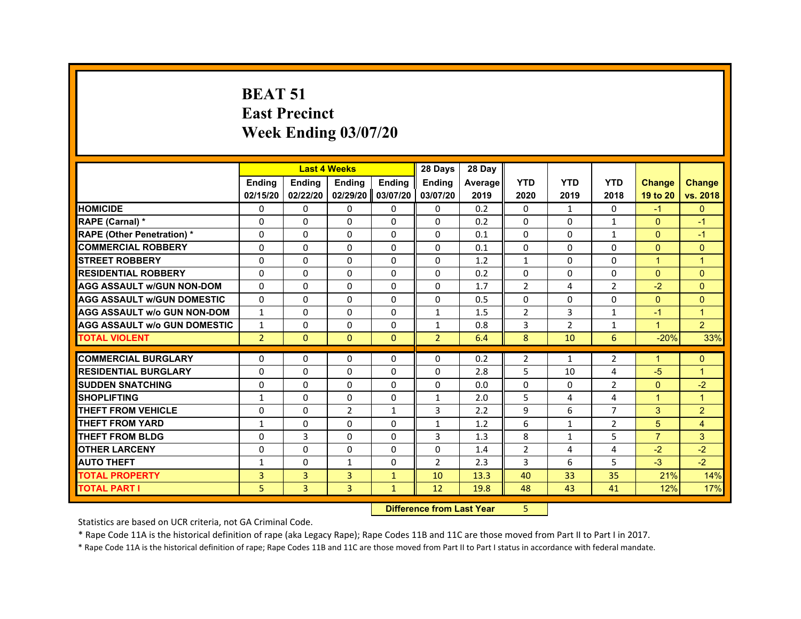#### **BEAT 51East Precinct Week Ending 03/07/20**

|                                     |                | <b>Last 4 Weeks</b> |                |                   | 28 Days        | 28 Day  |                |                |                |                      |                |
|-------------------------------------|----------------|---------------------|----------------|-------------------|----------------|---------|----------------|----------------|----------------|----------------------|----------------|
|                                     | <b>Ending</b>  | <b>Endina</b>       | <b>Endina</b>  | <b>Ending</b>     | <b>Endina</b>  | Average | <b>YTD</b>     | <b>YTD</b>     | <b>YTD</b>     | <b>Change</b>        | <b>Change</b>  |
|                                     | 02/15/20       | 02/22/20            | 02/29/20       | 03/07/20          | 03/07/20       | 2019    | 2020           | 2019           | 2018           | 19 to 20             | vs. 2018       |
| <b>HOMICIDE</b>                     | 0              | $\mathbf{0}$        | $\mathbf{0}$   | 0                 | 0              | 0.2     | $\Omega$       | $\mathbf{1}$   | $\mathbf{0}$   | $-1$                 | $\mathbf{0}$   |
| RAPE (Carnal) *                     | $\Omega$       | 0                   | $\Omega$       | $\Omega$          | $\Omega$       | 0.2     | $\Omega$       | 0              | $\mathbf{1}$   | $\mathbf{0}$         | $-1$           |
| <b>RAPE (Other Penetration) *</b>   | $\Omega$       | 0                   | $\Omega$       | $\Omega$          | $\Omega$       | 0.1     | 0              | $\Omega$       | 1              | $\Omega$             | $-1$           |
| <b>COMMERCIAL ROBBERY</b>           | 0              | $\Omega$            | $\Omega$       | $\Omega$          | $\Omega$       | 0.1     | 0              | $\Omega$       | 0              | $\Omega$             | $\Omega$       |
| <b>STREET ROBBERY</b>               | $\Omega$       | $\Omega$            | $\Omega$       | $\Omega$          | $\Omega$       | 1.2     | $\mathbf{1}$   | $\Omega$       | $\Omega$       | $\overline{1}$       | $\overline{1}$ |
| <b>RESIDENTIAL ROBBERY</b>          | $\Omega$       | 0                   | 0              | $\Omega$          | $\Omega$       | 0.2     | $\Omega$       | $\mathbf{0}$   | $\Omega$       | $\mathbf{0}$         | $\Omega$       |
| <b>AGG ASSAULT W/GUN NON-DOM</b>    | $\Omega$       | $\Omega$            | $\Omega$       | $\Omega$          | $\Omega$       | 1.7     | $\overline{2}$ | 4              | $\overline{2}$ | $-2$                 | $\Omega$       |
| <b>AGG ASSAULT W/GUN DOMESTIC</b>   | $\Omega$       | 0                   | 0              | $\Omega$          | 0              | 0.5     | 0              | 0              | 0              | $\Omega$             | $\mathbf{0}$   |
| <b>AGG ASSAULT w/o GUN NON-DOM</b>  | $\mathbf{1}$   | $\Omega$            | $\Omega$       | $\Omega$          | $\mathbf{1}$   | 1.5     | $\overline{2}$ | 3              | $\mathbf{1}$   | $-1$                 | $\overline{1}$ |
| <b>AGG ASSAULT W/o GUN DOMESTIC</b> | $\mathbf{1}$   | 0                   | $\Omega$       | $\Omega$          | $\mathbf{1}$   | 0.8     | 3              | $\overline{2}$ | $\mathbf{1}$   | $\overline{1}$       | $\overline{2}$ |
| <b>TOTAL VIOLENT</b>                | $\overline{2}$ | $\Omega$            | $\Omega$       | $\Omega$          | $\overline{2}$ | 6.4     | 8              | 10             | 6              | $-20%$               | 33%            |
| <b>COMMERCIAL BURGLARY</b>          | $\Omega$       | 0                   | $\Omega$       | $\Omega$          | $\Omega$       | 0.2     | $\overline{2}$ | $\mathbf{1}$   | $\overline{2}$ | -1                   | $\mathbf{0}$   |
| <b>RESIDENTIAL BURGLARY</b>         | $\Omega$       | $\Omega$            | $\Omega$       | $\Omega$          | $\Omega$       | 2.8     | 5              | 10             | 4              | $-5$                 | $\overline{1}$ |
| <b>SUDDEN SNATCHING</b>             | $\Omega$       | $\Omega$            | $\Omega$       | $\Omega$          | $\Omega$       | 0.0     | 0              | $\Omega$       | $\overline{2}$ | $\mathbf{0}$         | $-2$           |
| <b>SHOPLIFTING</b>                  | $\mathbf{1}$   | $\Omega$            | $\Omega$       | $\Omega$          | $\mathbf{1}$   | 2.0     | 5              | 4              | 4              | $\blacktriangleleft$ | $\overline{1}$ |
| <b>THEFT FROM VEHICLE</b>           | $\Omega$       | $\Omega$            | $\overline{2}$ | $\mathbf{1}$      | 3              | 2.2     | 9              | 6              | $\overline{7}$ | 3                    | $\overline{2}$ |
| <b>THEFT FROM YARD</b>              | 1              | $\Omega$            | $\Omega$       | $\Omega$          | $\mathbf{1}$   | 1.2     | 6              | $\mathbf{1}$   | $\overline{2}$ | 5                    | $\overline{4}$ |
| <b>THEFT FROM BLDG</b>              | $\Omega$       | 3                   | $\Omega$       | $\Omega$          | 3              | 1.3     | 8              | $\mathbf{1}$   | 5              | $\overline{7}$       | 3              |
| <b>OTHER LARCENY</b>                | 0              | 0                   | 0              | $\Omega$          | 0              | 1.4     | $\overline{2}$ | 4              | 4              | $-2$                 | $-2$           |
| <b>AUTO THEFT</b>                   | 1              | 0                   | $\mathbf{1}$   | $\Omega$          | $\overline{2}$ | 2.3     | 3              | 6              | 5              | $-3$                 | $-2$           |
| <b>TOTAL PROPERTY</b>               | 3              | 3                   | 3              | $\mathbf{1}$      | 10             | 13.3    | 40             | 33             | 35             | 21%                  | 14%            |
| <b>TOTAL PART I</b>                 | 5              | 3                   | 3              | $\mathbf{1}$      | 12             | 19.8    | 48             | 43             | 41             | 12%                  | 17%            |
|                                     |                |                     |                | <b>CONTRACTOR</b> |                |         |                |                |                |                      |                |

#### **Difference from Last Year**r 5

Statistics are based on UCR criteria, not GA Criminal Code.

\* Rape Code 11A is the historical definition of rape (aka Legacy Rape); Rape Codes 11B and 11C are those moved from Part II to Part I in 2017.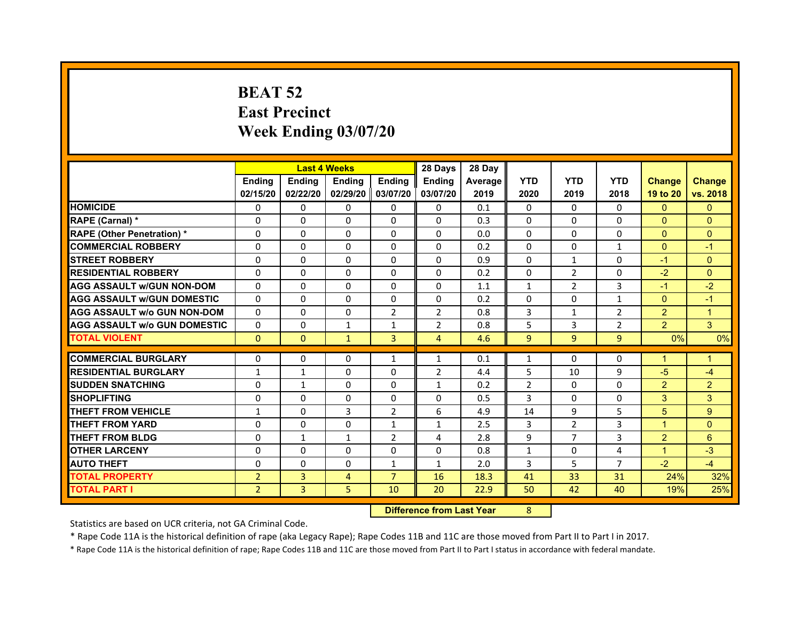# **BEAT 52East Precinct Week Ending 03/07/20**

|                                     |                | <b>Last 4 Weeks</b> |               |                   | 28 Days        | 28 Day  |                |                |                |                |                |
|-------------------------------------|----------------|---------------------|---------------|-------------------|----------------|---------|----------------|----------------|----------------|----------------|----------------|
|                                     | <b>Endina</b>  | <b>Ending</b>       | <b>Endina</b> | <b>Endina</b>     | <b>Endina</b>  | Average | <b>YTD</b>     | <b>YTD</b>     | <b>YTD</b>     | <b>Change</b>  | <b>Change</b>  |
|                                     | 02/15/20       | 02/22/20            |               | 02/29/20 03/07/20 | 03/07/20       | 2019    | 2020           | 2019           | 2018           | 19 to 20       | vs. 2018       |
| <b>HOMICIDE</b>                     | 0              | 0                   | $\mathbf{0}$  | 0                 | 0              | 0.1     | 0              | $\Omega$       | 0              | $\mathbf{0}$   | $\mathbf{0}$   |
| RAPE (Carnal) *                     | $\Omega$       | $\Omega$            | $\Omega$      | $\Omega$          | $\Omega$       | 0.3     | $\Omega$       | $\Omega$       | $\Omega$       | $\Omega$       | $\Omega$       |
| <b>RAPE (Other Penetration) *</b>   | 0              | $\Omega$            | $\Omega$      | $\Omega$          | $\Omega$       | 0.0     | $\Omega$       | $\Omega$       | $\Omega$       | $\Omega$       | $\Omega$       |
| <b>COMMERCIAL ROBBERY</b>           | 0              | 0                   | $\Omega$      | $\Omega$          | $\Omega$       | 0.2     | $\Omega$       | $\Omega$       | 1              | $\Omega$       | $-1$           |
| <b>STREET ROBBERY</b>               | 0              | $\Omega$            | 0             | $\Omega$          | 0              | 0.9     | $\Omega$       | $\mathbf{1}$   | $\Omega$       | $-1$           | $\Omega$       |
| <b>RESIDENTIAL ROBBERY</b>          | 0              | $\Omega$            | 0             | $\mathbf{0}$      | 0              | 0.2     | 0              | 2              | 0              | $-2$           | $\Omega$       |
| <b>AGG ASSAULT w/GUN NON-DOM</b>    | $\Omega$       | $\mathbf 0$         | $\Omega$      | $\mathbf{0}$      | $\Omega$       | 1.1     | $\mathbf{1}$   | $\overline{2}$ | 3              | $-1$           | $-2$           |
| <b>AGG ASSAULT W/GUN DOMESTIC</b>   | $\Omega$       | $\Omega$            | $\Omega$      | $\mathbf{0}$      | $\Omega$       | 0.2     | $\Omega$       | $\Omega$       | $\mathbf{1}$   | $\Omega$       | $-1$           |
| <b>AGG ASSAULT W/o GUN NON-DOM</b>  | $\Omega$       | 0                   | $\Omega$      | $\overline{2}$    | $\overline{2}$ | 0.8     | 3              | $\mathbf{1}$   | $\overline{2}$ | $\overline{2}$ | $\overline{1}$ |
| <b>AGG ASSAULT W/o GUN DOMESTIC</b> | $\Omega$       | 0                   | $\mathbf{1}$  | $\mathbf{1}$      | $\overline{2}$ | 0.8     | 5              | 3              | $\overline{2}$ | $\overline{2}$ | 3              |
| <b>TOTAL VIOLENT</b>                | $\Omega$       | $\Omega$            | $\mathbf{1}$  | 3                 | 4              | 4.6     | 9              | 9              | 9              | 0%             | 0%             |
|                                     |                |                     |               |                   |                |         |                |                |                | 1              |                |
| <b>COMMERCIAL BURGLARY</b>          | 0              | 0                   | $\Omega$      | $\mathbf{1}$      | $\mathbf{1}$   | 0.1     | $\mathbf{1}$   | $\Omega$       | $\Omega$       |                | $\mathbf 1$    |
| <b>RESIDENTIAL BURGLARY</b>         | $\mathbf{1}$   | 1                   | $\Omega$      | $\Omega$          | $\overline{2}$ | 4.4     | 5              | 10             | 9              | $-5$           | $-4$           |
| <b>SUDDEN SNATCHING</b>             | 0              | $\mathbf{1}$        | $\Omega$      | $\Omega$          | $\mathbf{1}$   | 0.2     | $\overline{2}$ | $\Omega$       | $\Omega$       | $\overline{2}$ | $\overline{2}$ |
| <b>SHOPLIFTING</b>                  | $\mathbf 0$    | 0                   | 0             | $\Omega$          | 0              | 0.5     | 3              | $\mathbf{0}$   | 0              | 3              | 3              |
| <b>THEFT FROM VEHICLE</b>           | $\mathbf{1}$   | $\Omega$            | 3             | $\overline{2}$    | 6              | 4.9     | 14             | 9              | 5              | 5              | 9              |
| <b>THEFT FROM YARD</b>              | 0              | 0                   | $\Omega$      | $\mathbf{1}$      | $\mathbf{1}$   | 2.5     | 3              | $\overline{2}$ | 3              | 1              | $\Omega$       |
| <b>THEFT FROM BLDG</b>              | 0              | 1                   | 1             | $\overline{2}$    | 4              | 2.8     | 9              | 7              | 3              | 2              | 6              |
| <b>OTHER LARCENY</b>                | 0              | $\Omega$            | $\Omega$      | 0                 | $\Omega$       | 0.8     | $\mathbf{1}$   | 0              | $\overline{4}$ | 1              | $-3$           |
| <b>AUTO THEFT</b>                   | $\mathbf 0$    | 0                   | $\Omega$      | $\mathbf{1}$      | $\mathbf{1}$   | 2.0     | 3              | 5              | $\overline{7}$ | $-2$           | $-4$           |
| <b>TOTAL PROPERTY</b>               | $\overline{2}$ | 3                   | 4             | $\overline{7}$    | 16             | 18.3    | 41             | 33             | 31             | 24%            | 32%            |
| <b>TOTAL PART I</b>                 | $\overline{2}$ | 3                   | 5             | 10                | 20             | 22.9    | 50             | 42             | 40             | 19%            | 25%            |

#### **Difference from Last Year**r 8

Statistics are based on UCR criteria, not GA Criminal Code.

\* Rape Code 11A is the historical definition of rape (aka Legacy Rape); Rape Codes 11B and 11C are those moved from Part II to Part I in 2017.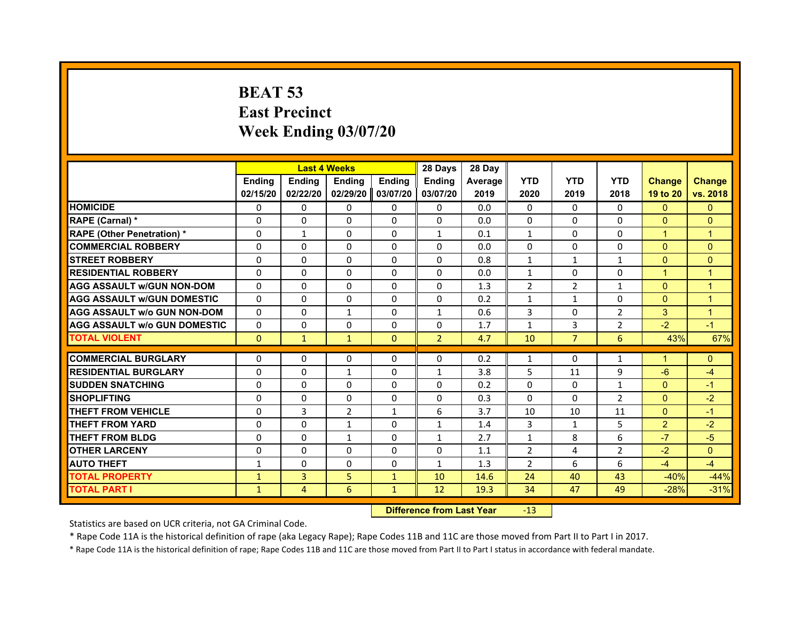# **BEAT 53East Precinct Week Ending 03/07/20**

|                                     |               | <b>Last 4 Weeks</b> |                |               | 28 Days        | 28 Day  |                |                |                |                      |                |
|-------------------------------------|---------------|---------------------|----------------|---------------|----------------|---------|----------------|----------------|----------------|----------------------|----------------|
|                                     | <b>Endina</b> | Ending              | <b>Endina</b>  | <b>Endina</b> | <b>Endina</b>  | Average | <b>YTD</b>     | <b>YTD</b>     | <b>YTD</b>     | <b>Change</b>        | <b>Change</b>  |
|                                     | 02/15/20      | 02/22/20            | 02/29/20       | 03/07/20      | 03/07/20       | 2019    | 2020           | 2019           | 2018           | 19 to 20             | vs. 2018       |
| <b>HOMICIDE</b>                     | $\Omega$      | $\Omega$            | $\Omega$       | 0             | $\Omega$       | 0.0     | $\mathbf{0}$   | $\Omega$       | $\Omega$       | $\Omega$             | $\mathbf{0}$   |
| RAPE (Carnal) *                     | $\Omega$      | $\Omega$            | $\mathbf{0}$   | $\Omega$      | $\Omega$       | 0.0     | $\Omega$       | $\mathbf{0}$   | $\Omega$       | $\Omega$             | $\Omega$       |
| <b>RAPE (Other Penetration)*</b>    | $\Omega$      | $\mathbf{1}$        | $\Omega$       | $\Omega$      | $\mathbf{1}$   | 0.1     | $\mathbf{1}$   | $\mathbf{0}$   | $\Omega$       | $\mathbf{1}$         | 1              |
| <b>COMMERCIAL ROBBERY</b>           | $\Omega$      | 0                   | $\Omega$       | $\Omega$      | $\Omega$       | 0.0     | 0              | $\Omega$       | $\Omega$       | $\Omega$             | $\Omega$       |
| <b>STREET ROBBERY</b>               | $\Omega$      | $\Omega$            | $\Omega$       | $\Omega$      | $\Omega$       | 0.8     | $\mathbf{1}$   | 1              | 1              | $\Omega$             | $\Omega$       |
| <b>RESIDENTIAL ROBBERY</b>          | 0             | 0                   | 0              | 0             | 0              | 0.0     | $\mathbf{1}$   | 0              | 0              | $\blacktriangleleft$ | $\mathbf 1$    |
| <b>AGG ASSAULT w/GUN NON-DOM</b>    | $\Omega$      | $\Omega$            | $\Omega$       | $\Omega$      | $\Omega$       | 1.3     | $\overline{2}$ | $\overline{2}$ | $\mathbf{1}$   | $\Omega$             | $\overline{1}$ |
| <b>AGG ASSAULT W/GUN DOMESTIC</b>   | $\Omega$      | $\Omega$            | $\Omega$       | $\Omega$      | $\Omega$       | 0.2     | $\mathbf{1}$   | $\mathbf{1}$   | $\Omega$       | $\Omega$             | 1              |
| <b>AGG ASSAULT W/o GUN NON-DOM</b>  | $\Omega$      | $\Omega$            | $\mathbf{1}$   | 0             | $\mathbf{1}$   | 0.6     | 3              | 0              | $\overline{2}$ | 3                    | 1              |
| <b>AGG ASSAULT W/o GUN DOMESTIC</b> | $\Omega$      | $\Omega$            | $\Omega$       | $\Omega$      | $\Omega$       | 1.7     | $\mathbf{1}$   | 3              | $\overline{2}$ | $-2$                 | $-1$           |
| <b>TOTAL VIOLENT</b>                | $\Omega$      | $\mathbf{1}$        | $\mathbf{1}$   | $\Omega$      | $\overline{2}$ | 4.7     | 10             | $\overline{7}$ | 6              | 43%                  | 67%            |
|                                     |               |                     |                |               |                |         |                |                |                |                      |                |
| <b>COMMERCIAL BURGLARY</b>          | 0             | 0                   | 0              | 0             | 0              | 0.2     | $\mathbf{1}$   | 0              | $\mathbf{1}$   | $\blacktriangleleft$ | $\mathbf{0}$   |
| <b>RESIDENTIAL BURGLARY</b>         | $\Omega$      | $\Omega$            | $\mathbf{1}$   | 0             | $\mathbf{1}$   | 3.8     | 5              | 11             | 9              | $-6$                 | $-4$           |
| <b>SUDDEN SNATCHING</b>             | $\Omega$      | $\Omega$            | $\Omega$       | $\Omega$      | $\Omega$       | 0.2     | $\Omega$       | $\Omega$       | $\mathbf{1}$   | $\Omega$             | $-1$           |
| <b>SHOPLIFTING</b>                  | $\Omega$      | $\Omega$            | $\Omega$       | $\Omega$      | $\Omega$       | 0.3     | $\Omega$       | $\mathbf{0}$   | $\overline{2}$ | $\Omega$             | $-2$           |
| <b>THEFT FROM VEHICLE</b>           | $\Omega$      | 3                   | $\overline{2}$ | $\mathbf{1}$  | 6              | 3.7     | 10             | 10             | 11             | $\Omega$             | $-1$           |
| <b>THEFT FROM YARD</b>              | 0             | 0                   | $\mathbf{1}$   | 0             | $\mathbf{1}$   | 1.4     | 3              | $\mathbf{1}$   | 5              | $\overline{2}$       | $-2$           |
| <b>THEFT FROM BLDG</b>              | $\Omega$      | $\Omega$            | $\mathbf{1}$   | 0             | $\mathbf{1}$   | 2.7     | 1              | 8              | 6              | $-7$                 | $-5$           |
| <b>OTHER LARCENY</b>                | $\Omega$      | $\Omega$            | $\Omega$       | $\Omega$      | $\Omega$       | 1.1     | $\overline{2}$ | 4              | $\overline{2}$ | $-2$                 | $\Omega$       |
| <b>AUTO THEFT</b>                   | $\mathbf{1}$  | $\Omega$            | $\mathbf{0}$   | $\Omega$      | $\mathbf{1}$   | 1.3     | $\overline{2}$ | 6              | 6              | $-4$                 | $-4$           |
| <b>TOTAL PROPERTY</b>               | $\mathbf{1}$  | 3                   | 5              | $\mathbf{1}$  | 10             | 14.6    | 24             | 40             | 43             | $-40%$               | $-44%$         |
| <b>TOTAL PART I</b>                 | $\mathbf{1}$  | $\overline{4}$      | 6              | $\mathbf{1}$  | 12             | 19.3    | 34             | 47             | 49             | $-28%$               | $-31%$         |

 **Difference from Last Year**r -13

Statistics are based on UCR criteria, not GA Criminal Code.

\* Rape Code 11A is the historical definition of rape (aka Legacy Rape); Rape Codes 11B and 11C are those moved from Part II to Part I in 2017.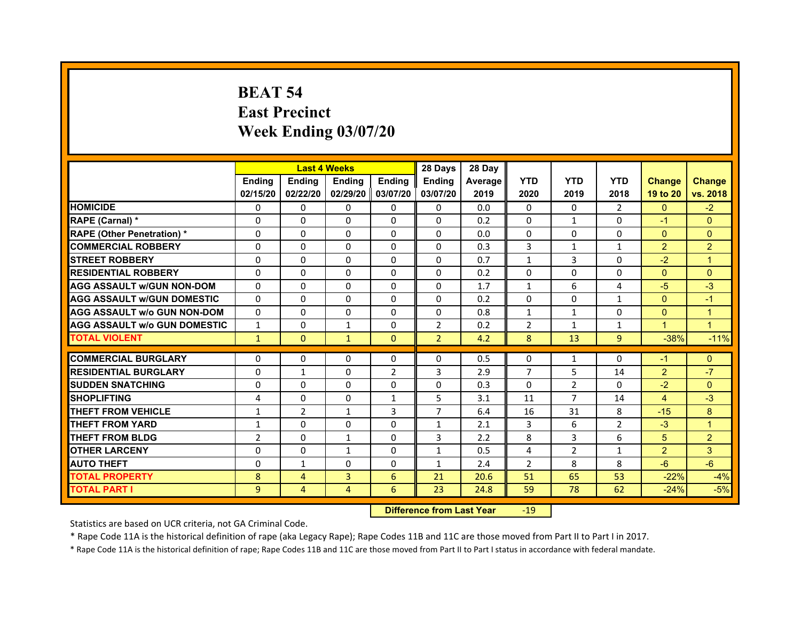# **BEAT 54East Precinct Week Ending 03/07/20**

|                                                           |                | <b>Last 4 Weeks</b> |                   |                | 28 Days        | 28 Day  |                |                |                |                |                      |
|-----------------------------------------------------------|----------------|---------------------|-------------------|----------------|----------------|---------|----------------|----------------|----------------|----------------|----------------------|
|                                                           | <b>Endina</b>  | <b>Ending</b>       | <b>Endina</b>     | <b>Endina</b>  | <b>Endina</b>  | Average | <b>YTD</b>     | <b>YTD</b>     | <b>YTD</b>     | <b>Change</b>  | <b>Change</b>        |
|                                                           | 02/15/20       | 02/22/20            | 02/29/20 03/07/20 |                | 03/07/20       | 2019    | 2020           | 2019           | 2018           | 19 to 20       | vs. 2018             |
| <b>HOMICIDE</b>                                           | 0              | 0                   | $\mathbf{0}$      | 0              | 0              | 0.0     | 0              | 0              | 2              | $\mathbf{0}$   | $-2$                 |
| RAPE (Carnal) *                                           | $\Omega$       | $\Omega$            | $\Omega$          | $\Omega$       | $\Omega$       | 0.2     | $\Omega$       | $\mathbf{1}$   | $\Omega$       | $-1$           | $\Omega$             |
| <b>RAPE (Other Penetration) *</b>                         | 0              | $\Omega$            | $\Omega$          | $\Omega$       | $\Omega$       | 0.0     | $\Omega$       | $\Omega$       | $\Omega$       | $\Omega$       | $\Omega$             |
| <b>COMMERCIAL ROBBERY</b>                                 | 0              | 0                   | $\Omega$          | $\Omega$       | $\Omega$       | 0.3     | 3              | $\mathbf{1}$   | 1              | $\overline{2}$ | $\overline{2}$       |
| <b>STREET ROBBERY</b>                                     | 0              | $\Omega$            | 0                 | $\Omega$       | 0              | 0.7     | $\mathbf{1}$   | 3              | $\Omega$       | $-2$           | $\overline{1}$       |
| <b>RESIDENTIAL ROBBERY</b>                                | 0              | $\Omega$            | 0                 | 0              | 0              | 0.2     | 0              | 0              | 0              | $\mathbf{0}$   | $\Omega$             |
| <b>AGG ASSAULT w/GUN NON-DOM</b>                          | $\Omega$       | $\mathbf 0$         | $\Omega$          | $\mathbf{0}$   | $\Omega$       | 1.7     | $\mathbf{1}$   | 6              | 4              | $-5$           | $-3$                 |
| <b>AGG ASSAULT W/GUN DOMESTIC</b>                         | $\Omega$       | $\Omega$            | $\Omega$          | $\mathbf{0}$   | $\Omega$       | 0.2     | $\Omega$       | $\Omega$       | $\mathbf{1}$   | $\Omega$       | $-1$                 |
| <b>AGG ASSAULT W/o GUN NON-DOM</b>                        | $\Omega$       | 0                   | $\Omega$          | 0              | $\Omega$       | 0.8     | $\mathbf{1}$   | $\mathbf{1}$   | $\Omega$       | $\Omega$       | $\overline{1}$       |
| <b>AGG ASSAULT W/o GUN DOMESTIC</b>                       | $\mathbf{1}$   | 0                   | $\mathbf{1}$      | $\mathbf{0}$   | $\overline{2}$ | 0.2     | $\overline{2}$ | $\mathbf{1}$   | 1              | $\overline{1}$ | $\blacktriangleleft$ |
| <b>TOTAL VIOLENT</b>                                      | $\mathbf{1}$   | $\Omega$            | $\mathbf{1}$      | $\mathbf{0}$   | $\overline{2}$ | 4.2     | 8              | 13             | 9              | $-38%$         | $-11%$               |
|                                                           |                |                     |                   |                |                |         | $\Omega$       |                | $\Omega$       |                |                      |
| <b>COMMERCIAL BURGLARY</b><br><b>RESIDENTIAL BURGLARY</b> | 0              | 0                   | $\Omega$          | 0              | $\Omega$       | 0.5     | $\overline{7}$ | $\mathbf{1}$   |                | $-1$           | $\Omega$<br>$-7$     |
|                                                           | 0              | $\mathbf{1}$        | $\Omega$          | $\overline{2}$ | 3              | 2.9     |                | 5              | 14             | $\overline{2}$ |                      |
| <b>SUDDEN SNATCHING</b>                                   | 0              | 0                   | $\Omega$          | $\Omega$       | $\Omega$       | 0.3     | $\Omega$       | $\overline{2}$ | $\Omega$       | $-2$           | $\Omega$             |
| <b>SHOPLIFTING</b>                                        | 4              | 0                   | 0                 | $\mathbf{1}$   | 5              | 3.1     | 11             | 7              | 14             | $\overline{4}$ | $-3$                 |
| <b>THEFT FROM VEHICLE</b>                                 | $\mathbf{1}$   | $\overline{2}$      | $\mathbf{1}$      | 3              | $\overline{7}$ | 6.4     | 16             | 31             | 8              | $-15$          | 8                    |
| <b>THEFT FROM YARD</b>                                    | 1              | 0                   | $\Omega$          | $\Omega$       | $\mathbf{1}$   | 2.1     | 3              | 6              | $\overline{2}$ | $-3$           | $\overline{1}$       |
| <b>THEFT FROM BLDG</b>                                    | $\overline{2}$ | 0                   | 1                 | 0              | 3              | 2.2     | 8              | 3              | 6              | 5              | $\overline{2}$       |
| <b>OTHER LARCENY</b>                                      | 0              | $\Omega$            | $\mathbf{1}$      | 0              | $\mathbf{1}$   | 0.5     | 4              | $\overline{2}$ | $\mathbf{1}$   | $\overline{2}$ | 3                    |
| <b>AUTO THEFT</b>                                         | $\mathbf 0$    | 1                   | $\Omega$          | $\Omega$       | $\mathbf{1}$   | 2.4     | $\overline{2}$ | 8              | 8              | $-6$           | $-6$                 |
| <b>TOTAL PROPERTY</b>                                     | 8              | 4                   | 3                 | 6              | 21             | 20.6    | 51             | 65             | 53             | $-22%$         | $-4%$                |
| <b>TOTAL PART I</b>                                       | 9              | 4                   | $\overline{4}$    | 6              | 23             | 24.8    | 59             | 78             | 62             | $-24%$         | $-5%$                |

#### **Difference from Last Year**r -19

Statistics are based on UCR criteria, not GA Criminal Code.

\* Rape Code 11A is the historical definition of rape (aka Legacy Rape); Rape Codes 11B and 11C are those moved from Part II to Part I in 2017.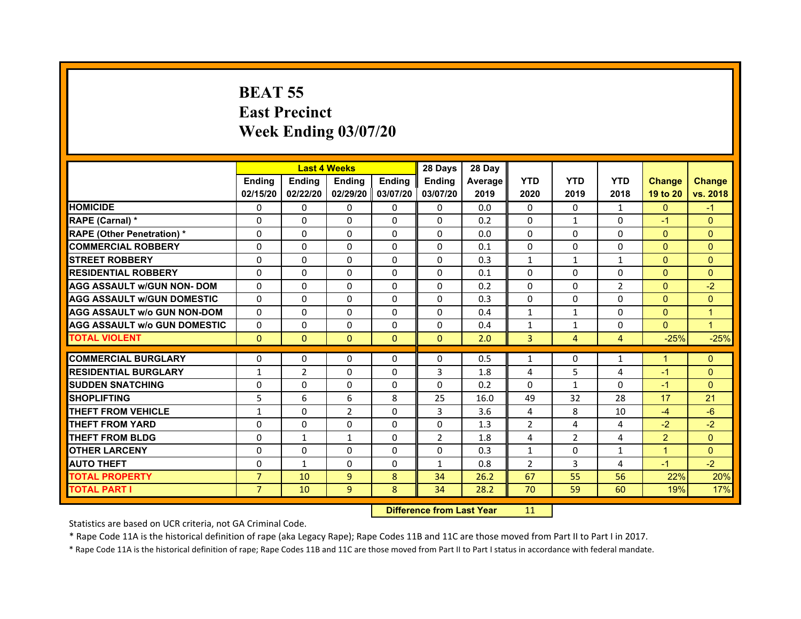# **BEAT 55East Precinct Week Ending 03/07/20**

|                                     |                | <b>Last 4 Weeks</b> |                |          | 28 Days        | 28 Day  |                |                |                |                |               |
|-------------------------------------|----------------|---------------------|----------------|----------|----------------|---------|----------------|----------------|----------------|----------------|---------------|
|                                     | <b>Endina</b>  | <b>Endina</b>       | <b>Ending</b>  | Ending   | <b>Ending</b>  | Average | <b>YTD</b>     | <b>YTD</b>     | <b>YTD</b>     | <b>Change</b>  | <b>Change</b> |
|                                     | 02/15/20       | 02/22/20            | 02/29/20       | 03/07/20 | 03/07/20       | 2019    | 2020           | 2019           | 2018           | 19 to 20       | vs. 2018      |
| <b>HOMICIDE</b>                     | 0              | $\mathbf{0}$        | 0              | 0        | 0              | 0.0     | 0              | 0              | $\mathbf{1}$   | $\mathbf{0}$   | $-1$          |
| RAPE (Carnal) *                     | $\Omega$       | $\Omega$            | $\Omega$       | $\Omega$ | $\Omega$       | 0.2     | $\Omega$       | $\mathbf{1}$   | $\Omega$       | $-1$           | $\mathbf{0}$  |
| <b>RAPE (Other Penetration) *</b>   | $\Omega$       | $\Omega$            | $\Omega$       | $\Omega$ | $\Omega$       | 0.0     | $\Omega$       | $\Omega$       | $\Omega$       | $\Omega$       | $\Omega$      |
| <b>COMMERCIAL ROBBERY</b>           | $\Omega$       | $\Omega$            | $\Omega$       | 0        | 0              | 0.1     | 0              | $\Omega$       | $\Omega$       | $\Omega$       | $\Omega$      |
| <b>STREET ROBBERY</b>               | $\Omega$       | $\Omega$            | $\Omega$       | $\Omega$ | $\Omega$       | 0.3     | $\mathbf{1}$   | $\mathbf{1}$   | 1              | $\Omega$       | $\Omega$      |
| <b>RESIDENTIAL ROBBERY</b>          | $\Omega$       | $\Omega$            | $\Omega$       | $\Omega$ | $\Omega$       | 0.1     | $\Omega$       | $\Omega$       | $\Omega$       | $\mathbf{0}$   | $\Omega$      |
| <b>AGG ASSAULT W/GUN NON- DOM</b>   | $\Omega$       | $\Omega$            | $\Omega$       | $\Omega$ | $\Omega$       | 0.2     | $\Omega$       | $\Omega$       | $\overline{2}$ | $\mathbf{0}$   | $-2$          |
| <b>AGG ASSAULT W/GUN DOMESTIC</b>   | $\Omega$       | $\Omega$            | $\Omega$       | $\Omega$ | $\Omega$       | 0.3     | $\Omega$       | $\Omega$       | $\Omega$       | $\Omega$       | $\Omega$      |
| <b>AGG ASSAULT w/o GUN NON-DOM</b>  | $\Omega$       | $\Omega$            | $\Omega$       | $\Omega$ | $\Omega$       | 0.4     | $\mathbf{1}$   | $\mathbf{1}$   | $\Omega$       | $\Omega$       | $\mathbf{1}$  |
| <b>AGG ASSAULT W/o GUN DOMESTIC</b> | $\Omega$       | 0                   | $\Omega$       | $\Omega$ | $\Omega$       | 0.4     | 1              | $\mathbf{1}$   | $\Omega$       | $\Omega$       | $\mathbf{1}$  |
| <b>TOTAL VIOLENT</b>                | $\Omega$       | $\Omega$            | $\Omega$       | $\Omega$ | $\Omega$       | 2.0     | 3              | $\overline{4}$ | $\overline{4}$ | $-25%$         | $-25%$        |
| <b>COMMERCIAL BURGLARY</b>          | $\Omega$       | $\Omega$            | $\Omega$       | $\Omega$ | $\Omega$       | 0.5     | $\mathbf{1}$   | $\Omega$       | $\mathbf{1}$   | $\mathbf{1}$   | $\mathbf{0}$  |
| <b>RESIDENTIAL BURGLARY</b>         | 1              | 2                   | $\Omega$       | $\Omega$ | 3              | 1.8     | 4              | 5              | 4              | $-1$           | $\Omega$      |
| <b>SUDDEN SNATCHING</b>             | $\Omega$       | $\Omega$            | $\Omega$       | $\Omega$ | $\Omega$       | 0.2     | $\Omega$       | $\mathbf{1}$   | $\Omega$       | $-1$           | $\Omega$      |
| <b>SHOPLIFTING</b>                  | 5              | 6                   | 6              | 8        | 25             | 16.0    | 49             | 32             | 28             | 17             | 21            |
| <b>THEFT FROM VEHICLE</b>           | $\mathbf{1}$   | $\Omega$            | $\overline{2}$ | $\Omega$ | 3              | 3.6     | 4              | 8              | 10             | $-4$           | $-6$          |
| <b>THEFT FROM YARD</b>              | $\Omega$       | $\Omega$            | $\Omega$       | $\Omega$ | $\Omega$       | 1.3     | $\overline{2}$ | 4              | 4              | $-2$           | $-2$          |
| <b>THEFT FROM BLDG</b>              | $\Omega$       | 1                   | 1              | $\Omega$ | $\overline{2}$ | 1.8     | 4              | $\overline{2}$ | 4              | $\overline{2}$ | $\Omega$      |
| <b>OTHER LARCENY</b>                | $\Omega$       | $\Omega$            | $\Omega$       | $\Omega$ | $\Omega$       | 0.3     | $\mathbf{1}$   | 0              | $\mathbf{1}$   | $\mathbf{1}$   | $\Omega$      |
| <b>AUTO THEFT</b>                   | $\Omega$       | $\mathbf{1}$        | $\Omega$       | $\Omega$ | $\mathbf{1}$   | 0.8     | $\overline{2}$ | 3              | 4              | $-1$           | $-2$          |
| <b>TOTAL PROPERTY</b>               | $\overline{7}$ | 10                  | 9              | 8        | 34             | 26.2    | 67             | 55             | 56             | 22%            | 20%           |
| <b>TOTAL PART I</b>                 | $\overline{7}$ | 10                  | 9              | 8        | 34             | 28.2    | 70             | 59             | 60             | 19%            | 17%           |
|                                     |                |                     |                |          |                |         |                |                |                |                |               |

 **Difference from Last Year**r 11

Statistics are based on UCR criteria, not GA Criminal Code.

\* Rape Code 11A is the historical definition of rape (aka Legacy Rape); Rape Codes 11B and 11C are those moved from Part II to Part I in 2017.